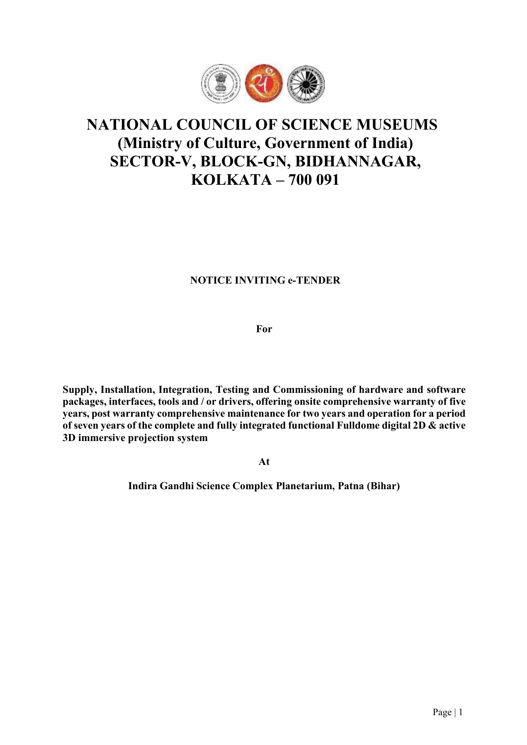

# NATIONAL COUNCIL OF SCIENCE MUSEUMS (Ministry of Culture, Government of India) SECTOR-V, BLOCK-GN, BIDHANNAGAR, KOLKATA – 700 091

# NOTICE INVITING e-TENDER

For

Supply, Installation, Integration, Testing and Commissioning of hardware and software packages, interfaces, tools and / or drivers, offering onsite comprehensive warranty of five years, post warranty comprehensive maintenance for two years and operation for a period of seven years of the complete and fully integrated functional Fulldome digital 2D & active 3D immersive projection system

At

Indira Gandhi Science Complex Planetarium, Patna (Bihar)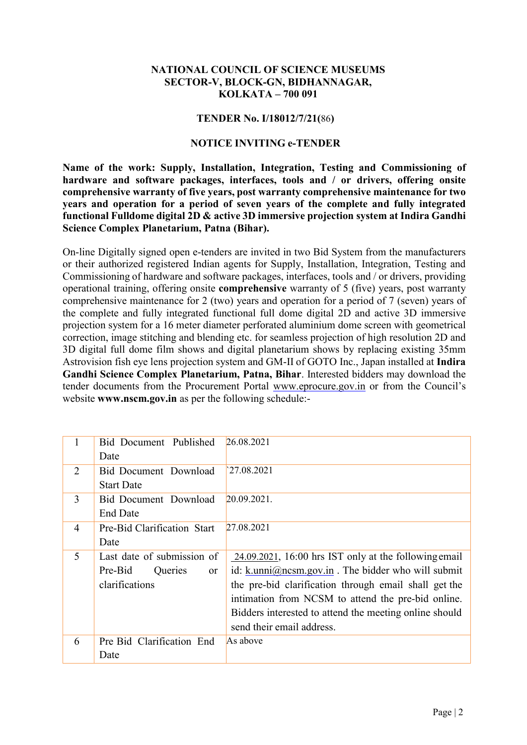#### NATIONAL COUNCIL OF SCIENCE MUSEUMS SECTOR-V, BLOCK-GN, BIDHANNAGAR, KOLKATA – 700 091

#### TENDER No. I/18012/7/21(86)

#### NOTICE INVITING e-TENDER

Name of the work: Supply, Installation, Integration, Testing and Commissioning of hardware and software packages, interfaces, tools and / or drivers, offering onsite comprehensive warranty of five years, post warranty comprehensive maintenance for two years and operation for a period of seven years of the complete and fully integrated functional Fulldome digital 2D & active 3D immersive projection system at Indira Gandhi Science Complex Planetarium, Patna (Bihar).

On-line Digitally signed open e-tenders are invited in two Bid System from the manufacturers or their authorized registered Indian agents for Supply, Installation, Integration, Testing and Commissioning of hardware and software packages, interfaces, tools and / or drivers, providing operational training, offering onsite comprehensive warranty of 5 (five) years, post warranty comprehensive maintenance for 2 (two) years and operation for a period of 7 (seven) years of the complete and fully integrated functional full dome digital 2D and active 3D immersive projection system for a 16 meter diameter perforated aluminium dome screen with geometrical correction, image stitching and blending etc. for seamless projection of high resolution 2D and 3D digital full dome film shows and digital planetarium shows by replacing existing 35mm Astrovision fish eye lens projection system and GM-II of GOTO Inc., Japan installed at Indira Gandhi Science Complex Planetarium, Patna, Bihar. Interested bidders may download the tender documents from the Procurement Portal www.eprocure.gov.in or from the Council's website www.nscm.gov.in as per the following schedule:-

| $\mathbf{1}$   | Bid Document Published              | 26.08.2021                                               |
|----------------|-------------------------------------|----------------------------------------------------------|
|                | Date                                |                                                          |
| 2              | Bid Document Download               | 27.08.2021                                               |
|                | <b>Start Date</b>                   |                                                          |
| 3              | Bid Document Download               | 20.09.2021.                                              |
|                | <b>End Date</b>                     |                                                          |
| $\overline{4}$ | Pre-Bid Clarification Start         | 27.08.2021                                               |
|                | Date                                |                                                          |
| 5              | Last date of submission of          | $24.09.2021$ , 16:00 hrs IST only at the following email |
|                | Pre-Bid<br>Queries<br><sub>or</sub> | id: k.unni $@ncsm.gov.in$ . The bidder who will submit   |
|                | clarifications                      | the pre-bid clarification through email shall get the    |
|                |                                     | intimation from NCSM to attend the pre-bid online.       |
|                |                                     | Bidders interested to attend the meeting online should   |
|                |                                     | send their email address.                                |
| 6              | Pre Bid Clarification End           | As above                                                 |
|                | Date                                |                                                          |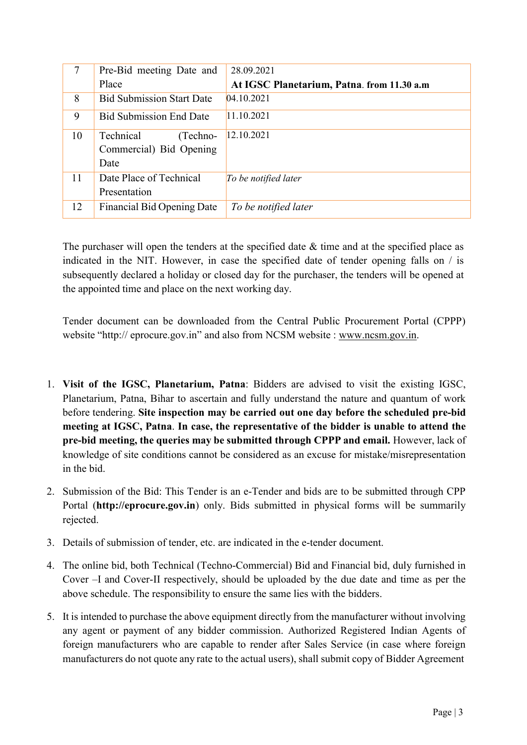|    | Pre-Bid meeting Date and         | 28.09.2021                                 |
|----|----------------------------------|--------------------------------------------|
|    | Place                            | At IGSC Planetarium, Patna. from 11.30 a.m |
| 8  | <b>Bid Submission Start Date</b> | 04.10.2021                                 |
| 9  | <b>Bid Submission End Date</b>   | 11.10.2021                                 |
| 10 | Technical<br>(Techno-            | 12.10.2021                                 |
|    | Commercial) Bid Opening          |                                            |
|    | Date                             |                                            |
| 11 | Date Place of Technical          | To be notified later                       |
|    | Presentation                     |                                            |
| 12 | Financial Bid Opening Date       | To be notified later                       |

The purchaser will open the tenders at the specified date & time and at the specified place as indicated in the NIT. However, in case the specified date of tender opening falls on / is subsequently declared a holiday or closed day for the purchaser, the tenders will be opened at the appointed time and place on the next working day.

Tender document can be downloaded from the Central Public Procurement Portal (CPPP) website "http:// eprocure.gov.in" and also from NCSM website : www.ncsm.gov.in.

- 1. Visit of the IGSC, Planetarium, Patna: Bidders are advised to visit the existing IGSC, Planetarium, Patna, Bihar to ascertain and fully understand the nature and quantum of work before tendering. Site inspection may be carried out one day before the scheduled pre-bid meeting at IGSC, Patna. In case, the representative of the bidder is unable to attend the pre-bid meeting, the queries may be submitted through CPPP and email. However, lack of knowledge of site conditions cannot be considered as an excuse for mistake/misrepresentation in the bid.
- 2. Submission of the Bid: This Tender is an e-Tender and bids are to be submitted through CPP Portal (http://eprocure.gov.in) only. Bids submitted in physical forms will be summarily rejected.
- 3. Details of submission of tender, etc. are indicated in the e-tender document.
- 4. The online bid, both Technical (Techno-Commercial) Bid and Financial bid, duly furnished in Cover –I and Cover-II respectively, should be uploaded by the due date and time as per the above schedule. The responsibility to ensure the same lies with the bidders.
- 5. It is intended to purchase the above equipment directly from the manufacturer without involving any agent or payment of any bidder commission. Authorized Registered Indian Agents of foreign manufacturers who are capable to render after Sales Service (in case where foreign manufacturers do not quote any rate to the actual users), shall submit copy of Bidder Agreement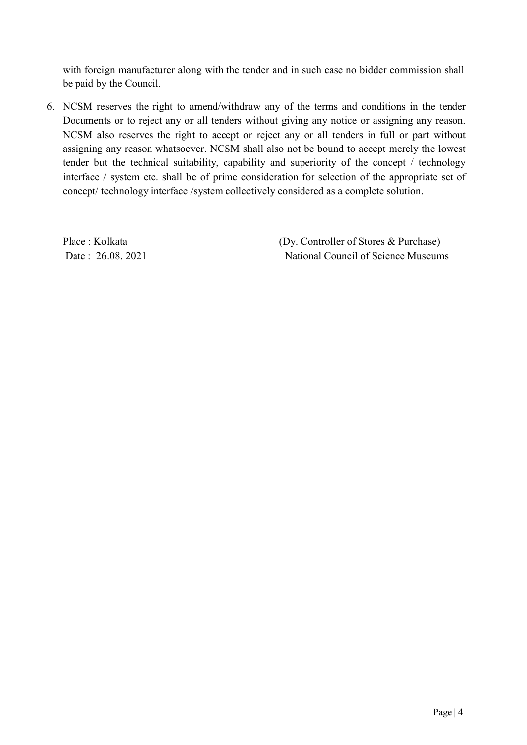with foreign manufacturer along with the tender and in such case no bidder commission shall be paid by the Council.

6. NCSM reserves the right to amend/withdraw any of the terms and conditions in the tender Documents or to reject any or all tenders without giving any notice or assigning any reason. NCSM also reserves the right to accept or reject any or all tenders in full or part without assigning any reason whatsoever. NCSM shall also not be bound to accept merely the lowest tender but the technical suitability, capability and superiority of the concept / technology interface / system etc. shall be of prime consideration for selection of the appropriate set of concept/ technology interface /system collectively considered as a complete solution.

Place : Kolkata (Dy. Controller of Stores & Purchase) Date: 26.08. 2021 Council of Science Museums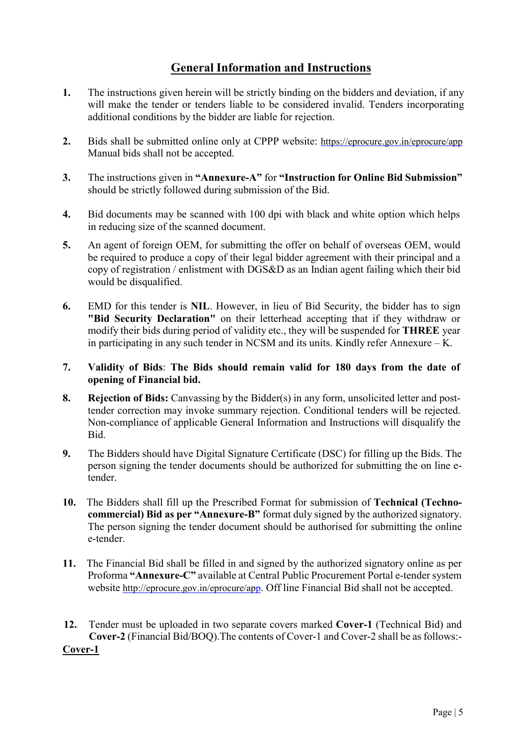# General Information and Instructions

- 1. The instructions given herein will be strictly binding on the bidders and deviation, if any will make the tender or tenders liable to be considered invalid. Tenders incorporating additional conditions by the bidder are liable for rejection.
- 2. Bids shall be submitted online only at CPPP website: https://eprocure.gov.in/eprocure/app Manual bids shall not be accepted.
- 3. The instructions given in "Annexure-A" for "Instruction for Online Bid Submission" should be strictly followed during submission of the Bid.
- 4. Bid documents may be scanned with 100 dpi with black and white option which helps in reducing size of the scanned document.
- 5. An agent of foreign OEM, for submitting the offer on behalf of overseas OEM, would be required to produce a copy of their legal bidder agreement with their principal and a copy of registration / enlistment with DGS&D as an Indian agent failing which their bid would be disqualified.
- 6. EMD for this tender is NIL. However, in lieu of Bid Security, the bidder has to sign "Bid Security Declaration" on their letterhead accepting that if they withdraw or modify their bids during period of validity etc., they will be suspended for THREE year in participating in any such tender in NCSM and its units. Kindly refer Annexure – K.
- 7. Validity of Bids: The Bids should remain valid for 180 days from the date of opening of Financial bid.
- 8. Rejection of Bids: Canvassing by the Bidder(s) in any form, unsolicited letter and posttender correction may invoke summary rejection. Conditional tenders will be rejected. Non-compliance of applicable General Information and Instructions will disqualify the Bid.
- 9. The Bidders should have Digital Signature Certificate (DSC) for filling up the Bids. The person signing the tender documents should be authorized for submitting the on line etender.
- 10. The Bidders shall fill up the Prescribed Format for submission of Technical (Technocommercial) Bid as per "Annexure-B" format duly signed by the authorized signatory. The person signing the tender document should be authorised for submitting the online e-tender.
- 11. The Financial Bid shall be filled in and signed by the authorized signatory online as per Proforma "Annexure-C" available at Central Public Procurement Portal e-tender system website http://eprocure.gov.in/eprocure/app. Off line Financial Bid shall not be accepted.
- 12. Tender must be uploaded in two separate covers marked Cover-1 (Technical Bid) and Cover-2 (Financial Bid/BOQ).The contents of Cover-1 and Cover-2 shall be as follows:- Cover-1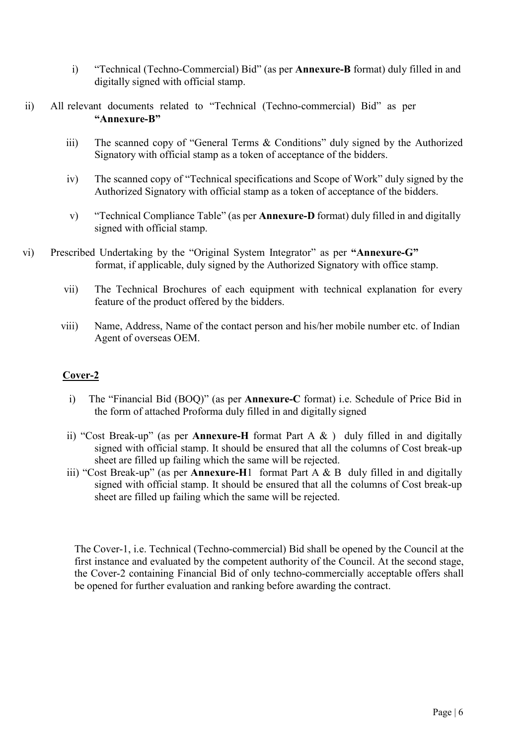- i) "Technical (Techno-Commercial) Bid" (as per Annexure-B format) duly filled in and digitally signed with official stamp.
- ii) All relevant documents related to "Technical (Techno-commercial) Bid" as per "Annexure-B"
	- iii) The scanned copy of "General Terms & Conditions" duly signed by the Authorized Signatory with official stamp as a token of acceptance of the bidders.
	- iv) The scanned copy of "Technical specifications and Scope of Work" duly signed by the Authorized Signatory with official stamp as a token of acceptance of the bidders.
	- v) "Technical Compliance Table" (as per Annexure-D format) duly filled in and digitally signed with official stamp.
- vi) Prescribed Undertaking by the "Original System Integrator" as per "Annexure-G" format, if applicable, duly signed by the Authorized Signatory with office stamp.
	- vii) The Technical Brochures of each equipment with technical explanation for every feature of the product offered by the bidders.
	- viii) Name, Address, Name of the contact person and his/her mobile number etc. of Indian Agent of overseas OEM.

#### Cover-2

- i) The "Financial Bid (BOQ)" (as per Annexure-C format) i.e. Schedule of Price Bid in the form of attached Proforma duly filled in and digitally signed
- ii) "Cost Break-up" (as per **Annexure-H** format Part A  $\&$  ) duly filled in and digitally signed with official stamp. It should be ensured that all the columns of Cost break-up sheet are filled up failing which the same will be rejected.
- iii) "Cost Break-up" (as per **Annexure-H**1 format Part A & B duly filled in and digitally signed with official stamp. It should be ensured that all the columns of Cost break-up sheet are filled up failing which the same will be rejected.

The Cover-1, i.e. Technical (Techno-commercial) Bid shall be opened by the Council at the first instance and evaluated by the competent authority of the Council. At the second stage, the Cover-2 containing Financial Bid of only techno-commercially acceptable offers shall be opened for further evaluation and ranking before awarding the contract.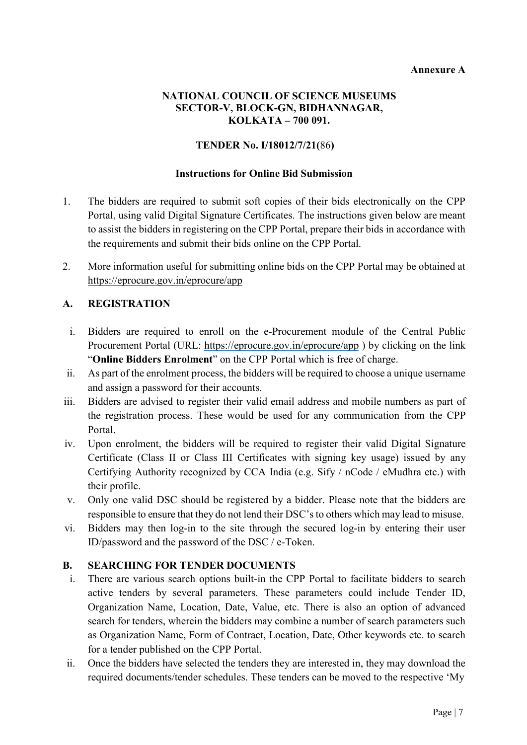#### Annexure A

#### NATIONAL COUNCIL OF SCIENCE MUSEUMS SECTOR-V, BLOCK-GN, BIDHANNAGAR, KOLKATA – 700 091.

#### TENDER No. I/18012/7/21(86)

#### Instructions for Online Bid Submission

- 1. The bidders are required to submit soft copies of their bids electronically on the CPP Portal, using valid Digital Signature Certificates. The instructions given below are meant to assist the bidders in registering on the CPP Portal, prepare their bids in accordance with the requirements and submit their bids online on the CPP Portal.
- 2. More information useful for submitting online bids on the CPP Portal may be obtained at https://eprocure.gov.in/eprocure/app

#### A. REGISTRATION

- i. Bidders are required to enroll on the e-Procurement module of the Central Public Procurement Portal (URL: https://eprocure.gov.in/eprocure/app) by clicking on the link "Online Bidders Enrolment" on the CPP Portal which is free of charge.
- ii. As part of the enrolment process, the bidders will be required to choose a unique username and assign a password for their accounts.
- iii. Bidders are advised to register their valid email address and mobile numbers as part of the registration process. These would be used for any communication from the CPP Portal.
- iv. Upon enrolment, the bidders will be required to register their valid Digital Signature Certificate (Class II or Class III Certificates with signing key usage) issued by any Certifying Authority recognized by CCA India (e.g. Sify / nCode / eMudhra etc.) with their profile.
- v. Only one valid DSC should be registered by a bidder. Please note that the bidders are responsible to ensure that they do not lend their DSC'sto others which may lead to misuse.
- vi. Bidders may then log-in to the site through the secured log-in by entering their user ID/password and the password of the DSC / e-Token.

#### B. SEARCHING FOR TENDER DOCUMENTS

- i. There are various search options built-in the CPP Portal to facilitate bidders to search active tenders by several parameters. These parameters could include Tender ID, Organization Name, Location, Date, Value, etc. There is also an option of advanced search for tenders, wherein the bidders may combine a number of search parameters such as Organization Name, Form of Contract, Location, Date, Other keywords etc. to search for a tender published on the CPP Portal.
- ii. Once the bidders have selected the tenders they are interested in, they may download the required documents/tender schedules. These tenders can be moved to the respective 'My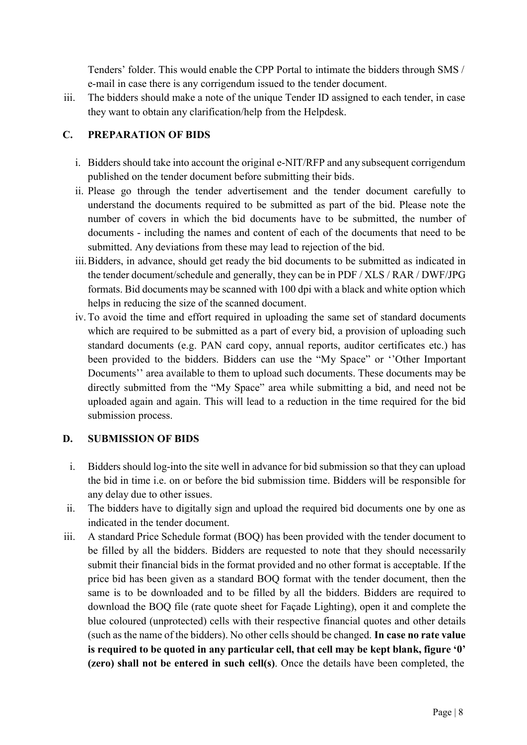Tenders' folder. This would enable the CPP Portal to intimate the bidders through SMS / e-mail in case there is any corrigendum issued to the tender document.

iii. The bidders should make a note of the unique Tender ID assigned to each tender, in case they want to obtain any clarification/help from the Helpdesk.

### C. PREPARATION OF BIDS

- i. Bidders should take into account the original e-NIT/RFP and any subsequent corrigendum published on the tender document before submitting their bids.
- ii. Please go through the tender advertisement and the tender document carefully to understand the documents required to be submitted as part of the bid. Please note the number of covers in which the bid documents have to be submitted, the number of documents - including the names and content of each of the documents that need to be submitted. Any deviations from these may lead to rejection of the bid.
- iii.Bidders, in advance, should get ready the bid documents to be submitted as indicated in the tender document/schedule and generally, they can be in PDF / XLS / RAR / DWF/JPG formats. Bid documents may be scanned with 100 dpi with a black and white option which helps in reducing the size of the scanned document.
- iv. To avoid the time and effort required in uploading the same set of standard documents which are required to be submitted as a part of every bid, a provision of uploading such standard documents (e.g. PAN card copy, annual reports, auditor certificates etc.) has been provided to the bidders. Bidders can use the "My Space" or ''Other Important Documents'' area available to them to upload such documents. These documents may be directly submitted from the "My Space" area while submitting a bid, and need not be uploaded again and again. This will lead to a reduction in the time required for the bid submission process.

#### D. SUBMISSION OF BIDS

- i. Bidders should log-into the site well in advance for bid submission so that they can upload the bid in time i.e. on or before the bid submission time. Bidders will be responsible for any delay due to other issues.
- ii. The bidders have to digitally sign and upload the required bid documents one by one as indicated in the tender document.
- iii. A standard Price Schedule format (BOQ) has been provided with the tender document to be filled by all the bidders. Bidders are requested to note that they should necessarily submit their financial bids in the format provided and no other format is acceptable. If the price bid has been given as a standard BOQ format with the tender document, then the same is to be downloaded and to be filled by all the bidders. Bidders are required to download the BOQ file (rate quote sheet for Façade Lighting), open it and complete the blue coloured (unprotected) cells with their respective financial quotes and other details (such as the name of the bidders). No other cells should be changed. In case no rate value is required to be quoted in any particular cell, that cell may be kept blank, figure '0' (zero) shall not be entered in such cell(s). Once the details have been completed, the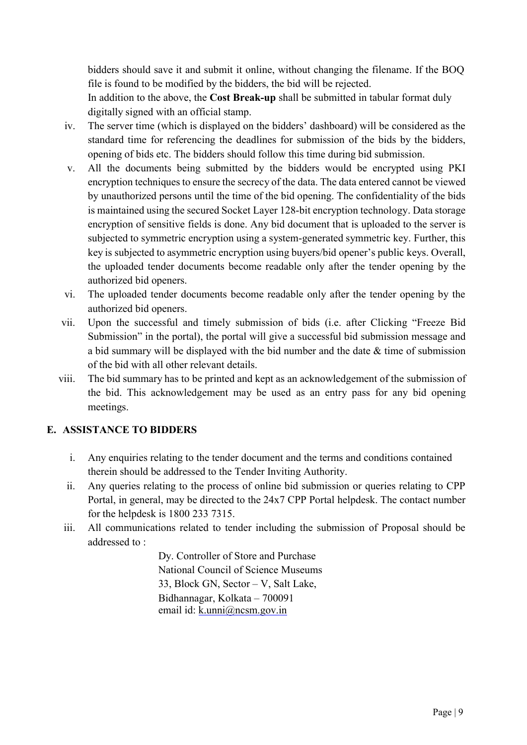bidders should save it and submit it online, without changing the filename. If the BOQ file is found to be modified by the bidders, the bid will be rejected.

In addition to the above, the Cost Break-up shall be submitted in tabular format duly digitally signed with an official stamp.

- iv. The server time (which is displayed on the bidders' dashboard) will be considered as the standard time for referencing the deadlines for submission of the bids by the bidders, opening of bids etc. The bidders should follow this time during bid submission.
- v. All the documents being submitted by the bidders would be encrypted using PKI encryption techniques to ensure the secrecy of the data. The data entered cannot be viewed by unauthorized persons until the time of the bid opening. The confidentiality of the bids is maintained using the secured Socket Layer 128-bit encryption technology. Data storage encryption of sensitive fields is done. Any bid document that is uploaded to the server is subjected to symmetric encryption using a system-generated symmetric key. Further, this key is subjected to asymmetric encryption using buyers/bid opener's public keys. Overall, the uploaded tender documents become readable only after the tender opening by the authorized bid openers.
- vi. The uploaded tender documents become readable only after the tender opening by the authorized bid openers.
- vii. Upon the successful and timely submission of bids (i.e. after Clicking "Freeze Bid Submission" in the portal), the portal will give a successful bid submission message and a bid summary will be displayed with the bid number and the date & time of submission of the bid with all other relevant details.
- viii. The bid summary has to be printed and kept as an acknowledgement of the submission of the bid. This acknowledgement may be used as an entry pass for any bid opening meetings.

# E. ASSISTANCE TO BIDDERS

- i. Any enquiries relating to the tender document and the terms and conditions contained therein should be addressed to the Tender Inviting Authority.
- ii. Any queries relating to the process of online bid submission or queries relating to CPP Portal, in general, may be directed to the 24x7 CPP Portal helpdesk. The contact number for the helpdesk is 1800 233 7315.
- iii. All communications related to tender including the submission of Proposal should be addressed to :

Dy. Controller of Store and Purchase National Council of Science Museums 33, Block GN, Sector – V, Salt Lake, Bidhannagar, Kolkata – 700091 email id: k.unni@ncsm.gov.in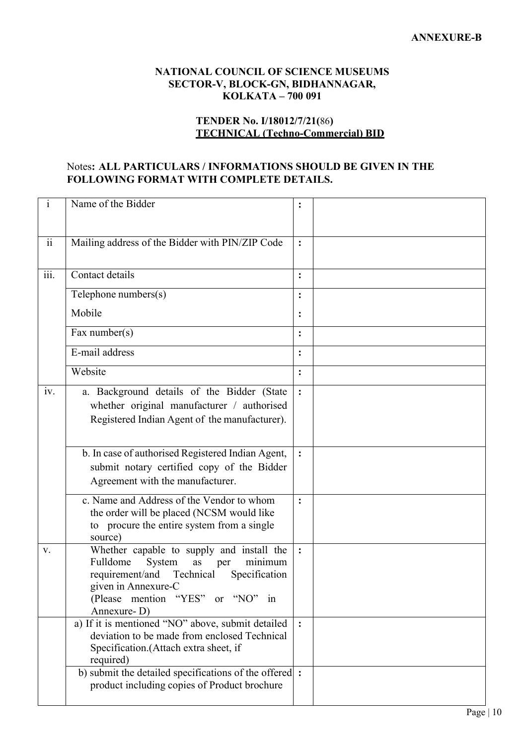#### NATIONAL COUNCIL OF SCIENCE MUSEUMS SECTOR-V, BLOCK-GN, BIDHANNAGAR, KOLKATA – 700 091

### TENDER No. I/18012/7/21(86) TECHNICAL (Techno-Commercial) BID

### Notes: ALL PARTICULARS / INFORMATIONS SHOULD BE GIVEN IN THE FOLLOWING FORMAT WITH COMPLETE DETAILS.

| $\mathbf{i}$              | Name of the Bidder                                                                                                                                                                                                 |                |  |
|---------------------------|--------------------------------------------------------------------------------------------------------------------------------------------------------------------------------------------------------------------|----------------|--|
| $\overline{\textbf{ii}}$  | Mailing address of the Bidder with PIN/ZIP Code                                                                                                                                                                    | $\ddot{\cdot}$ |  |
| $\overline{\text{iii}}$ . | Contact details                                                                                                                                                                                                    | $\ddot{\cdot}$ |  |
|                           | Telephone numbers(s)                                                                                                                                                                                               | :              |  |
|                           | Mobile                                                                                                                                                                                                             |                |  |
|                           | Fax number( $s$ )                                                                                                                                                                                                  | $\ddot{\cdot}$ |  |
|                           | E-mail address                                                                                                                                                                                                     | $\ddot{\cdot}$ |  |
|                           | Website                                                                                                                                                                                                            | :              |  |
| iv.                       | a. Background details of the Bidder (State<br>whether original manufacturer / authorised<br>Registered Indian Agent of the manufacturer).                                                                          | $\ddot{\cdot}$ |  |
|                           | b. In case of authorised Registered Indian Agent,<br>submit notary certified copy of the Bidder<br>Agreement with the manufacturer.                                                                                | $\ddot{\cdot}$ |  |
|                           | c. Name and Address of the Vendor to whom<br>the order will be placed (NCSM would like<br>to procure the entire system from a single<br>source)                                                                    | $\ddot{\cdot}$ |  |
| V.                        | Whether capable to supply and install the<br>Fulldome<br>minimum<br>System<br>as<br>per<br>requirement/and<br>Technical<br>Specification<br>given in Annexure-C<br>(Please mention "YES" or "NO" in<br>Annexure-D) | $\ddot{\cdot}$ |  |
|                           | a) If it is mentioned "NO" above, submit detailed<br>deviation to be made from enclosed Technical<br>Specification.(Attach extra sheet, if<br>required)                                                            | $\ddot{\cdot}$ |  |
|                           | b) submit the detailed specifications of the offered :<br>product including copies of Product brochure                                                                                                             |                |  |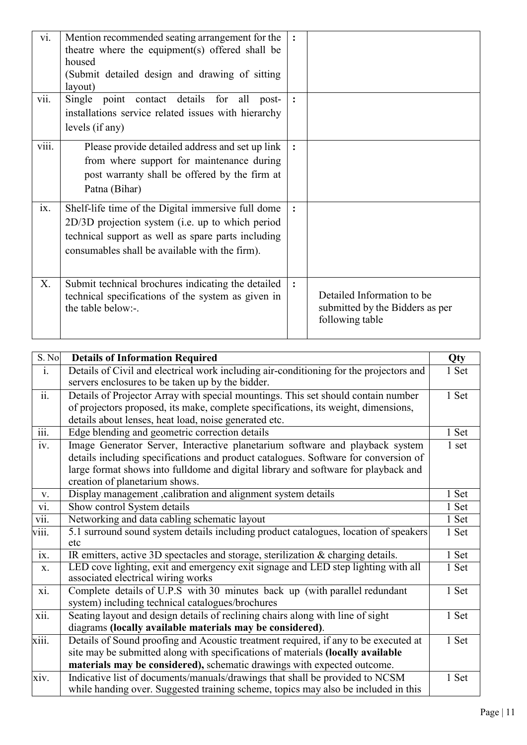| vi.<br>vii. | Mention recommended seating arrangement for the<br>theatre where the equipment(s) offered shall be<br>housed<br>(Submit detailed design and drawing of sitting<br>layout)<br>Single point contact details for all post- |                |                                                                                  |
|-------------|-------------------------------------------------------------------------------------------------------------------------------------------------------------------------------------------------------------------------|----------------|----------------------------------------------------------------------------------|
|             | installations service related issues with hierarchy<br>levels (if any)                                                                                                                                                  |                |                                                                                  |
| V111.       | Please provide detailed address and set up link<br>from where support for maintenance during<br>post warranty shall be offered by the firm at<br>Patna (Bihar)                                                          |                |                                                                                  |
| ix.         | Shelf-life time of the Digital immersive full dome<br>2D/3D projection system (i.e. up to which period<br>technical support as well as spare parts including<br>consumables shall be available with the firm).          |                |                                                                                  |
| X.          | Submit technical brochures indicating the detailed<br>technical specifications of the system as given in<br>the table below:-.                                                                                          | $\ddot{\cdot}$ | Detailed Information to be<br>submitted by the Bidders as per<br>following table |

| S. No                     | <b>Details of Information Required</b>                                                                                                                                                                                                                                                      | Qty   |
|---------------------------|---------------------------------------------------------------------------------------------------------------------------------------------------------------------------------------------------------------------------------------------------------------------------------------------|-------|
| $\mathbf{i}$ .            | Details of Civil and electrical work including air-conditioning for the projectors and<br>servers enclosures to be taken up by the bidder.                                                                                                                                                  | 1 Set |
| $\overline{ii}$ .         | Details of Projector Array with special mountings. This set should contain number                                                                                                                                                                                                           | 1 Set |
|                           | of projectors proposed, its make, complete specifications, its weight, dimensions,<br>details about lenses, heat load, noise generated etc.                                                                                                                                                 |       |
| $\overline{\text{iii}}$ . | Edge blending and geometric correction details                                                                                                                                                                                                                                              | 1 Set |
| iv.                       | Image Generator Server, Interactive planetarium software and playback system<br>details including specifications and product catalogues. Software for conversion of<br>large format shows into fulldome and digital library and software for playback and<br>creation of planetarium shows. | 1 set |
| V.                        | Display management , calibration and alignment system details                                                                                                                                                                                                                               | 1 Set |
| V1.                       | Show control System details                                                                                                                                                                                                                                                                 | 1 Set |
| vii.                      | Networking and data cabling schematic layout                                                                                                                                                                                                                                                | 1 Set |
| viii.                     | 5.1 surround sound system details including product catalogues, location of speakers<br>etc                                                                                                                                                                                                 | 1 Set |
| ix.                       | IR emitters, active 3D spectacles and storage, sterilization & charging details.                                                                                                                                                                                                            | 1 Set |
| X.                        | LED cove lighting, exit and emergency exit signage and LED step lighting with all<br>associated electrical wiring works                                                                                                                                                                     | 1 Set |
| xi.                       | Complete details of U.P.S with 30 minutes back up (with parallel redundant<br>system) including technical catalogues/brochures                                                                                                                                                              | 1 Set |
| xii.                      | Seating layout and design details of reclining chairs along with line of sight<br>diagrams (locally available materials may be considered).                                                                                                                                                 | 1 Set |
| xiii.                     | Details of Sound proofing and Acoustic treatment required, if any to be executed at<br>site may be submitted along with specifications of materials (locally available<br>materials may be considered), schematic drawings with expected outcome.                                           | 1 Set |
| xiv.                      | Indicative list of documents/manuals/drawings that shall be provided to NCSM<br>while handing over. Suggested training scheme, topics may also be included in this                                                                                                                          | 1 Set |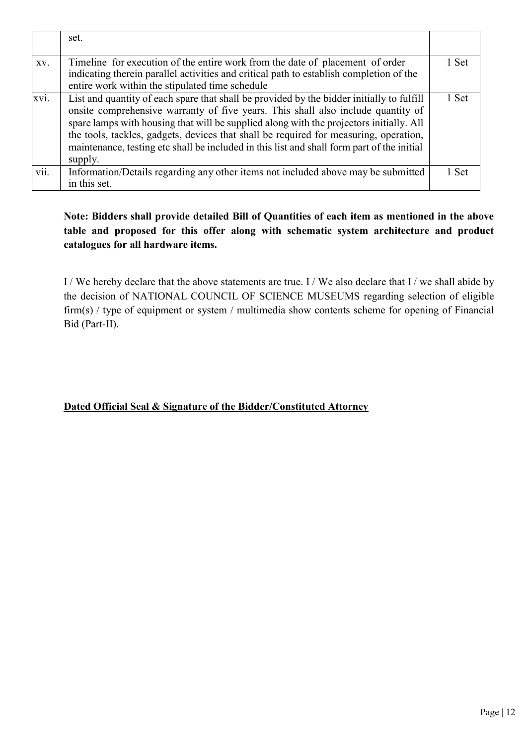|      | set.                                                                                                                                                                                                                                                                                                                                                                                                                                                            |       |
|------|-----------------------------------------------------------------------------------------------------------------------------------------------------------------------------------------------------------------------------------------------------------------------------------------------------------------------------------------------------------------------------------------------------------------------------------------------------------------|-------|
| XV.  | Timeline for execution of the entire work from the date of placement of order<br>indicating therein parallel activities and critical path to establish completion of the<br>entire work within the stipulated time schedule                                                                                                                                                                                                                                     | 1 Set |
| xvi. | List and quantity of each spare that shall be provided by the bidder initially to fulfill<br>onsite comprehensive warranty of five years. This shall also include quantity of<br>spare lamps with housing that will be supplied along with the projectors initially. All<br>the tools, tackles, gadgets, devices that shall be required for measuring, operation,<br>maintenance, testing etc shall be included in this list and shall form part of the initial | 1 Set |
| vii. | supply.<br>Information/Details regarding any other items not included above may be submitted<br>in this set.                                                                                                                                                                                                                                                                                                                                                    | 1 Set |

# Note: Bidders shall provide detailed Bill of Quantities of each item as mentioned in the above table and proposed for this offer along with schematic system architecture and product catalogues for all hardware items.

I / We hereby declare that the above statements are true. I / We also declare that I / we shall abide by the decision of NATIONAL COUNCIL OF SCIENCE MUSEUMS regarding selection of eligible firm(s) / type of equipment or system / multimedia show contents scheme for opening of Financial Bid (Part-II).

### Dated Official Seal & Signature of the Bidder/Constituted Attorney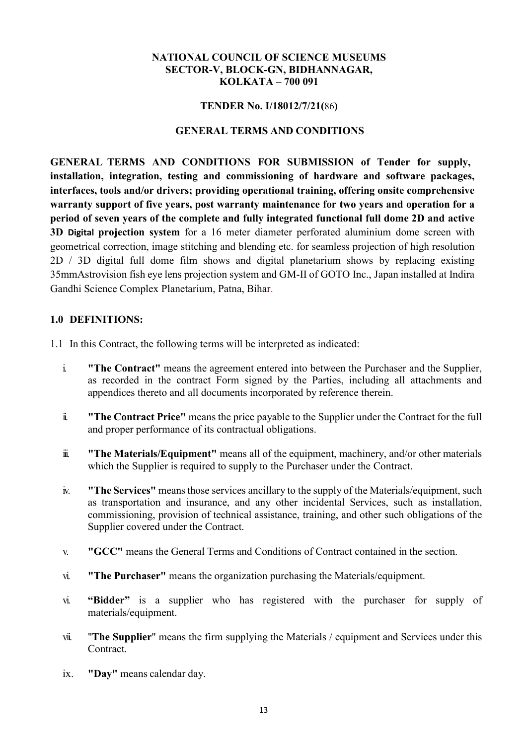#### NATIONAL COUNCIL OF SCIENCE MUSEUMS SECTOR-V, BLOCK-GN, BIDHANNAGAR, KOLKATA – 700 091

#### TENDER No. I/18012/7/21(86)

#### GENERAL TERMS AND CONDITIONS

GENERAL TERMS AND CONDITIONS FOR SUBMISSION of Tender for supply, installation, integration, testing and commissioning of hardware and software packages, interfaces, tools and/or drivers; providing operational training, offering onsite comprehensive warranty support of five years, post warranty maintenance for two years and operation for a period of seven years of the complete and fully integrated functional full dome 2D and active 3D Digital projection system for a 16 meter diameter perforated aluminium dome screen with geometrical correction, image stitching and blending etc. for seamless projection of high resolution 2D / 3D digital full dome film shows and digital planetarium shows by replacing existing 35mmAstrovision fish eye lens projection system and GM-II of GOTO Inc., Japan installed at Indira Gandhi Science Complex Planetarium, Patna, Bihar.

#### 1.0 DEFINITIONS:

1.1 In this Contract, the following terms will be interpreted as indicated:

- i. "The Contract" means the agreement entered into between the Purchaser and the Supplier, as recorded in the contract Form signed by the Parties, including all attachments and appendices thereto and all documents incorporated by reference therein.
- ii. "The Contract Price" means the price payable to the Supplier under the Contract for the full and proper performance of its contractual obligations.
- $\ddot{\mathbf{u}}$  "The Materials/Equipment" means all of the equipment, machinery, and/or other materials which the Supplier is required to supply to the Purchaser under the Contract.
- iv. "The Services" meansthose services ancillary to the supply of the Materials/equipment, such as transportation and insurance, and any other incidental Services, such as installation, commissioning, provision of technical assistance, training, and other such obligations of the Supplier covered under the Contract.
- v. "GCC" means the General Terms and Conditions of Contract contained in the section.
- vi. "The Purchaser" means the organization purchasing the Materials/equipment.
- vi. "Bidder" is a supplier who has registered with the purchaser for supply of materials/equipment.
- vii. "The Supplier" means the firm supplying the Materials / equipment and Services under this Contract.
- ix. "Day" means calendar day.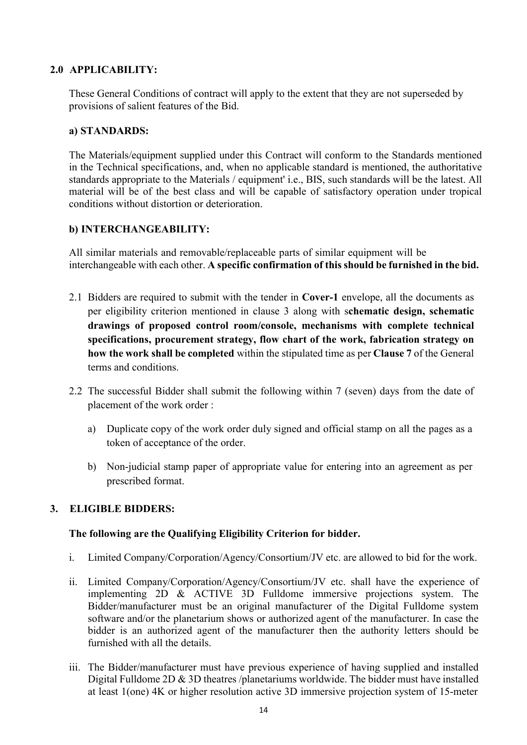#### 2.0 APPLICABILITY:

These General Conditions of contract will apply to the extent that they are not superseded by provisions of salient features of the Bid.

#### a) STANDARDS:

The Materials/equipment supplied under this Contract will conform to the Standards mentioned in the Technical specifications, and, when no applicable standard is mentioned, the authoritative standards appropriate to the Materials / equipment' i.e., BIS, such standards will be the latest. All material will be of the best class and will be capable of satisfactory operation under tropical conditions without distortion or deterioration.

### b) INTERCHANGEABILITY:

All similar materials and removable/replaceable parts of similar equipment will be interchangeable with each other. A specific confirmation of this should be furnished in the bid.

- 2.1 Bidders are required to submit with the tender in Cover-1 envelope, all the documents as per eligibility criterion mentioned in clause 3 along with schematic design, schematic drawings of proposed control room/console, mechanisms with complete technical specifications, procurement strategy, flow chart of the work, fabrication strategy on how the work shall be completed within the stipulated time as per Clause 7 of the General terms and conditions.
- 2.2 The successful Bidder shall submit the following within 7 (seven) days from the date of placement of the work order :
	- a) Duplicate copy of the work order duly signed and official stamp on all the pages as a token of acceptance of the order.
	- b) Non-judicial stamp paper of appropriate value for entering into an agreement as per prescribed format.

### 3. ELIGIBLE BIDDERS:

#### The following are the Qualifying Eligibility Criterion for bidder.

- i. Limited Company/Corporation/Agency/Consortium/JV etc. are allowed to bid for the work.
- ii. Limited Company/Corporation/Agency/Consortium/JV etc. shall have the experience of implementing 2D & ACTIVE 3D Fulldome immersive projections system. The Bidder/manufacturer must be an original manufacturer of the Digital Fulldome system software and/or the planetarium shows or authorized agent of the manufacturer. In case the bidder is an authorized agent of the manufacturer then the authority letters should be furnished with all the details.
- iii. The Bidder/manufacturer must have previous experience of having supplied and installed Digital Fulldome 2D & 3D theatres /planetariums worldwide. The bidder must have installed at least 1(one) 4K or higher resolution active 3D immersive projection system of 15-meter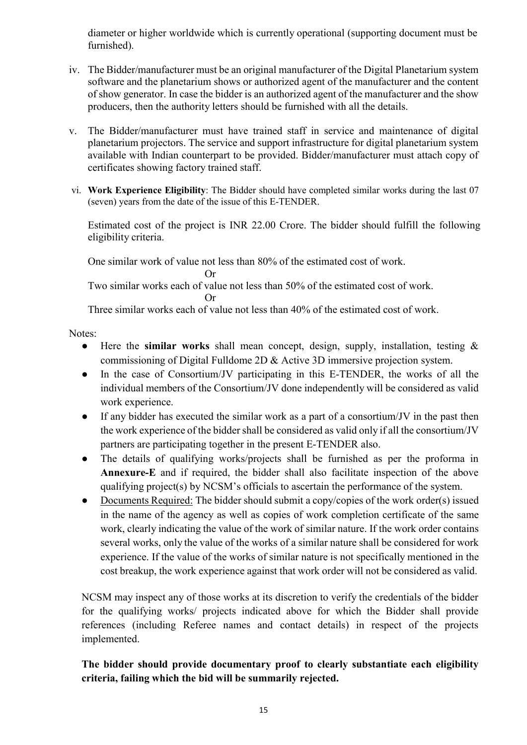diameter or higher worldwide which is currently operational (supporting document must be furnished).

- iv. The Bidder/manufacturer must be an original manufacturer of the Digital Planetarium system software and the planetarium shows or authorized agent of the manufacturer and the content of show generator. In case the bidder is an authorized agent of the manufacturer and the show producers, then the authority letters should be furnished with all the details.
- v. The Bidder/manufacturer must have trained staff in service and maintenance of digital planetarium projectors. The service and support infrastructure for digital planetarium system available with Indian counterpart to be provided. Bidder/manufacturer must attach copy of certificates showing factory trained staff.
- vi. Work Experience Eligibility: The Bidder should have completed similar works during the last 07 (seven) years from the date of the issue of this E-TENDER.

Estimated cost of the project is INR 22.00 Crore. The bidder should fulfill the following eligibility criteria.

One similar work of value not less than 80% of the estimated cost of work. Or Two similar works each of value not less than 50% of the estimated cost of work. Or Three similar works each of value not less than 40% of the estimated cost of work.

Notes:

- Here the similar works shall mean concept, design, supply, installation, testing  $\&$ commissioning of Digital Fulldome 2D & Active 3D immersive projection system.
- In the case of Consortium/JV participating in this E-TENDER, the works of all the individual members of the Consortium/JV done independently will be considered as valid work experience.
- If any bidder has executed the similar work as a part of a consortium/JV in the past then the work experience of the bidder shall be considered as valid only if all the consortium/JV partners are participating together in the present E-TENDER also.
- The details of qualifying works/projects shall be furnished as per the proforma in Annexure-E and if required, the bidder shall also facilitate inspection of the above qualifying project(s) by NCSM's officials to ascertain the performance of the system.
- Documents Required: The bidder should submit a copy/copies of the work order(s) issued in the name of the agency as well as copies of work completion certificate of the same work, clearly indicating the value of the work of similar nature. If the work order contains several works, only the value of the works of a similar nature shall be considered for work experience. If the value of the works of similar nature is not specifically mentioned in the cost breakup, the work experience against that work order will not be considered as valid.

NCSM may inspect any of those works at its discretion to verify the credentials of the bidder for the qualifying works/ projects indicated above for which the Bidder shall provide references (including Referee names and contact details) in respect of the projects implemented.

# The bidder should provide documentary proof to clearly substantiate each eligibility criteria, failing which the bid will be summarily rejected.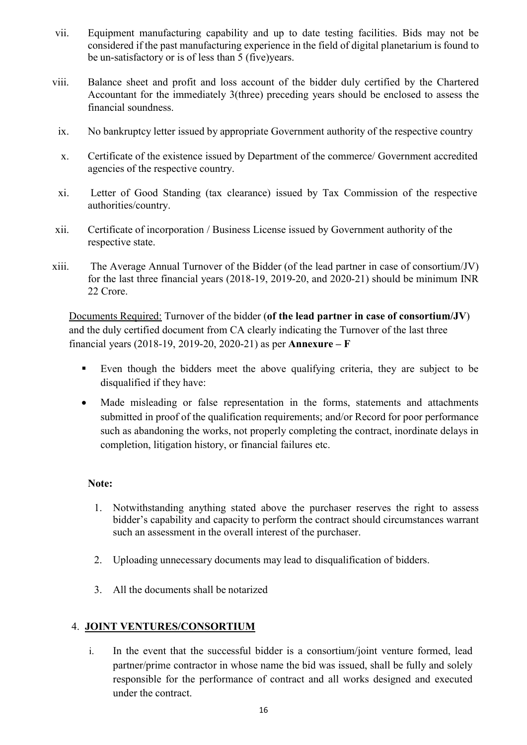- vii. Equipment manufacturing capability and up to date testing facilities. Bids may not be considered if the past manufacturing experience in the field of digital planetarium is found to be un-satisfactory or is of less than 5 (five)years.
- viii. Balance sheet and profit and loss account of the bidder duly certified by the Chartered Accountant for the immediately 3(three) preceding years should be enclosed to assess the financial soundness.
- ix. No bankruptcy letter issued by appropriate Government authority of the respective country
- x. Certificate of the existence issued by Department of the commerce/ Government accredited agencies of the respective country.
- xi. Letter of Good Standing (tax clearance) issued by Tax Commission of the respective authorities/country.
- xii. Certificate of incorporation / Business License issued by Government authority of the respective state.
- xiii. The Average Annual Turnover of the Bidder (of the lead partner in case of consortium/JV) for the last three financial years (2018-19, 2019-20, and 2020-21) should be minimum INR 22 Crore.

Documents Required: Turnover of the bidder (of the lead partner in case of consortium/JV) and the duly certified document from CA clearly indicating the Turnover of the last three financial years (2018-19, 2019-20, 2020-21) as per Annexure – F

- Even though the bidders meet the above qualifying criteria, they are subject to be disqualified if they have:
- Made misleading or false representation in the forms, statements and attachments submitted in proof of the qualification requirements; and/or Record for poor performance such as abandoning the works, not properly completing the contract, inordinate delays in completion, litigation history, or financial failures etc.

#### Note:

- 1. Notwithstanding anything stated above the purchaser reserves the right to assess bidder's capability and capacity to perform the contract should circumstances warrant such an assessment in the overall interest of the purchaser.
- 2. Uploading unnecessary documents may lead to disqualification of bidders.
- 3. All the documents shall be notarized

#### 4. JOINT VENTURES/CONSORTIUM

i. In the event that the successful bidder is a consortium/joint venture formed, lead partner/prime contractor in whose name the bid was issued, shall be fully and solely responsible for the performance of contract and all works designed and executed under the contract.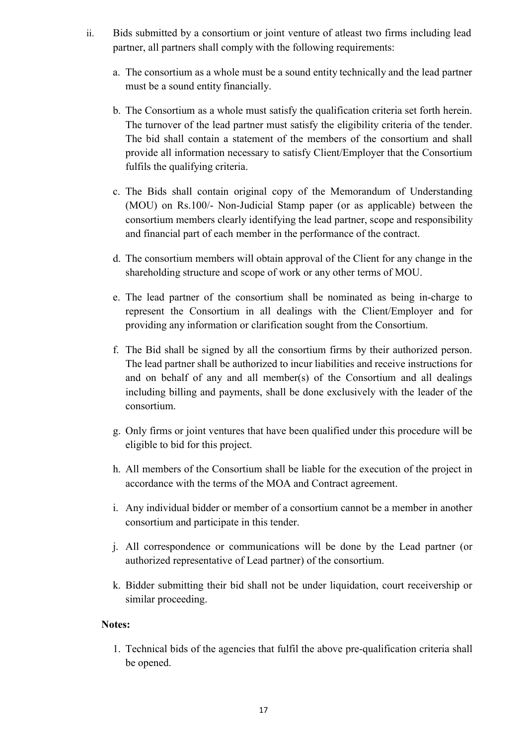- ii. Bids submitted by a consortium or joint venture of atleast two firms including lead partner, all partners shall comply with the following requirements:
	- a. The consortium as a whole must be a sound entity technically and the lead partner must be a sound entity financially.
	- b. The Consortium as a whole must satisfy the qualification criteria set forth herein. The turnover of the lead partner must satisfy the eligibility criteria of the tender. The bid shall contain a statement of the members of the consortium and shall provide all information necessary to satisfy Client/Employer that the Consortium fulfils the qualifying criteria.
	- c. The Bids shall contain original copy of the Memorandum of Understanding (MOU) on Rs.100/- Non-Judicial Stamp paper (or as applicable) between the consortium members clearly identifying the lead partner, scope and responsibility and financial part of each member in the performance of the contract.
	- d. The consortium members will obtain approval of the Client for any change in the shareholding structure and scope of work or any other terms of MOU.
	- e. The lead partner of the consortium shall be nominated as being in-charge to represent the Consortium in all dealings with the Client/Employer and for providing any information or clarification sought from the Consortium.
	- f. The Bid shall be signed by all the consortium firms by their authorized person. The lead partner shall be authorized to incur liabilities and receive instructions for and on behalf of any and all member(s) of the Consortium and all dealings including billing and payments, shall be done exclusively with the leader of the consortium.
	- g. Only firms or joint ventures that have been qualified under this procedure will be eligible to bid for this project.
	- h. All members of the Consortium shall be liable for the execution of the project in accordance with the terms of the MOA and Contract agreement.
	- i. Any individual bidder or member of a consortium cannot be a member in another consortium and participate in this tender.
	- j. All correspondence or communications will be done by the Lead partner (or authorized representative of Lead partner) of the consortium.
	- k. Bidder submitting their bid shall not be under liquidation, court receivership or similar proceeding.

#### Notes:

1. Technical bids of the agencies that fulfil the above pre-qualification criteria shall be opened.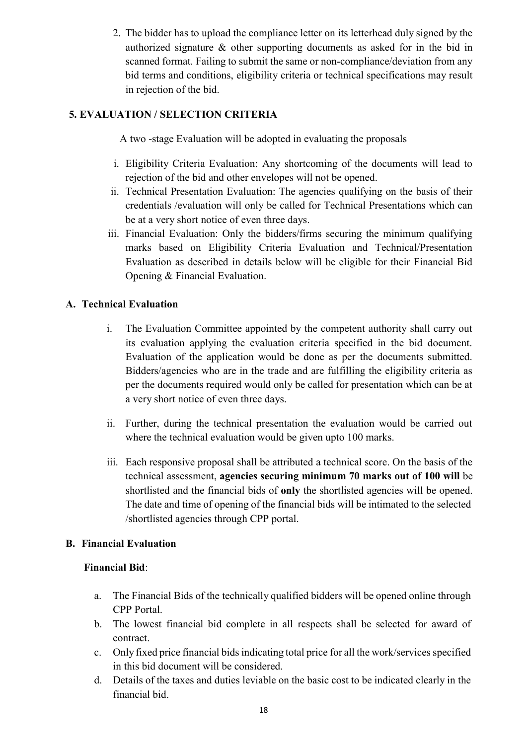2. The bidder has to upload the compliance letter on its letterhead duly signed by the authorized signature & other supporting documents as asked for in the bid in scanned format. Failing to submit the same or non-compliance/deviation from any bid terms and conditions, eligibility criteria or technical specifications may result in rejection of the bid.

# 5. EVALUATION / SELECTION CRITERIA

A two -stage Evaluation will be adopted in evaluating the proposals

- i. Eligibility Criteria Evaluation: Any shortcoming of the documents will lead to rejection of the bid and other envelopes will not be opened.
- ii. Technical Presentation Evaluation: The agencies qualifying on the basis of their credentials /evaluation will only be called for Technical Presentations which can be at a very short notice of even three days.
- iii. Financial Evaluation: Only the bidders/firms securing the minimum qualifying marks based on Eligibility Criteria Evaluation and Technical/Presentation Evaluation as described in details below will be eligible for their Financial Bid Opening & Financial Evaluation.

### A. Technical Evaluation

- i. The Evaluation Committee appointed by the competent authority shall carry out its evaluation applying the evaluation criteria specified in the bid document. Evaluation of the application would be done as per the documents submitted. Bidders/agencies who are in the trade and are fulfilling the eligibility criteria as per the documents required would only be called for presentation which can be at a very short notice of even three days.
- ii. Further, during the technical presentation the evaluation would be carried out where the technical evaluation would be given upto 100 marks.
- iii. Each responsive proposal shall be attributed a technical score. On the basis of the technical assessment, agencies securing minimum 70 marks out of 100 will be shortlisted and the financial bids of only the shortlisted agencies will be opened. The date and time of opening of the financial bids will be intimated to the selected /shortlisted agencies through CPP portal.

### B. Financial Evaluation

#### Financial Bid:

- a. The Financial Bids of the technically qualified bidders will be opened online through CPP Portal.
- b. The lowest financial bid complete in all respects shall be selected for award of contract.
- c. Only fixed price financial bids indicating total price for all the work/services specified in this bid document will be considered.
- d. Details of the taxes and duties leviable on the basic cost to be indicated clearly in the financial bid.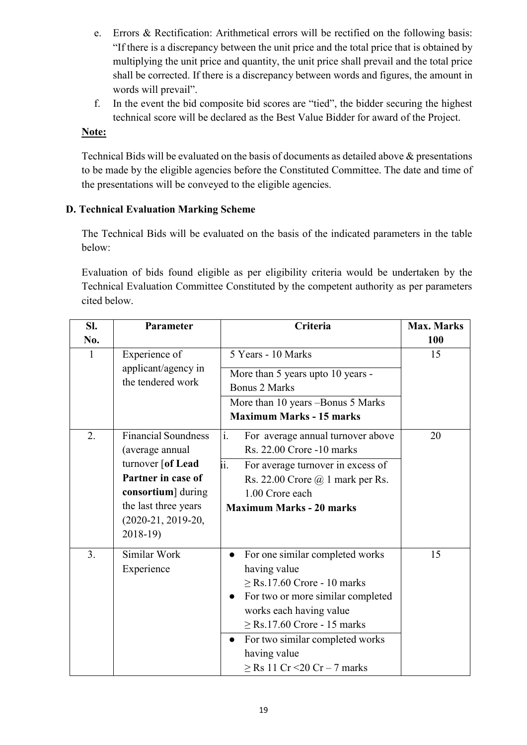- e. Errors & Rectification: Arithmetical errors will be rectified on the following basis: "If there is a discrepancy between the unit price and the total price that is obtained by multiplying the unit price and quantity, the unit price shall prevail and the total price shall be corrected. If there is a discrepancy between words and figures, the amount in words will prevail".
- f. In the event the bid composite bid scores are "tied", the bidder securing the highest technical score will be declared as the Best Value Bidder for award of the Project.

### Note:

Technical Bids will be evaluated on the basis of documents as detailed above & presentations to be made by the eligible agencies before the Constituted Committee. The date and time of the presentations will be conveyed to the eligible agencies.

### D. Technical Evaluation Marking Scheme

The Technical Bids will be evaluated on the basis of the indicated parameters in the table below:

Evaluation of bids found eligible as per eligibility criteria would be undertaken by the Technical Evaluation Committee Constituted by the competent authority as per parameters cited below.

| SI.          | Parameter                                     | Criteria                                                                                                                             | <b>Max. Marks</b> |
|--------------|-----------------------------------------------|--------------------------------------------------------------------------------------------------------------------------------------|-------------------|
| No.          |                                               |                                                                                                                                      | 100               |
| $\mathbf{1}$ | Experience of                                 | 5 Years - 10 Marks                                                                                                                   | 15                |
|              | applicant/agency in<br>the tendered work      | More than 5 years upto 10 years -<br><b>Bonus 2 Marks</b>                                                                            |                   |
|              |                                               | More than 10 years -Bonus 5 Marks                                                                                                    |                   |
|              |                                               | <b>Maximum Marks - 15 marks</b>                                                                                                      |                   |
| 2.           | <b>Financial Soundness</b><br>(average annual | i.<br>For average annual turnover above<br>Rs. 22.00 Crore -10 marks                                                                 | 20                |
|              | turnover [of Lead                             | ii.<br>For average turnover in excess of                                                                                             |                   |
|              | Partner in case of                            | Rs. 22.00 Crore $\omega$ 1 mark per Rs.                                                                                              |                   |
|              | consortium] during                            | 1.00 Crore each                                                                                                                      |                   |
|              | the last three years                          | <b>Maximum Marks - 20 marks</b>                                                                                                      |                   |
|              | $(2020-21, 2019-20,$                          |                                                                                                                                      |                   |
|              | $2018-19$                                     |                                                                                                                                      |                   |
| 3.           | Similar Work<br>Experience                    | For one similar completed works<br>$\bullet$<br>having value<br>$\ge$ Rs.17.60 Crore - 10 marks<br>For two or more similar completed | 15                |
|              |                                               | works each having value                                                                                                              |                   |
|              |                                               | $\ge$ Rs.17.60 Crore - 15 marks                                                                                                      |                   |
|              |                                               | For two similar completed works                                                                                                      |                   |
|              |                                               | having value                                                                                                                         |                   |
|              |                                               | $\ge$ Rs 11 Cr < 20 Cr – 7 marks                                                                                                     |                   |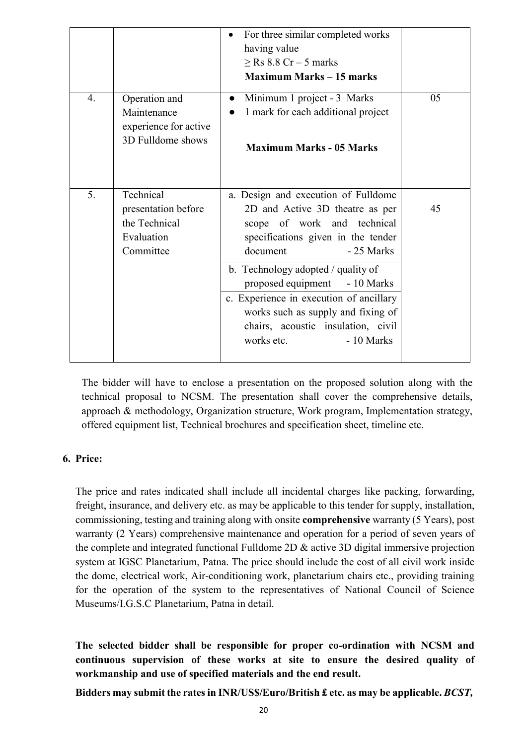|    |                                                                              | For three similar completed works<br>having value<br>$\ge$ Rs 8.8 Cr – 5 marks<br><b>Maximum Marks – 15 marks</b>                                                                                                                                                                                                                                                                                   |    |
|----|------------------------------------------------------------------------------|-----------------------------------------------------------------------------------------------------------------------------------------------------------------------------------------------------------------------------------------------------------------------------------------------------------------------------------------------------------------------------------------------------|----|
| 4. | Operation and<br>Maintenance<br>experience for active<br>3D Fulldome shows   | Minimum 1 project - 3 Marks<br>$\bullet$<br>1 mark for each additional project<br>$\bullet$<br><b>Maximum Marks - 05 Marks</b>                                                                                                                                                                                                                                                                      | 05 |
| 5. | Technical<br>presentation before<br>the Technical<br>Evaluation<br>Committee | a. Design and execution of Fulldome<br>2D and Active 3D theatre as per<br>scope of work and technical<br>specifications given in the tender<br>- 25 Marks<br>document<br>b. Technology adopted / quality of<br>proposed equipment<br>$-10$ Marks<br>c. Experience in execution of ancillary<br>works such as supply and fixing of<br>chairs, acoustic insulation, civil<br>works etc.<br>- 10 Marks | 45 |

The bidder will have to enclose a presentation on the proposed solution along with the technical proposal to NCSM. The presentation shall cover the comprehensive details, approach & methodology, Organization structure, Work program, Implementation strategy, offered equipment list, Technical brochures and specification sheet, timeline etc.

### 6. Price:

The price and rates indicated shall include all incidental charges like packing, forwarding, freight, insurance, and delivery etc. as may be applicable to this tender for supply, installation, commissioning, testing and training along with onsite comprehensive warranty (5 Years), post warranty (2 Years) comprehensive maintenance and operation for a period of seven years of the complete and integrated functional Fulldome 2D & active 3D digital immersive projection system at IGSC Planetarium, Patna. The price should include the cost of all civil work inside the dome, electrical work, Air-conditioning work, planetarium chairs etc., providing training for the operation of the system to the representatives of National Council of Science Museums/I.G.S.C Planetarium, Patna in detail.

The selected bidder shall be responsible for proper co-ordination with NCSM and continuous supervision of these works at site to ensure the desired quality of workmanship and use of specified materials and the end result.

Bidders may submit the ratesin INR/US\$/Euro/British £ etc. as may be applicable. *BCST,*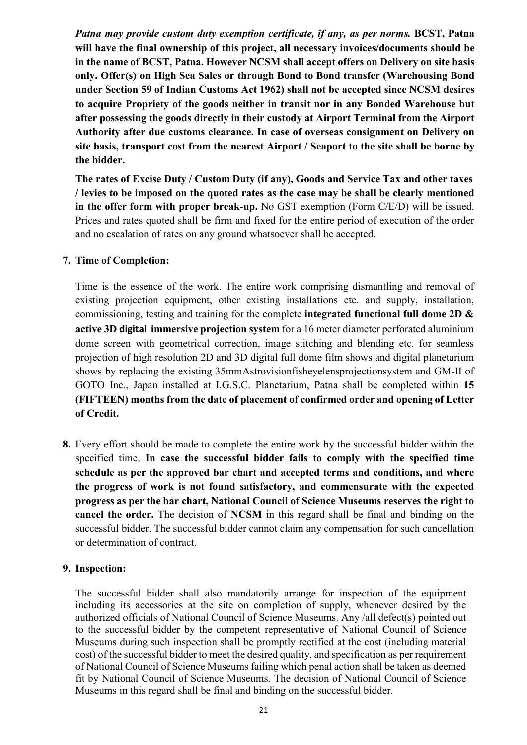*Patna may provide custom duty exemption certificate, if any, as per norms.* BCST, Patna will have the final ownership of this project, all necessary invoices/documents should be in the name of BCST, Patna. However NCSM shall accept offers on Delivery on site basis only. Offer(s) on High Sea Sales or through Bond to Bond transfer (Warehousing Bond under Section 59 of Indian Customs Act 1962) shall not be accepted since NCSM desires to acquire Propriety of the goods neither in transit nor in any Bonded Warehouse but after possessing the goods directly in their custody at Airport Terminal from the Airport Authority after due customs clearance. In case of overseas consignment on Delivery on site basis, transport cost from the nearest Airport / Seaport to the site shall be borne by the bidder.

The rates of Excise Duty / Custom Duty (if any), Goods and Service Tax and other taxes / levies to be imposed on the quoted rates as the case may be shall be clearly mentioned in the offer form with proper break-up. No GST exemption (Form C/E/D) will be issued. Prices and rates quoted shall be firm and fixed for the entire period of execution of the order and no escalation of rates on any ground whatsoever shall be accepted.

#### 7. Time of Completion:

Time is the essence of the work. The entire work comprising dismantling and removal of existing projection equipment, other existing installations etc. and supply, installation, commissioning, testing and training for the complete integrated functional full dome 2D  $\&$ active 3D digital immersive projection system for a 16 meter diameter perforated aluminium dome screen with geometrical correction, image stitching and blending etc. for seamless projection of high resolution 2D and 3D digital full dome film shows and digital planetarium shows by replacing the existing 35mmAstrovisionfisheyelensprojectionsystem and GM-II of GOTO Inc., Japan installed at I.G.S.C. Planetarium, Patna shall be completed within 15 (FIFTEEN) months from the date of placement of confirmed order and opening of Letter of Credit.

8. Every effort should be made to complete the entire work by the successful bidder within the specified time. In case the successful bidder fails to comply with the specified time schedule as per the approved bar chart and accepted terms and conditions, and where the progress of work is not found satisfactory, and commensurate with the expected progress as per the bar chart, National Council of Science Museums reserves the right to cancel the order. The decision of NCSM in this regard shall be final and binding on the successful bidder. The successful bidder cannot claim any compensation for such cancellation or determination of contract.

#### 9. Inspection:

The successful bidder shall also mandatorily arrange for inspection of the equipment including its accessories at the site on completion of supply, whenever desired by the authorized officials of National Council of Science Museums. Any /all defect(s) pointed out to the successful bidder by the competent representative of National Council of Science Museums during such inspection shall be promptly rectified at the cost (including material cost) of the successful bidder to meet the desired quality, and specification as per requirement of National Council of Science Museums failing which penal action shall be taken as deemed fit by National Council of Science Museums. The decision of National Council of Science Museums in this regard shall be final and binding on the successful bidder.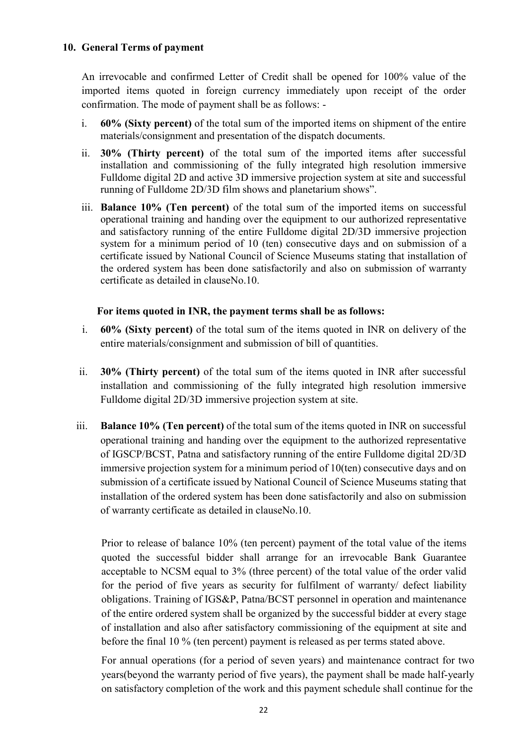#### 10. General Terms of payment

An irrevocable and confirmed Letter of Credit shall be opened for 100% value of the imported items quoted in foreign currency immediately upon receipt of the order confirmation. The mode of payment shall be as follows: -

- i. 60% (Sixty percent) of the total sum of the imported items on shipment of the entire materials/consignment and presentation of the dispatch documents.
- ii. 30% (Thirty percent) of the total sum of the imported items after successful installation and commissioning of the fully integrated high resolution immersive Fulldome digital 2D and active 3D immersive projection system at site and successful running of Fulldome 2D/3D film shows and planetarium shows".
- iii. Balance 10% (Ten percent) of the total sum of the imported items on successful operational training and handing over the equipment to our authorized representative and satisfactory running of the entire Fulldome digital 2D/3D immersive projection system for a minimum period of 10 (ten) consecutive days and on submission of a certificate issued by National Council of Science Museums stating that installation of the ordered system has been done satisfactorily and also on submission of warranty certificate as detailed in clauseNo.10.

#### For items quoted in INR, the payment terms shall be as follows:

- i. 60% (Sixty percent) of the total sum of the items quoted in INR on delivery of the entire materials/consignment and submission of bill of quantities.
- ii. 30% (Thirty percent) of the total sum of the items quoted in INR after successful installation and commissioning of the fully integrated high resolution immersive Fulldome digital 2D/3D immersive projection system at site.
- iii. Balance 10% (Ten percent) of the total sum of the items quoted in INR on successful operational training and handing over the equipment to the authorized representative of IGSCP/BCST, Patna and satisfactory running of the entire Fulldome digital 2D/3D immersive projection system for a minimum period of 10(ten) consecutive days and on submission of a certificate issued by National Council of Science Museums stating that installation of the ordered system has been done satisfactorily and also on submission of warranty certificate as detailed in clauseNo.10.

Prior to release of balance 10% (ten percent) payment of the total value of the items quoted the successful bidder shall arrange for an irrevocable Bank Guarantee acceptable to NCSM equal to 3% (three percent) of the total value of the order valid for the period of five years as security for fulfilment of warranty/ defect liability obligations. Training of IGS&P, Patna/BCST personnel in operation and maintenance of the entire ordered system shall be organized by the successful bidder at every stage of installation and also after satisfactory commissioning of the equipment at site and before the final 10 % (ten percent) payment is released as per terms stated above.

For annual operations (for a period of seven years) and maintenance contract for two years(beyond the warranty period of five years), the payment shall be made half-yearly on satisfactory completion of the work and this payment schedule shall continue for the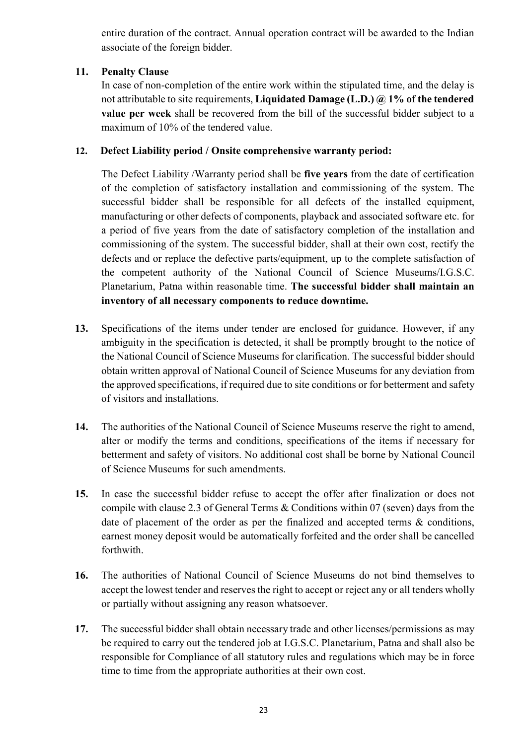entire duration of the contract. Annual operation contract will be awarded to the Indian associate of the foreign bidder.

### 11. Penalty Clause

In case of non-completion of the entire work within the stipulated time, and the delay is not attributable to site requirements, Liquidated Damage (L.D.)  $\omega$  1% of the tendered value per week shall be recovered from the bill of the successful bidder subject to a maximum of 10% of the tendered value.

### 12. Defect Liability period / Onsite comprehensive warranty period:

The Defect Liability /Warranty period shall be five years from the date of certification of the completion of satisfactory installation and commissioning of the system. The successful bidder shall be responsible for all defects of the installed equipment, manufacturing or other defects of components, playback and associated software etc. for a period of five years from the date of satisfactory completion of the installation and commissioning of the system. The successful bidder, shall at their own cost, rectify the defects and or replace the defective parts/equipment, up to the complete satisfaction of the competent authority of the National Council of Science Museums/I.G.S.C. Planetarium, Patna within reasonable time. The successful bidder shall maintain an inventory of all necessary components to reduce downtime.

- 13. Specifications of the items under tender are enclosed for guidance. However, if any ambiguity in the specification is detected, it shall be promptly brought to the notice of the National Council of Science Museums for clarification. The successful bidder should obtain written approval of National Council of Science Museums for any deviation from the approved specifications, if required due to site conditions or for betterment and safety of visitors and installations.
- 14. The authorities of the National Council of Science Museums reserve the right to amend, alter or modify the terms and conditions, specifications of the items if necessary for betterment and safety of visitors. No additional cost shall be borne by National Council of Science Museums for such amendments.
- 15. In case the successful bidder refuse to accept the offer after finalization or does not compile with clause 2.3 of General Terms & Conditions within 07 (seven) days from the date of placement of the order as per the finalized and accepted terms & conditions, earnest money deposit would be automatically forfeited and the order shall be cancelled forthwith.
- 16. The authorities of National Council of Science Museums do not bind themselves to accept the lowest tender and reserves the right to accept or reject any or all tenders wholly or partially without assigning any reason whatsoever.
- 17. The successful bidder shall obtain necessary trade and other licenses/permissions as may be required to carry out the tendered job at I.G.S.C. Planetarium, Patna and shall also be responsible for Compliance of all statutory rules and regulations which may be in force time to time from the appropriate authorities at their own cost.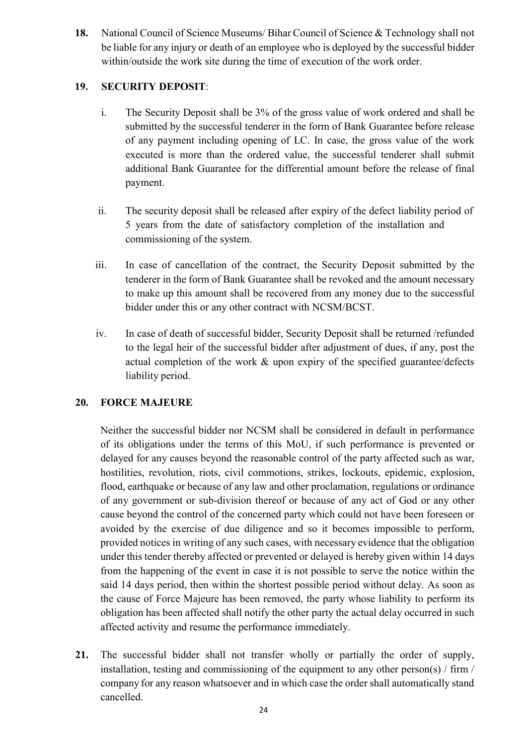18. National Council of Science Museums/ Bihar Council of Science & Technology shall not be liable for any injury or death of an employee who is deployed by the successful bidder within/outside the work site during the time of execution of the work order.

### 19. SECURITY DEPOSIT:

- i. The Security Deposit shall be 3% of the gross value of work ordered and shall be submitted by the successful tenderer in the form of Bank Guarantee before release of any payment including opening of LC. In case, the gross value of the work executed is more than the ordered value, the successful tenderer shall submit additional Bank Guarantee for the differential amount before the release of final payment.
- ii. The security deposit shall be released after expiry of the defect liability period of 5 years from the date of satisfactory completion of the installation and commissioning of the system.
- iii. In case of cancellation of the contract, the Security Deposit submitted by the tenderer in the form of Bank Guarantee shall be revoked and the amount necessary to make up this amount shall be recovered from any money due to the successful bidder under this or any other contract with NCSM/BCST.
- iv. In case of death of successful bidder, Security Deposit shall be returned /refunded to the legal heir of the successful bidder after adjustment of dues, if any, post the actual completion of the work & upon expiry of the specified guarantee/defects liability period.

### 20. FORCE MAJEURE

Neither the successful bidder nor NCSM shall be considered in default in performance of its obligations under the terms of this MoU, if such performance is prevented or delayed for any causes beyond the reasonable control of the party affected such as war, hostilities, revolution, riots, civil commotions, strikes, lockouts, epidemic, explosion, flood, earthquake or because of any law and other proclamation, regulations or ordinance of any government or sub-division thereof or because of any act of God or any other cause beyond the control of the concerned party which could not have been foreseen or avoided by the exercise of due diligence and so it becomes impossible to perform, provided notices in writing of any such cases, with necessary evidence that the obligation under this tender thereby affected or prevented or delayed is hereby given within 14 days from the happening of the event in case it is not possible to serve the notice within the said 14 days period, then within the shortest possible period without delay. As soon as the cause of Force Majeure has been removed, the party whose liability to perform its obligation has been affected shall notify the other party the actual delay occurred in such affected activity and resume the performance immediately.

21. The successful bidder shall not transfer wholly or partially the order of supply, installation, testing and commissioning of the equipment to any other person(s) / firm / company for any reason whatsoever and in which case the order shall automatically stand cancelled.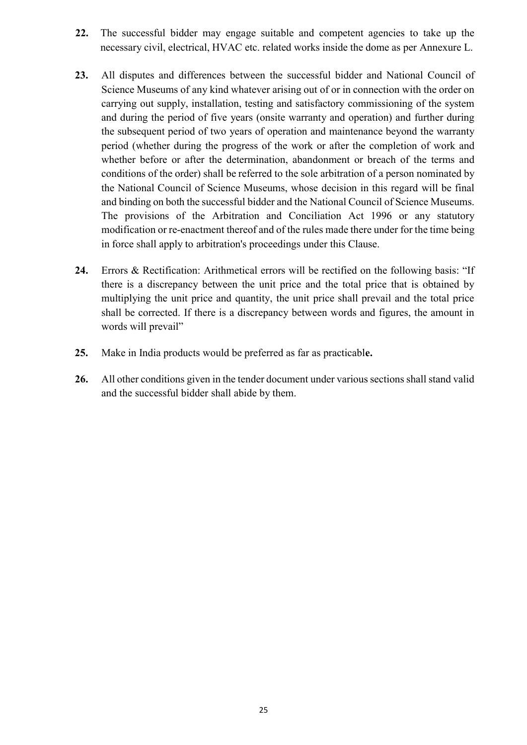- 22. The successful bidder may engage suitable and competent agencies to take up the necessary civil, electrical, HVAC etc. related works inside the dome as per Annexure L.
- 23. All disputes and differences between the successful bidder and National Council of Science Museums of any kind whatever arising out of or in connection with the order on carrying out supply, installation, testing and satisfactory commissioning of the system and during the period of five years (onsite warranty and operation) and further during the subsequent period of two years of operation and maintenance beyond the warranty period (whether during the progress of the work or after the completion of work and whether before or after the determination, abandonment or breach of the terms and conditions of the order) shall be referred to the sole arbitration of a person nominated by the National Council of Science Museums, whose decision in this regard will be final and binding on both the successful bidder and the National Council of Science Museums. The provisions of the Arbitration and Conciliation Act 1996 or any statutory modification or re-enactment thereof and of the rules made there under for the time being in force shall apply to arbitration's proceedings under this Clause.
- 24. Errors & Rectification: Arithmetical errors will be rectified on the following basis: "If there is a discrepancy between the unit price and the total price that is obtained by multiplying the unit price and quantity, the unit price shall prevail and the total price shall be corrected. If there is a discrepancy between words and figures, the amount in words will prevail"
- 25. Make in India products would be preferred as far as practicable.
- 26. All other conditions given in the tender document under various sections shall stand valid and the successful bidder shall abide by them.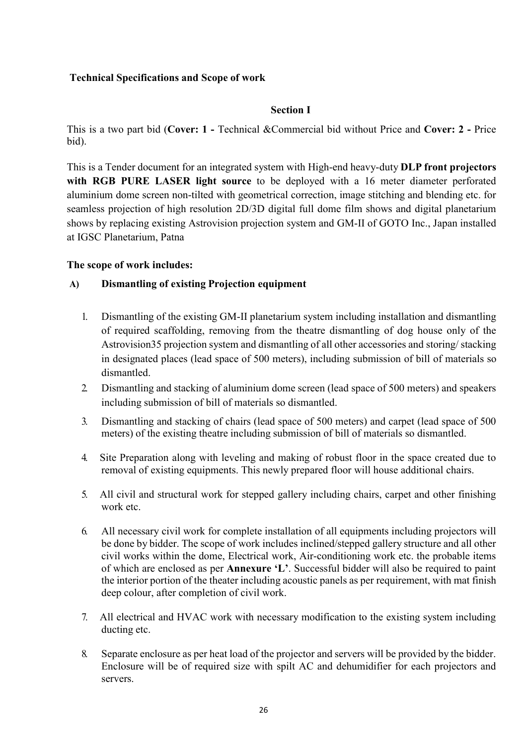#### Technical Specifications and Scope of work

#### Section I

This is a two part bid (Cover: 1 - Technical &Commercial bid without Price and Cover: 2 - Price bid).

This is a Tender document for an integrated system with High-end heavy-duty DLP front projectors with RGB PURE LASER light source to be deployed with a 16 meter diameter perforated aluminium dome screen non-tilted with geometrical correction, image stitching and blending etc. for seamless projection of high resolution 2D/3D digital full dome film shows and digital planetarium shows by replacing existing Astrovision projection system and GM-II of GOTO Inc., Japan installed at IGSC Planetarium, Patna

#### The scope of work includes:

#### A) Dismantling of existing Projection equipment

- 1. Dismantling of the existing GM-II planetarium system including installation and dismantling of required scaffolding, removing from the theatre dismantling of dog house only of the Astrovision35 projection system and dismantling of all other accessories and storing/ stacking in designated places (lead space of 500 meters), including submission of bill of materials so dismantled.
- 2. Dismantling and stacking of aluminium dome screen (lead space of 500 meters) and speakers including submission of bill of materials so dismantled.
- 3. Dismantling and stacking of chairs (lead space of 500 meters) and carpet (lead space of 500 meters) of the existing theatre including submission of bill of materials so dismantled.
- 4. Site Preparation along with leveling and making of robust floor in the space created due to removal of existing equipments. This newly prepared floor will house additional chairs.
- 5. All civil and structural work for stepped gallery including chairs, carpet and other finishing work etc.
- 6. All necessary civil work for complete installation of all equipments including projectors will be done by bidder. The scope of work includes inclined/stepped gallery structure and all other civil works within the dome, Electrical work, Air-conditioning work etc. the probable items of which are enclosed as per Annexure 'L'. Successful bidder will also be required to paint the interior portion of the theater including acoustic panels as per requirement, with mat finish deep colour, after completion of civil work.
- 7. All electrical and HVAC work with necessary modification to the existing system including ducting etc.
- 8. Separate enclosure as per heat load of the projector and servers will be provided by the bidder. Enclosure will be of required size with spilt AC and dehumidifier for each projectors and servers.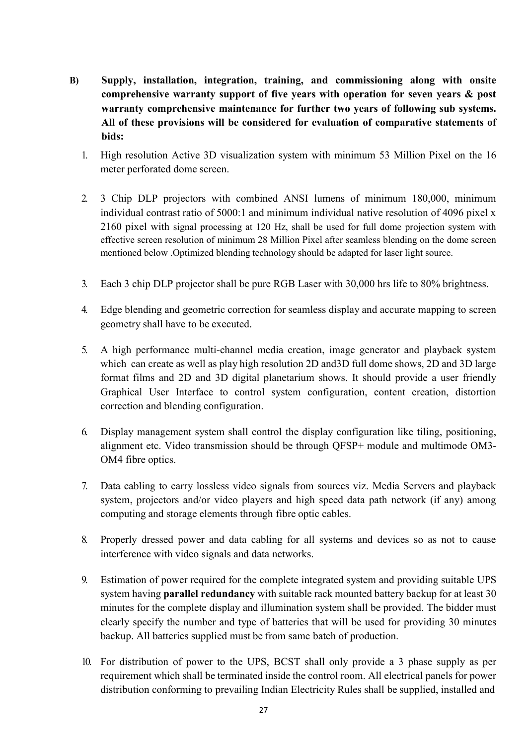- B) Supply, installation, integration, training, and commissioning along with onsite comprehensive warranty support of five years with operation for seven years & post warranty comprehensive maintenance for further two years of following sub systems. All of these provisions will be considered for evaluation of comparative statements of bids:
	- 1. High resolution Active 3D visualization system with minimum 53 Million Pixel on the 16 meter perforated dome screen.
	- 2. 3 Chip DLP projectors with combined ANSI lumens of minimum 180,000, minimum individual contrast ratio of 5000:1 and minimum individual native resolution of 4096 pixel x 2160 pixel with signal processing at 120 Hz, shall be used for full dome projection system with effective screen resolution of minimum 28 Million Pixel after seamless blending on the dome screen mentioned below .Optimized blending technology should be adapted for laser light source.
	- 3. Each 3 chip DLP projector shall be pure RGB Laser with 30,000 hrs life to 80% brightness.
	- 4. Edge blending and geometric correction for seamless display and accurate mapping to screen geometry shall have to be executed.
	- 5. A high performance multi-channel media creation, image generator and playback system which can create as well as play high resolution 2D and3D full dome shows, 2D and 3D large format films and 2D and 3D digital planetarium shows. It should provide a user friendly Graphical User Interface to control system configuration, content creation, distortion correction and blending configuration.
	- 6. Display management system shall control the display configuration like tiling, positioning, alignment etc. Video transmission should be through QFSP+ module and multimode OM3- OM4 fibre optics.
	- 7. Data cabling to carry lossless video signals from sources viz. Media Servers and playback system, projectors and/or video players and high speed data path network (if any) among computing and storage elements through fibre optic cables.
	- 8. Properly dressed power and data cabling for all systems and devices so as not to cause interference with video signals and data networks.
	- 9. Estimation of power required for the complete integrated system and providing suitable UPS system having parallel redundancy with suitable rack mounted battery backup for at least 30 minutes for the complete display and illumination system shall be provided. The bidder must clearly specify the number and type of batteries that will be used for providing 30 minutes backup. All batteries supplied must be from same batch of production.
	- 10. For distribution of power to the UPS, BCST shall only provide a 3 phase supply as per requirement which shall be terminated inside the control room. All electrical panels for power distribution conforming to prevailing Indian Electricity Rules shall be supplied, installed and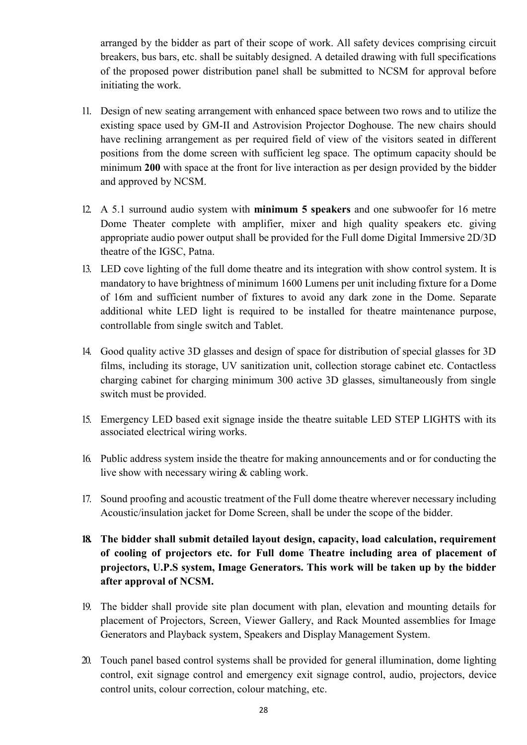arranged by the bidder as part of their scope of work. All safety devices comprising circuit breakers, bus bars, etc. shall be suitably designed. A detailed drawing with full specifications of the proposed power distribution panel shall be submitted to NCSM for approval before initiating the work.

- 11. Design of new seating arrangement with enhanced space between two rows and to utilize the existing space used by GM-II and Astrovision Projector Doghouse. The new chairs should have reclining arrangement as per required field of view of the visitors seated in different positions from the dome screen with sufficient leg space. The optimum capacity should be minimum 200 with space at the front for live interaction as per design provided by the bidder and approved by NCSM.
- 12. A 5.1 surround audio system with minimum 5 speakers and one subwoofer for 16 metre Dome Theater complete with amplifier, mixer and high quality speakers etc. giving appropriate audio power output shall be provided for the Full dome Digital Immersive 2D/3D theatre of the IGSC, Patna.
- 13. LED cove lighting of the full dome theatre and its integration with show control system. It is mandatory to have brightness of minimum 1600 Lumens per unit including fixture for a Dome of 16m and sufficient number of fixtures to avoid any dark zone in the Dome. Separate additional white LED light is required to be installed for theatre maintenance purpose, controllable from single switch and Tablet.
- 14. Good quality active 3D glasses and design of space for distribution of special glasses for 3D films, including its storage, UV sanitization unit, collection storage cabinet etc. Contactless charging cabinet for charging minimum 300 active 3D glasses, simultaneously from single switch must be provided.
- 15. Emergency LED based exit signage inside the theatre suitable LED STEP LIGHTS with its associated electrical wiring works.
- 16. Public address system inside the theatre for making announcements and or for conducting the live show with necessary wiring & cabling work.
- 17. Sound proofing and acoustic treatment of the Full dome theatre wherever necessary including Acoustic/insulation jacket for Dome Screen, shall be under the scope of the bidder.
- 18. The bidder shall submit detailed layout design, capacity, load calculation, requirement of cooling of projectors etc. for Full dome Theatre including area of placement of projectors, U.P.S system, Image Generators. This work will be taken up by the bidder after approval of NCSM.
- 19. The bidder shall provide site plan document with plan, elevation and mounting details for placement of Projectors, Screen, Viewer Gallery, and Rack Mounted assemblies for Image Generators and Playback system, Speakers and Display Management System.
- 20. Touch panel based control systems shall be provided for general illumination, dome lighting control, exit signage control and emergency exit signage control, audio, projectors, device control units, colour correction, colour matching, etc.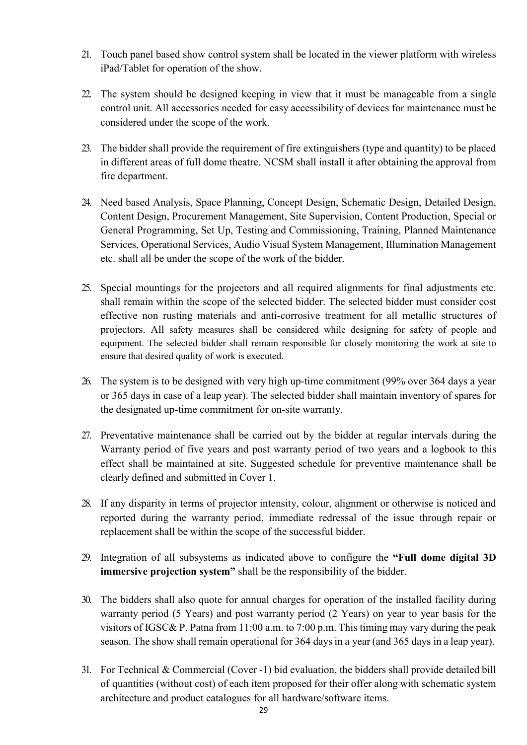- 21. Touch panel based show control system shall be located in the viewer platform with wireless iPad/Tablet for operation of the show.
- 22. The system should be designed keeping in view that it must be manageable from a single control unit. All accessories needed for easy accessibility of devices for maintenance must be considered under the scope of the work.
- 23. The bidder shall provide the requirement of fire extinguishers (type and quantity) to be placed in different areas of full dome theatre. NCSM shall install it after obtaining the approval from fire department.
- 24. Need based Analysis, Space Planning, Concept Design, Schematic Design, Detailed Design, Content Design, Procurement Management, Site Supervision, Content Production, Special or General Programming, Set Up, Testing and Commissioning, Training, Planned Maintenance Services, Operational Services, Audio Visual System Management, Illumination Management etc. shall all be under the scope of the work of the bidder.
- 25. Special mountings for the projectors and all required alignments for final adjustments etc. shall remain within the scope of the selected bidder. The selected bidder must consider cost effective non rusting materials and anti-corrosive treatment for all metallic structures of projectors. All safety measures shall be considered while designing for safety of people and equipment. The selected bidder shall remain responsible for closely monitoring the work at site to ensure that desired quality of work is executed.
- 26. The system is to be designed with very high up-time commitment (99% over 364 days a year or 365 days in case of a leap year). The selected bidder shall maintain inventory of spares for the designated up-time commitment for on-site warranty.
- 27. Preventative maintenance shall be carried out by the bidder at regular intervals during the Warranty period of five years and post warranty period of two years and a logbook to this effect shall be maintained at site. Suggested schedule for preventive maintenance shall be clearly defined and submitted in Cover 1.
- 28. If any disparity in terms of projector intensity, colour, alignment or otherwise is noticed and reported during the warranty period, immediate redressal of the issue through repair or replacement shall be within the scope of the successful bidder.
- 29. Integration of all subsystems as indicated above to configure the "Full dome digital 3D immersive projection system" shall be the responsibility of the bidder.
- 30. The bidders shall also quote for annual charges for operation of the installed facility during warranty period (5 Years) and post warranty period (2 Years) on year to year basis for the visitors of IGSC& P, Patna from 11:00 a.m. to 7:00 p.m. This timing may vary during the peak season. The show shall remain operational for 364 days in a year (and 365 days in a leap year).
- 31. For Technical & Commercial (Cover -1) bid evaluation, the bidders shall provide detailed bill of quantities (without cost) of each item proposed for their offer along with schematic system architecture and product catalogues for all hardware/software items.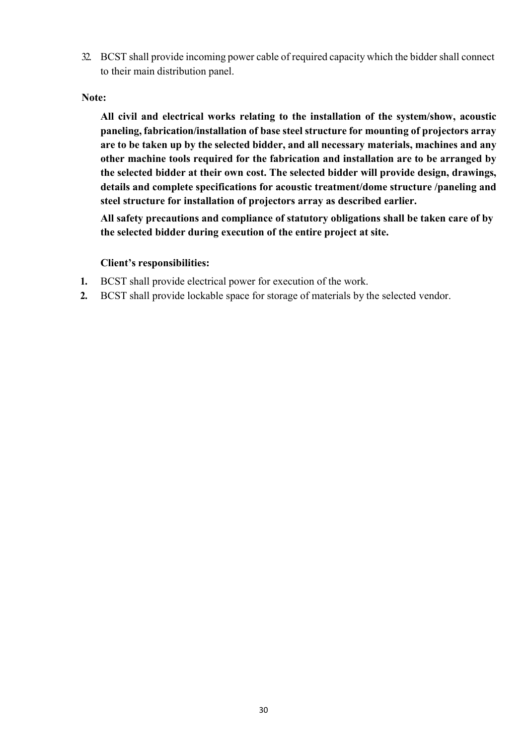32. BCST shall provide incoming power cable of required capacity which the bidder shall connect to their main distribution panel.

Note:

All civil and electrical works relating to the installation of the system/show, acoustic paneling, fabrication/installation of base steel structure for mounting of projectors array are to be taken up by the selected bidder, and all necessary materials, machines and any other machine tools required for the fabrication and installation are to be arranged by the selected bidder at their own cost. The selected bidder will provide design, drawings, details and complete specifications for acoustic treatment/dome structure /paneling and steel structure for installation of projectors array as described earlier.

All safety precautions and compliance of statutory obligations shall be taken care of by the selected bidder during execution of the entire project at site.

#### Client's responsibilities:

- 1. BCST shall provide electrical power for execution of the work.
- 2. BCST shall provide lockable space for storage of materials by the selected vendor.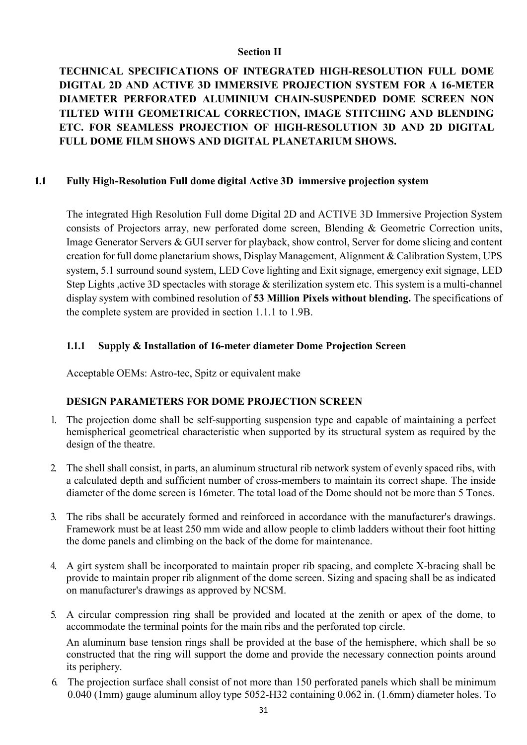#### Section II

TECHNICAL SPECIFICATIONS OF INTEGRATED HIGH-RESOLUTION FULL DOME DIGITAL 2D AND ACTIVE 3D IMMERSIVE PROJECTION SYSTEM FOR A 16-METER DIAMETER PERFORATED ALUMINIUM CHAIN-SUSPENDED DOME SCREEN NON TILTED WITH GEOMETRICAL CORRECTION, IMAGE STITCHING AND BLENDING ETC. FOR SEAMLESS PROJECTION OF HIGH-RESOLUTION 3D AND 2D DIGITAL FULL DOME FILM SHOWS AND DIGITAL PLANETARIUM SHOWS.

#### 1.1 Fully High-Resolution Full dome digital Active 3D immersive projection system

The integrated High Resolution Full dome Digital 2D and ACTIVE 3D Immersive Projection System consists of Projectors array, new perforated dome screen, Blending & Geometric Correction units, Image Generator Servers & GUI server for playback, show control, Server for dome slicing and content creation for full dome planetarium shows, Display Management, Alignment & Calibration System, UPS system, 5.1 surround sound system, LED Cove lighting and Exit signage, emergency exit signage, LED Step Lights , active 3D spectacles with storage & sterilization system etc. This system is a multi-channel display system with combined resolution of 53 Million Pixels without blending. The specifications of the complete system are provided in section 1.1.1 to 1.9B.

### 1.1.1 Supply & Installation of 16-meter diameter Dome Projection Screen

Acceptable OEMs: Astro-tec, Spitz or equivalent make

### DESIGN PARAMETERS FOR DOME PROJECTION SCREEN

- 1. The projection dome shall be self-supporting suspension type and capable of maintaining a perfect hemispherical geometrical characteristic when supported by its structural system as required by the design of the theatre.
- 2. The shell shall consist, in parts, an aluminum structural rib network system of evenly spaced ribs, with a calculated depth and sufficient number of cross-members to maintain its correct shape. The inside diameter of the dome screen is 16meter. The total load of the Dome should not be more than 5 Tones.
- 3. The ribs shall be accurately formed and reinforced in accordance with the manufacturer's drawings. Framework must be at least 250 mm wide and allow people to climb ladders without their foot hitting the dome panels and climbing on the back of the dome for maintenance.
- 4. A girt system shall be incorporated to maintain proper rib spacing, and complete X-bracing shall be provide to maintain proper rib alignment of the dome screen. Sizing and spacing shall be as indicated on manufacturer's drawings as approved by NCSM.
- 5. A circular compression ring shall be provided and located at the zenith or apex of the dome, to accommodate the terminal points for the main ribs and the perforated top circle.

An aluminum base tension rings shall be provided at the base of the hemisphere, which shall be so constructed that the ring will support the dome and provide the necessary connection points around its periphery.

6. The projection surface shall consist of not more than 150 perforated panels which shall be minimum 0.040 (1mm) gauge aluminum alloy type 5052-H32 containing 0.062 in. (1.6mm) diameter holes. To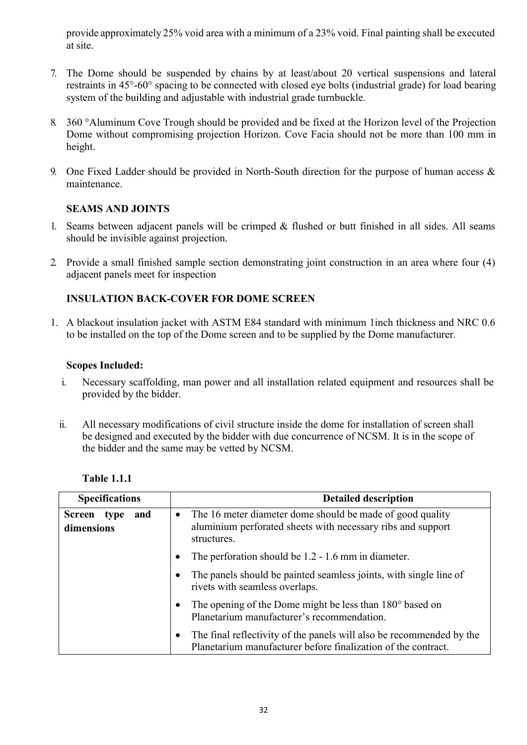provide approximately 25% void area with a minimum of a 23% void. Final painting shall be executed at site.

- 7. The Dome should be suspended by chains by at least/about 20 vertical suspensions and lateral restraints in 45°-60° spacing to be connected with closed eye bolts (industrial grade) for load bearing system of the building and adjustable with industrial grade turnbuckle.
- 8. 360 °Aluminum Cove Trough should be provided and be fixed at the Horizon level of the Projection Dome without compromising projection Horizon. Cove Facia should not be more than 100 mm in height.
- 9. One Fixed Ladder should be provided in North-South direction for the purpose of human access & maintenance.

#### SEAMS AND JOINTS

- 1. Seams between adjacent panels will be crimped & flushed or butt finished in all sides. All seams should be invisible against projection.
- 2. Provide a small finished sample section demonstrating joint construction in an area where four (4) adjacent panels meet for inspection

#### INSULATION BACK-COVER FOR DOME SCREEN

1. A blackout insulation jacket with ASTM E84 standard with minimum 1inch thickness and NRC 0.6 to be installed on the top of the Dome screen and to be supplied by the Dome manufacturer.

#### Scopes Included:

- i. Necessary scaffolding, man power and all installation related equipment and resources shall be provided by the bidder.
- ii. All necessary modifications of civil structure inside the dome for installation of screen shall be designed and executed by the bidder with due concurrence of NCSM. It is in the scope of the bidder and the same may be vetted by NCSM.

| <b>Table 1.1.1</b> |  |
|--------------------|--|
|--------------------|--|

| <b>Specifications</b>            | <b>Detailed description</b>                                                                                                                          |
|----------------------------------|------------------------------------------------------------------------------------------------------------------------------------------------------|
| Screen type<br>and<br>dimensions | The 16 meter diameter dome should be made of good quality<br>$\bullet$<br>aluminium perforated sheets with necessary ribs and support<br>structures. |
|                                  | The perforation should be 1.2 - 1.6 mm in diameter.                                                                                                  |
|                                  | The panels should be painted seamless joints, with single line of<br>rivets with seamless overlaps.                                                  |
|                                  | The opening of the Dome might be less than $180^\circ$ based on<br>Planetarium manufacturer's recommendation.                                        |
|                                  | The final reflectivity of the panels will also be recommended by the<br>Planetarium manufacturer before finalization of the contract.                |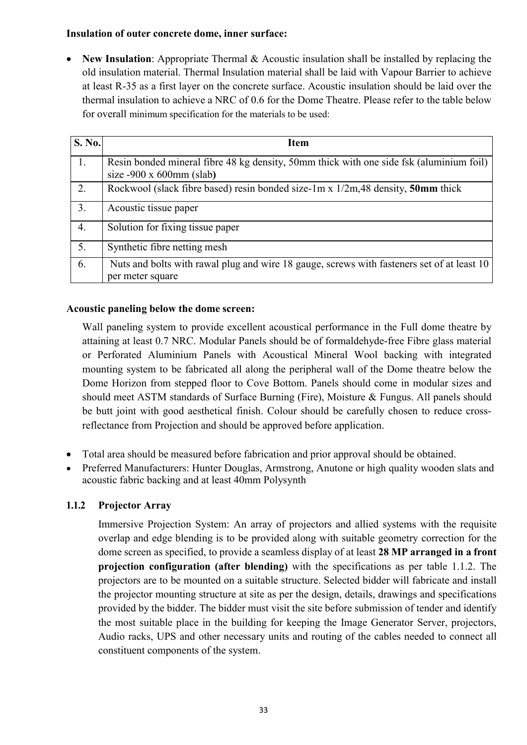#### Insulation of outer concrete dome, inner surface:

• New Insulation: Appropriate Thermal  $&$  Acoustic insulation shall be installed by replacing the old insulation material. Thermal Insulation material shall be laid with Vapour Barrier to achieve at least R-35 as a first layer on the concrete surface. Acoustic insulation should be laid over the thermal insulation to achieve a NRC of 0.6 for the Dome Theatre. Please refer to the table below for overall minimum specification for the materials to be used:

| S. No. | Item                                                                                                                        |
|--------|-----------------------------------------------------------------------------------------------------------------------------|
| 1.     | Resin bonded mineral fibre 48 kg density, 50mm thick with one side fsk (aluminium foil)<br>size $-900 \times 600$ mm (slab) |
| 2.     | Rockwool (slack fibre based) resin bonded size-1m x $1/2m,48$ density, 50mm thick                                           |
| 3.     | Acoustic tissue paper                                                                                                       |
| 4.     | Solution for fixing tissue paper                                                                                            |
| 5.     | Synthetic fibre netting mesh                                                                                                |
| 6.     | Nuts and bolts with rawal plug and wire 18 gauge, screws with fasteners set of at least 10<br>per meter square              |

#### Acoustic paneling below the dome screen:

Wall paneling system to provide excellent acoustical performance in the Full dome theatre by attaining at least 0.7 NRC. Modular Panels should be of formaldehyde-free Fibre glass material or Perforated Aluminium Panels with Acoustical Mineral Wool backing with integrated mounting system to be fabricated all along the peripheral wall of the Dome theatre below the Dome Horizon from stepped floor to Cove Bottom. Panels should come in modular sizes and should meet ASTM standards of Surface Burning (Fire), Moisture & Fungus. All panels should be butt joint with good aesthetical finish. Colour should be carefully chosen to reduce crossreflectance from Projection and should be approved before application.

- Total area should be measured before fabrication and prior approval should be obtained.
- Preferred Manufacturers: Hunter Douglas, Armstrong, Anutone or high quality wooden slats and acoustic fabric backing and at least 40mm Polysynth

#### 1.1.2 Projector Array

Immersive Projection System: An array of projectors and allied systems with the requisite overlap and edge blending is to be provided along with suitable geometry correction for the dome screen as specified, to provide a seamless display of at least 28 MP arranged in a front projection configuration (after blending) with the specifications as per table 1.1.2. The projectors are to be mounted on a suitable structure. Selected bidder will fabricate and install the projector mounting structure at site as per the design, details, drawings and specifications provided by the bidder. The bidder must visit the site before submission of tender and identify the most suitable place in the building for keeping the Image Generator Server, projectors, Audio racks, UPS and other necessary units and routing of the cables needed to connect all constituent components of the system.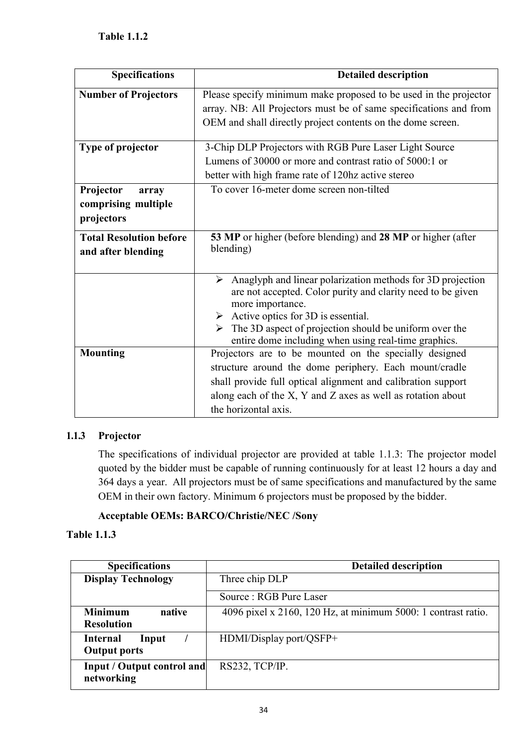| <b>Specifications</b>                                   | <b>Detailed description</b>                                                                                                                                                                                                                                                                                                             |  |
|---------------------------------------------------------|-----------------------------------------------------------------------------------------------------------------------------------------------------------------------------------------------------------------------------------------------------------------------------------------------------------------------------------------|--|
| <b>Number of Projectors</b>                             | Please specify minimum make proposed to be used in the projector<br>array. NB: All Projectors must be of same specifications and from<br>OEM and shall directly project contents on the dome screen.                                                                                                                                    |  |
| Type of projector                                       | 3-Chip DLP Projectors with RGB Pure Laser Light Source<br>Lumens of 30000 or more and contrast ratio of 5000:1 or<br>better with high frame rate of 120hz active stereo                                                                                                                                                                 |  |
| Projector<br>array<br>comprising multiple<br>projectors | To cover 16-meter dome screen non-tilted                                                                                                                                                                                                                                                                                                |  |
| <b>Total Resolution before</b><br>and after blending    | 53 MP or higher (before blending) and 28 MP or higher (after<br>blending)                                                                                                                                                                                                                                                               |  |
|                                                         | $\triangleright$ Anaglyph and linear polarization methods for 3D projection<br>are not accepted. Color purity and clarity need to be given<br>more importance.<br>Active optics for 3D is essential.<br>$\triangleright$ The 3D aspect of projection should be uniform over the<br>entire dome including when using real-time graphics. |  |
| <b>Mounting</b>                                         | Projectors are to be mounted on the specially designed<br>structure around the dome periphery. Each mount/cradle<br>shall provide full optical alignment and calibration support<br>along each of the X, Y and Z axes as well as rotation about<br>the horizontal axis.                                                                 |  |

### 1.1.3 Projector

The specifications of individual projector are provided at table 1.1.3: The projector model quoted by the bidder must be capable of running continuously for at least 12 hours a day and 364 days a year. All projectors must be of same specifications and manufactured by the same OEM in their own factory. Minimum 6 projectors must be proposed by the bidder.

### Acceptable OEMs: BARCO/Christie/NEC /Sony

### Table 1.1.3

| <b>Specifications</b>                           | <b>Detailed description</b>                                   |
|-------------------------------------------------|---------------------------------------------------------------|
| <b>Display Technology</b>                       | Three chip DLP                                                |
|                                                 | Source: RGB Pure Laser                                        |
| <b>Minimum</b><br>native<br><b>Resolution</b>   | 4096 pixel x 2160, 120 Hz, at minimum 5000: 1 contrast ratio. |
| <b>Internal</b><br>Input<br><b>Output ports</b> | $HDMI/Display port/QSFP+$                                     |
| Input / Output control and<br>networking        | RS232, TCP/IP.                                                |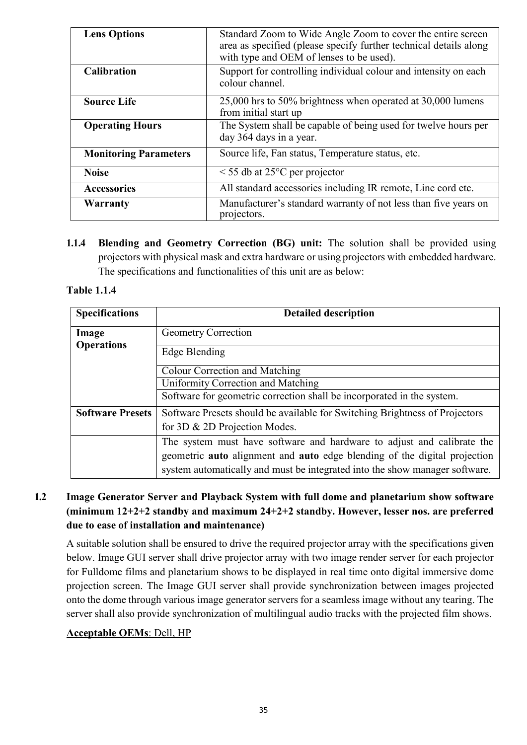| <b>Lens Options</b>          | Standard Zoom to Wide Angle Zoom to cover the entire screen<br>area as specified (please specify further technical details along<br>with type and OEM of lenses to be used). |
|------------------------------|------------------------------------------------------------------------------------------------------------------------------------------------------------------------------|
| <b>Calibration</b>           | Support for controlling individual colour and intensity on each<br>colour channel.                                                                                           |
| <b>Source Life</b>           | 25,000 hrs to 50% brightness when operated at 30,000 lumens<br>from initial start up                                                                                         |
| <b>Operating Hours</b>       | The System shall be capable of being used for twelve hours per<br>day 364 days in a year.                                                                                    |
| <b>Monitoring Parameters</b> | Source life, Fan status, Temperature status, etc.                                                                                                                            |
| <b>Noise</b>                 | $\le$ 55 db at 25 $\degree$ C per projector                                                                                                                                  |
| <b>Accessories</b>           | All standard accessories including IR remote, Line cord etc.                                                                                                                 |
| Warranty                     | Manufacturer's standard warranty of not less than five years on<br>projectors.                                                                                               |

1.1.4 Blending and Geometry Correction (BG) unit: The solution shall be provided using projectors with physical mask and extra hardware or using projectors with embedded hardware. The specifications and functionalities of this unit are as below:

### Table 1.1.4

| <b>Specifications</b>      | <b>Detailed description</b>                                                 |
|----------------------------|-----------------------------------------------------------------------------|
| Image<br><b>Operations</b> | <b>Geometry Correction</b>                                                  |
|                            | Edge Blending                                                               |
|                            | <b>Colour Correction and Matching</b>                                       |
|                            | Uniformity Correction and Matching                                          |
|                            | Software for geometric correction shall be incorporated in the system.      |
| <b>Software Presets</b>    | Software Presets should be available for Switching Brightness of Projectors |
|                            | for 3D & 2D Projection Modes.                                               |
|                            | The system must have software and hardware to adjust and calibrate the      |
|                            | geometric auto alignment and auto edge blending of the digital projection   |
|                            | system automatically and must be integrated into the show manager software. |

# 1.2 Image Generator Server and Playback System with full dome and planetarium show software (minimum 12+2+2 standby and maximum 24+2+2 standby. However, lesser nos. are preferred due to ease of installation and maintenance)

A suitable solution shall be ensured to drive the required projector array with the specifications given below. Image GUI server shall drive projector array with two image render server for each projector for Fulldome films and planetarium shows to be displayed in real time onto digital immersive dome projection screen. The Image GUI server shall provide synchronization between images projected onto the dome through various image generator servers for a seamless image without any tearing. The server shall also provide synchronization of multilingual audio tracks with the projected film shows.

### Acceptable OEMs: Dell, HP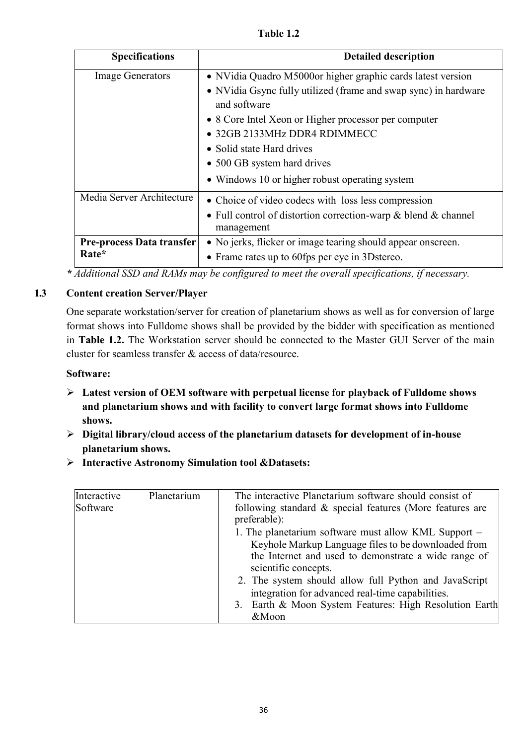| <b>Table 1</b> |  |
|----------------|--|
|----------------|--|

| <b>Specifications</b>            | <b>Detailed description</b>                                                     |
|----------------------------------|---------------------------------------------------------------------------------|
| <b>Image Generators</b>          | • NVidia Quadro M5000or higher graphic cards latest version                     |
|                                  | • NVidia Gsync fully utilized (frame and swap sync) in hardware<br>and software |
|                                  | • 8 Core Intel Xeon or Higher processor per computer                            |
|                                  | • 32GB 2133MHz DDR4 RDIMMECC                                                    |
|                                  | • Solid state Hard drives                                                       |
|                                  | • 500 GB system hard drives                                                     |
|                                  | • Windows 10 or higher robust operating system                                  |
| Media Server Architecture        | • Choice of video codecs with loss less compression                             |
|                                  | • Full control of distortion correction-warp & blend & channel<br>management    |
| <b>Pre-process Data transfer</b> | • No jerks, flicker or image tearing should appear onscreen.                    |
| Rate*                            | • Frame rates up to 60fps per eye in 3D stereo.                                 |

*\* Additional SSD and RAMs may be configured to meet the overall specifications, if necessary.*

### 1.3 Content creation Server/Player

One separate workstation/server for creation of planetarium shows as well as for conversion of large format shows into Fulldome shows shall be provided by the bidder with specification as mentioned in Table 1.2. The Workstation server should be connected to the Master GUI Server of the main cluster for seamless transfer & access of data/resource.

#### Software:

- $\triangleright$  Latest version of OEM software with perpetual license for playback of Fulldome shows and planetarium shows and with facility to convert large format shows into Fulldome shows.
- $\triangleright$  Digital library/cloud access of the planetarium datasets for development of in-house planetarium shows.
- Interactive Astronomy Simulation tool &Datasets:

| Interactive | Planetarium                                            | The interactive Planetarium software should consist of                   |
|-------------|--------------------------------------------------------|--------------------------------------------------------------------------|
| Software    |                                                        | following standard & special features (More features are<br>preferable): |
|             | 1. The planetarium software must allow KML Support $-$ |                                                                          |
|             | Keyhole Markup Language files to be downloaded from    |                                                                          |
|             | the Internet and used to demonstrate a wide range of   |                                                                          |
|             |                                                        | scientific concepts.                                                     |
|             |                                                        | 2. The system should allow full Python and JavaScript                    |
|             |                                                        | integration for advanced real-time capabilities.                         |
|             |                                                        | 3. Earth & Moon System Features: High Resolution Earth                   |
|             |                                                        | &Moon                                                                    |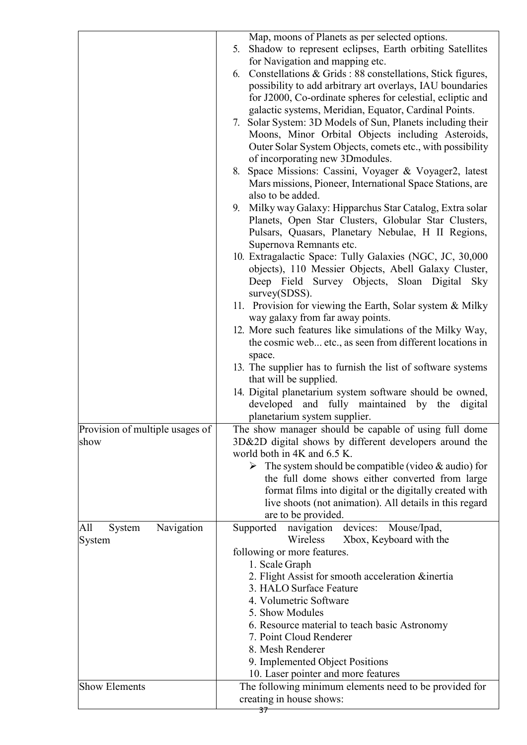|                                       | Map, moons of Planets as per selected options.<br>5. Shadow to represent eclipses, Earth orbiting Satellites<br>for Navigation and mapping etc.<br>Constellations & Grids : 88 constellations, Stick figures,<br>6.<br>possibility to add arbitrary art overlays, IAU boundaries<br>for J2000, Co-ordinate spheres for celestial, ecliptic and<br>galactic systems, Meridian, Equator, Cardinal Points.<br>7. Solar System: 3D Models of Sun, Planets including their<br>Moons, Minor Orbital Objects including Asteroids,<br>Outer Solar System Objects, comets etc., with possibility<br>of incorporating new 3D modules.<br>Space Missions: Cassini, Voyager & Voyager2, latest<br>8.<br>Mars missions, Pioneer, International Space Stations, are<br>also to be added.<br>9. Milky way Galaxy: Hipparchus Star Catalog, Extra solar<br>Planets, Open Star Clusters, Globular Star Clusters,<br>Pulsars, Quasars, Planetary Nebulae, H II Regions,<br>Supernova Remnants etc.<br>10. Extragalactic Space: Tully Galaxies (NGC, JC, 30,000<br>objects), 110 Messier Objects, Abell Galaxy Cluster,<br>Deep Field Survey Objects, Sloan Digital Sky<br>survey(SDSS).<br>11. Provision for viewing the Earth, Solar system & Milky<br>way galaxy from far away points.<br>12. More such features like simulations of the Milky Way,<br>the cosmic web etc., as seen from different locations in<br>space.<br>13. The supplier has to furnish the list of software systems<br>that will be supplied.<br>14. Digital planetarium system software should be owned,<br>developed and fully maintained by the digital<br>planetarium system supplier. |
|---------------------------------------|--------------------------------------------------------------------------------------------------------------------------------------------------------------------------------------------------------------------------------------------------------------------------------------------------------------------------------------------------------------------------------------------------------------------------------------------------------------------------------------------------------------------------------------------------------------------------------------------------------------------------------------------------------------------------------------------------------------------------------------------------------------------------------------------------------------------------------------------------------------------------------------------------------------------------------------------------------------------------------------------------------------------------------------------------------------------------------------------------------------------------------------------------------------------------------------------------------------------------------------------------------------------------------------------------------------------------------------------------------------------------------------------------------------------------------------------------------------------------------------------------------------------------------------------------------------------------------------------------------------------------------------------------|
| Provision of multiple usages of       | The show manager should be capable of using full dome                                                                                                                                                                                                                                                                                                                                                                                                                                                                                                                                                                                                                                                                                                                                                                                                                                                                                                                                                                                                                                                                                                                                                                                                                                                                                                                                                                                                                                                                                                                                                                                            |
| show                                  | 3D&2D digital shows by different developers around the<br>world both in 4K and 6.5 K.                                                                                                                                                                                                                                                                                                                                                                                                                                                                                                                                                                                                                                                                                                                                                                                                                                                                                                                                                                                                                                                                                                                                                                                                                                                                                                                                                                                                                                                                                                                                                            |
|                                       | $\triangleright$ The system should be compatible (video & audio) for<br>the full dome shows either converted from large<br>format films into digital or the digitally created with<br>live shoots (not animation). All details in this regard<br>are to be provided.                                                                                                                                                                                                                                                                                                                                                                                                                                                                                                                                                                                                                                                                                                                                                                                                                                                                                                                                                                                                                                                                                                                                                                                                                                                                                                                                                                             |
| System<br>Navigation<br>All<br>System | devices: Mouse/Ipad,<br>Supported<br>navigation<br>Wireless<br>Xbox, Keyboard with the                                                                                                                                                                                                                                                                                                                                                                                                                                                                                                                                                                                                                                                                                                                                                                                                                                                                                                                                                                                                                                                                                                                                                                                                                                                                                                                                                                                                                                                                                                                                                           |
|                                       | following or more features.<br>1. Scale Graph<br>2. Flight Assist for smooth acceleration &inertia<br>3. HALO Surface Feature<br>4. Volumetric Software<br>5. Show Modules<br>6. Resource material to teach basic Astronomy<br>7. Point Cloud Renderer<br>8. Mesh Renderer<br>9. Implemented Object Positions<br>10. Laser pointer and more features                                                                                                                                                                                                                                                                                                                                                                                                                                                                                                                                                                                                                                                                                                                                                                                                                                                                                                                                                                                                                                                                                                                                                                                                                                                                                             |
| <b>Show Elements</b>                  | The following minimum elements need to be provided for                                                                                                                                                                                                                                                                                                                                                                                                                                                                                                                                                                                                                                                                                                                                                                                                                                                                                                                                                                                                                                                                                                                                                                                                                                                                                                                                                                                                                                                                                                                                                                                           |
|                                       | creating in house shows:<br>37                                                                                                                                                                                                                                                                                                                                                                                                                                                                                                                                                                                                                                                                                                                                                                                                                                                                                                                                                                                                                                                                                                                                                                                                                                                                                                                                                                                                                                                                                                                                                                                                                   |
|                                       |                                                                                                                                                                                                                                                                                                                                                                                                                                                                                                                                                                                                                                                                                                                                                                                                                                                                                                                                                                                                                                                                                                                                                                                                                                                                                                                                                                                                                                                                                                                                                                                                                                                  |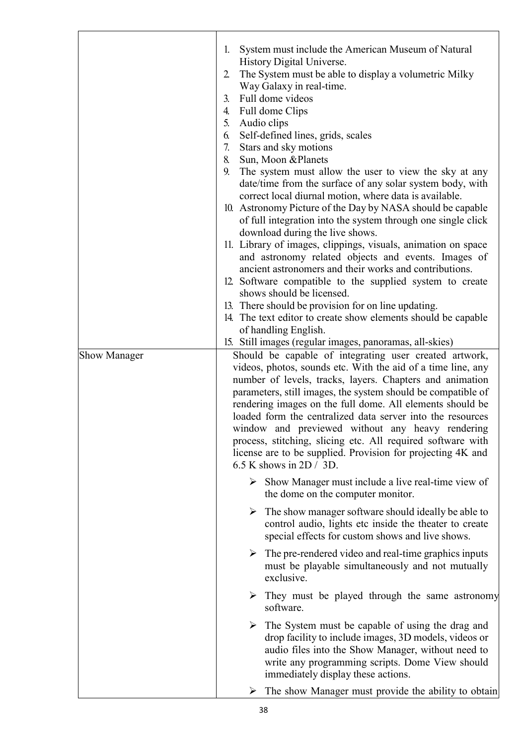|                     | 1.<br>System must include the American Museum of Natural<br>History Digital Universe.                                                                                                                                                                                                                                                                                                                                                                                                                                                                                                         |
|---------------------|-----------------------------------------------------------------------------------------------------------------------------------------------------------------------------------------------------------------------------------------------------------------------------------------------------------------------------------------------------------------------------------------------------------------------------------------------------------------------------------------------------------------------------------------------------------------------------------------------|
|                     | The System must be able to display a volumetric Milky<br>2.<br>Way Galaxy in real-time.<br>Full dome videos<br>$\mathfrak{Z}$ .<br>Full dome Clips<br>4.<br>5.<br>Audio clips<br>6.<br>Self-defined lines, grids, scales<br>7.<br>Stars and sky motions<br>8.<br>Sun, Moon & Planets<br>9.<br>The system must allow the user to view the sky at any<br>date/time from the surface of any solar system body, with                                                                                                                                                                              |
|                     | correct local diurnal motion, where data is available.<br>10. Astronomy Picture of the Day by NASA should be capable<br>of full integration into the system through one single click<br>download during the live shows.<br>11. Library of images, clippings, visuals, animation on space<br>and astronomy related objects and events. Images of                                                                                                                                                                                                                                               |
|                     | ancient astronomers and their works and contributions.<br>12. Software compatible to the supplied system to create<br>shows should be licensed.<br>13. There should be provision for on line updating.<br>14. The text editor to create show elements should be capable                                                                                                                                                                                                                                                                                                                       |
|                     | of handling English.<br>15. Still images (regular images, panoramas, all-skies)                                                                                                                                                                                                                                                                                                                                                                                                                                                                                                               |
| <b>Show Manager</b> | Should be capable of integrating user created artwork,<br>videos, photos, sounds etc. With the aid of a time line, any<br>number of levels, tracks, layers. Chapters and animation<br>parameters, still images, the system should be compatible of<br>rendering images on the full dome. All elements should be<br>loaded form the centralized data server into the resources<br>window and previewed without any heavy rendering<br>process, stitching, slicing etc. All required software with<br>license are to be supplied. Provision for projecting 4K and<br>6.5 K shows in $2D / 3D$ . |
|                     | $\triangleright$ Show Manager must include a live real-time view of<br>the dome on the computer monitor.                                                                                                                                                                                                                                                                                                                                                                                                                                                                                      |
|                     | $\triangleright$ The show manager software should ideally be able to<br>control audio, lights etc inside the theater to create<br>special effects for custom shows and live shows.                                                                                                                                                                                                                                                                                                                                                                                                            |
|                     | $\triangleright$ The pre-rendered video and real-time graphics inputs<br>must be playable simultaneously and not mutually<br>exclusive.                                                                                                                                                                                                                                                                                                                                                                                                                                                       |
|                     | $\triangleright$ They must be played through the same astronomy<br>software.                                                                                                                                                                                                                                                                                                                                                                                                                                                                                                                  |
|                     | $\triangleright$ The System must be capable of using the drag and<br>drop facility to include images, 3D models, videos or<br>audio files into the Show Manager, without need to<br>write any programming scripts. Dome View should<br>immediately display these actions.                                                                                                                                                                                                                                                                                                                     |
|                     | $\triangleright$ The show Manager must provide the ability to obtain                                                                                                                                                                                                                                                                                                                                                                                                                                                                                                                          |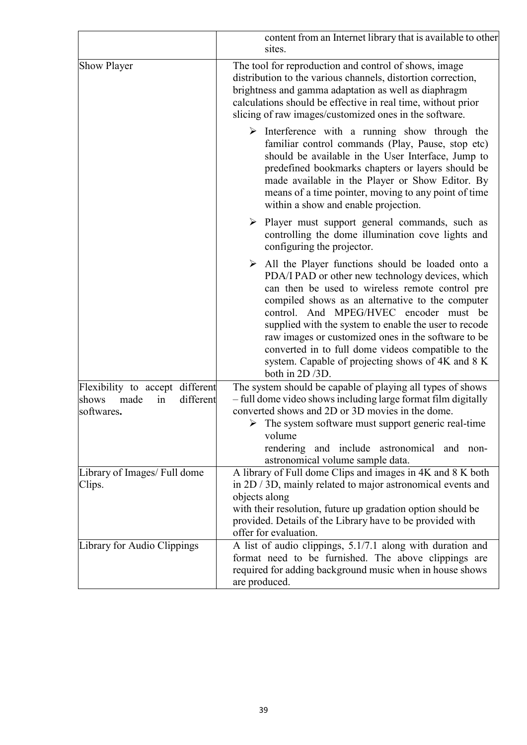|                                                                                   | content from an Internet library that is available to other<br>sites.                                                                                                                                                                                                                                                                                                                                                                                                                                               |
|-----------------------------------------------------------------------------------|---------------------------------------------------------------------------------------------------------------------------------------------------------------------------------------------------------------------------------------------------------------------------------------------------------------------------------------------------------------------------------------------------------------------------------------------------------------------------------------------------------------------|
| <b>Show Player</b>                                                                | The tool for reproduction and control of shows, image<br>distribution to the various channels, distortion correction,<br>brightness and gamma adaptation as well as diaphragm<br>calculations should be effective in real time, without prior<br>slicing of raw images/customized ones in the software.                                                                                                                                                                                                             |
|                                                                                   | $\triangleright$ Interference with a running show through the<br>familiar control commands (Play, Pause, stop etc)<br>should be available in the User Interface, Jump to<br>predefined bookmarks chapters or layers should be<br>made available in the Player or Show Editor. By<br>means of a time pointer, moving to any point of time<br>within a show and enable projection.                                                                                                                                    |
|                                                                                   | $\triangleright$ Player must support general commands, such as<br>controlling the dome illumination cove lights and<br>configuring the projector.                                                                                                                                                                                                                                                                                                                                                                   |
|                                                                                   | $\triangleright$ All the Player functions should be loaded onto a<br>PDA/I PAD or other new technology devices, which<br>can then be used to wireless remote control pre<br>compiled shows as an alternative to the computer<br>control. And MPEG/HVEC encoder must be<br>supplied with the system to enable the user to recode<br>raw images or customized ones in the software to be<br>converted in to full dome videos compatible to the<br>system. Capable of projecting shows of 4K and 8 K<br>both in 2D/3D. |
| Flexibility to accept different<br>different<br>made<br>in<br>shows<br>softwares. | The system should be capable of playing all types of shows<br>- full dome video shows including large format film digitally<br>converted shows and 2D or 3D movies in the dome.<br>$\triangleright$ The system software must support generic real-time<br>volume<br>rendering and include astronomical and non-<br>astronomical volume sample data.                                                                                                                                                                 |
| Library of Images/ Full dome<br>Clips.                                            | A library of Full dome Clips and images in 4K and 8 K both<br>in $2D / 3D$ , mainly related to major astronomical events and<br>objects along<br>with their resolution, future up gradation option should be<br>provided. Details of the Library have to be provided with<br>offer for evaluation.                                                                                                                                                                                                                  |
| Library for Audio Clippings                                                       | A list of audio clippings, 5.1/7.1 along with duration and<br>format need to be furnished. The above clippings are<br>required for adding background music when in house shows<br>are produced.                                                                                                                                                                                                                                                                                                                     |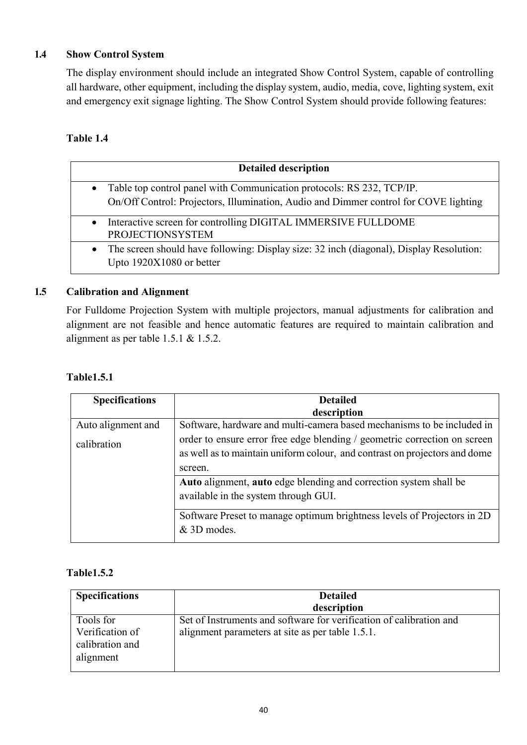#### 1.4 Show Control System

The display environment should include an integrated Show Control System, capable of controlling all hardware, other equipment, including the display system, audio, media, cove, lighting system, exit and emergency exit signage lighting. The Show Control System should provide following features:

### Table 1.4

|           | <b>Detailed description</b>                                                                                                                                   |  |
|-----------|---------------------------------------------------------------------------------------------------------------------------------------------------------------|--|
| $\bullet$ | Table top control panel with Communication protocols: RS 232, TCP/IP.<br>On/Off Control: Projectors, Illumination, Audio and Dimmer control for COVE lighting |  |
| $\bullet$ | Interactive screen for controlling DIGITAL IMMERSIVE FULLDOME<br><b>PROJECTIONSYSTEM</b>                                                                      |  |
| $\bullet$ | The screen should have following: Display size: 32 inch (diagonal), Display Resolution:<br>Upto 1920X1080 or better                                           |  |

#### 1.5 Calibration and Alignment

For Fulldome Projection System with multiple projectors, manual adjustments for calibration and alignment are not feasible and hence automatic features are required to maintain calibration and alignment as per table 1.5.1 & 1.5.2.

#### Table1.5.1

| <b>Specifications</b> | <b>Detailed</b>                                                            |
|-----------------------|----------------------------------------------------------------------------|
|                       | description                                                                |
| Auto alignment and    | Software, hardware and multi-camera based mechanisms to be included in     |
| calibration           | order to ensure error free edge blending / geometric correction on screen  |
|                       | as well as to maintain uniform colour, and contrast on projectors and dome |
|                       | screen.                                                                    |
|                       | Auto alignment, auto edge blending and correction system shall be          |
|                       | available in the system through GUI.                                       |
|                       | Software Preset to manage optimum brightness levels of Projectors in 2D    |
|                       | & 3D modes.                                                                |

#### Table1.5.2

| <b>Specifications</b>                                        | <b>Detailed</b><br>description                                                                                          |
|--------------------------------------------------------------|-------------------------------------------------------------------------------------------------------------------------|
| Tools for<br>Verification of<br>calibration and<br>alignment | Set of Instruments and software for verification of calibration and<br>alignment parameters at site as per table 1.5.1. |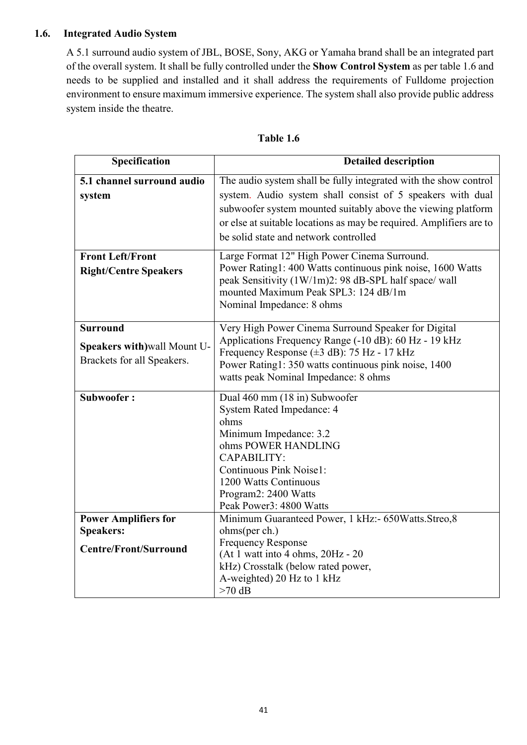#### 1.6. Integrated Audio System

A 5.1 surround audio system of JBL, BOSE, Sony, AKG or Yamaha brand shall be an integrated part of the overall system. It shall be fully controlled under the Show Control System as per table 1.6 and needs to be supplied and installed and it shall address the requirements of Fulldome projection environment to ensure maximum immersive experience. The system shall also provide public address system inside the theatre.

| Specification                                                                   | <b>Detailed description</b>                                                                                                                                                                                                                                                                                    |
|---------------------------------------------------------------------------------|----------------------------------------------------------------------------------------------------------------------------------------------------------------------------------------------------------------------------------------------------------------------------------------------------------------|
| 5.1 channel surround audio<br>system                                            | The audio system shall be fully integrated with the show control<br>system. Audio system shall consist of 5 speakers with dual<br>subwoofer system mounted suitably above the viewing platform<br>or else at suitable locations as may be required. Amplifiers are to<br>be solid state and network controlled |
| <b>Front Left/Front</b><br><b>Right/Centre Speakers</b>                         | Large Format 12" High Power Cinema Surround.<br>Power Rating1: 400 Watts continuous pink noise, 1600 Watts<br>peak Sensitivity (1W/1m)2: 98 dB-SPL half space/ wall<br>mounted Maximum Peak SPL3: 124 dB/1m<br>Nominal Impedance: 8 ohms                                                                       |
| <b>Surround</b><br>Speakers with) wall Mount U-<br>Brackets for all Speakers.   | Very High Power Cinema Surround Speaker for Digital<br>Applications Frequency Range (-10 dB): 60 Hz - 19 kHz<br>Frequency Response $(\pm 3$ dB): 75 Hz - 17 kHz<br>Power Rating1: 350 watts continuous pink noise, 1400<br>watts peak Nominal Impedance: 8 ohms                                                |
| Subwoofer:                                                                      | Dual 460 mm (18 in) Subwoofer<br>System Rated Impedance: 4<br>ohms<br>Minimum Impedance: 3.2<br>ohms POWER HANDLING<br>CAPABILITY:<br>Continuous Pink Noise1:<br>1200 Watts Continuous<br>Program2: 2400 Watts<br>Peak Power3: 4800 Watts                                                                      |
| <b>Power Amplifiers for</b><br><b>Speakers:</b><br><b>Centre/Front/Surround</b> | Minimum Guaranteed Power, 1 kHz:- 650Watts.Streo,8<br>ohms(per ch.)<br><b>Frequency Response</b><br>(At 1 watt into 4 ohms, 20Hz - 20<br>kHz) Crosstalk (below rated power,<br>A-weighted) 20 Hz to 1 kHz<br>$>70$ dB                                                                                          |

Table 1.6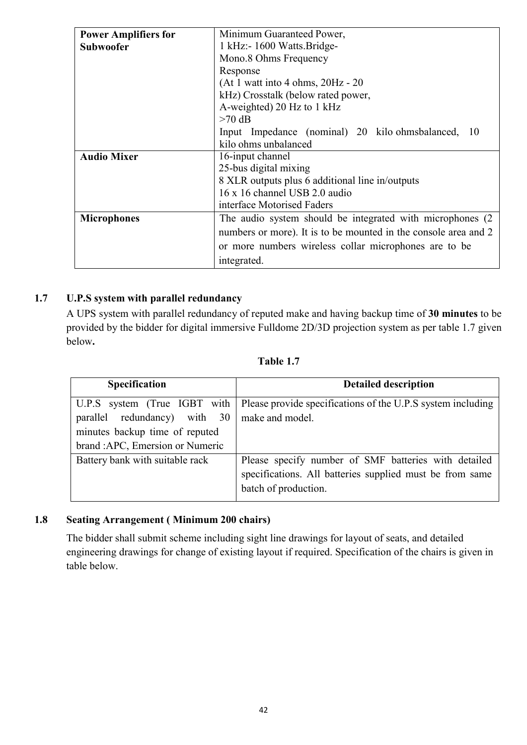| <b>Power Amplifiers for</b> | Minimum Guaranteed Power,                                       |  |
|-----------------------------|-----------------------------------------------------------------|--|
| <b>Subwoofer</b>            | 1 kHz:- 1600 Watts.Bridge-                                      |  |
|                             | Mono.8 Ohms Frequency                                           |  |
|                             | Response                                                        |  |
|                             | $(At 1 watt into 4 ohms, 20 Hz - 20$                            |  |
|                             | kHz) Crosstalk (below rated power,                              |  |
|                             | A-weighted) 20 Hz to 1 kHz                                      |  |
|                             | $>70 \text{ dB}$                                                |  |
|                             | Input Impedance (nominal) 20 kilo ohmsbalanced, 10              |  |
|                             | kilo ohms unbalanced                                            |  |
| <b>Audio Mixer</b>          | 16-input channel                                                |  |
|                             | 25-bus digital mixing                                           |  |
|                             | 8 XLR outputs plus 6 additional line in/outputs                 |  |
|                             | 16 x 16 channel USB 2.0 audio                                   |  |
|                             | interface Motorised Faders                                      |  |
| <b>Microphones</b>          | The audio system should be integrated with microphones (2)      |  |
|                             | numbers or more). It is to be mounted in the console area and 2 |  |
|                             | or more numbers wireless collar microphones are to be           |  |
|                             | integrated.                                                     |  |

### 1.7 U.P.S system with parallel redundancy

A UPS system with parallel redundancy of reputed make and having backup time of 30 minutes to be provided by the bidder for digital immersive Fulldome 2D/3D projection system as per table 1.7 given below.

| Table 1. |  |
|----------|--|
|----------|--|

| <b>Specification</b>                 | <b>Detailed description</b>                                 |
|--------------------------------------|-------------------------------------------------------------|
| U.P.S system (True IGBT with $\vert$ | Please provide specifications of the U.P.S system including |
| parallel redundancy) with $30$       | make and model.                                             |
| minutes backup time of reputed       |                                                             |
| brand : APC, Emersion or Numeric     |                                                             |
| Battery bank with suitable rack      | Please specify number of SMF batteries with detailed        |
|                                      | specifications. All batteries supplied must be from same    |
|                                      | batch of production.                                        |

#### 1.8 Seating Arrangement ( Minimum 200 chairs)

The bidder shall submit scheme including sight line drawings for layout of seats, and detailed engineering drawings for change of existing layout if required. Specification of the chairs is given in table below.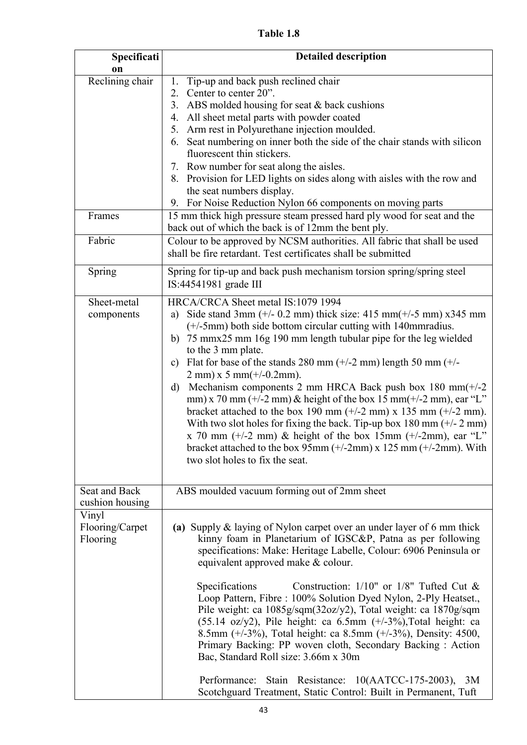Table 1.8

| Specificati     | <b>Detailed description</b>                                                                                                                   |
|-----------------|-----------------------------------------------------------------------------------------------------------------------------------------------|
| <b>on</b>       |                                                                                                                                               |
| Reclining chair | Tip-up and back push reclined chair<br>1.                                                                                                     |
|                 | 2.<br>Center to center 20".                                                                                                                   |
|                 | ABS molded housing for seat & back cushions<br>3.                                                                                             |
|                 | All sheet metal parts with powder coated<br>4.                                                                                                |
|                 | Arm rest in Polyurethane injection moulded.<br>5.                                                                                             |
|                 | 6. Seat numbering on inner both the side of the chair stands with silicon                                                                     |
|                 | fluorescent thin stickers.                                                                                                                    |
|                 | Row number for seat along the aisles.<br>7.                                                                                                   |
|                 | Provision for LED lights on sides along with aisles with the row and<br>8.                                                                    |
|                 | the seat numbers display.                                                                                                                     |
|                 | For Noise Reduction Nylon 66 components on moving parts<br>9.                                                                                 |
| Frames          | 15 mm thick high pressure steam pressed hard ply wood for seat and the<br>back out of which the back is of 12mm the bent ply.                 |
| Fabric          | Colour to be approved by NCSM authorities. All fabric that shall be used<br>shall be fire retardant. Test certificates shall be submitted     |
| Spring          | Spring for tip-up and back push mechanism torsion spring/spring steel<br>IS:44541981 grade III                                                |
| Sheet-metal     | HRCA/CRCA Sheet metal IS:1079 1994                                                                                                            |
| components      | Side stand 3mm ( $+/- 0.2$ mm) thick size: 415 mm( $+/-$ 5 mm) x345 mm<br>a)                                                                  |
|                 | $(+/-5mm)$ both side bottom circular cutting with 140mm radius.                                                                               |
|                 | 75 mmx25 mm 16g 190 mm length tubular pipe for the leg wielded<br>b)                                                                          |
|                 | to the 3 mm plate.                                                                                                                            |
|                 | Flat for base of the stands 280 mm $(+/-2$ mm) length 50 mm $(+/-$<br>$\mathbf{c})$                                                           |
|                 | $2 \text{ mm}$ ) x 5 mm(+/-0.2mm).                                                                                                            |
|                 | Mechanism components 2 mm HRCA Back push box 180 mm(+/-2<br>d)                                                                                |
|                 | mm) x 70 mm ( $\pm$ /-2 mm) & height of the box 15 mm( $\pm$ /-2 mm), ear "L"                                                                 |
|                 | bracket attached to the box 190 mm $(+/-2$ mm) x 135 mm $(+/-2$ mm).                                                                          |
|                 | With two slot holes for fixing the back. Tip-up box $180 \text{ mm } (+/- 2 \text{ mm})$                                                      |
|                 | x 70 mm ( $+/-2$ mm) & height of the box 15mm ( $+/-2$ mm), ear "L"                                                                           |
|                 | bracket attached to the box $95 \text{mm}$ (+/-2mm) x 125 mm (+/-2mm). With                                                                   |
|                 | two slot holes to fix the seat.                                                                                                               |
|                 |                                                                                                                                               |
| Seat and Back   | ABS moulded vacuum forming out of 2mm sheet                                                                                                   |
| cushion housing |                                                                                                                                               |
| Vinyl           |                                                                                                                                               |
| Flooring/Carpet | (a) Supply $\&$ laying of Nylon carpet over an under layer of 6 mm thick                                                                      |
| Flooring        | kinny foam in Planetarium of IGSC&P, Patna as per following                                                                                   |
|                 | specifications: Make: Heritage Labelle, Colour: 6906 Peninsula or                                                                             |
|                 | equivalent approved make & colour.                                                                                                            |
|                 |                                                                                                                                               |
|                 | Construction: $1/10$ " or $1/8$ " Tufted Cut &<br>Specifications                                                                              |
|                 | Loop Pattern, Fibre : 100% Solution Dyed Nylon, 2-Ply Heatset.,                                                                               |
|                 | Pile weight: ca 1085g/sqm(32oz/y2), Total weight: ca 1870g/sqm                                                                                |
|                 | $(55.14 \text{ oz/y2})$ , Pile height: ca 6.5mm $(+/-3%)$ , Total height: ca<br>8.5mm (+/-3%), Total height: ca 8.5mm (+/-3%), Density: 4500, |
|                 | Primary Backing: PP woven cloth, Secondary Backing: Action                                                                                    |
|                 | Bac, Standard Roll size: 3.66m x 30m                                                                                                          |
|                 |                                                                                                                                               |
|                 | Performance: Stain Resistance: 10(AATCC-175-2003),<br>3M<br>Scotchguard Treatment, Static Control: Built in Permanent, Tuft                   |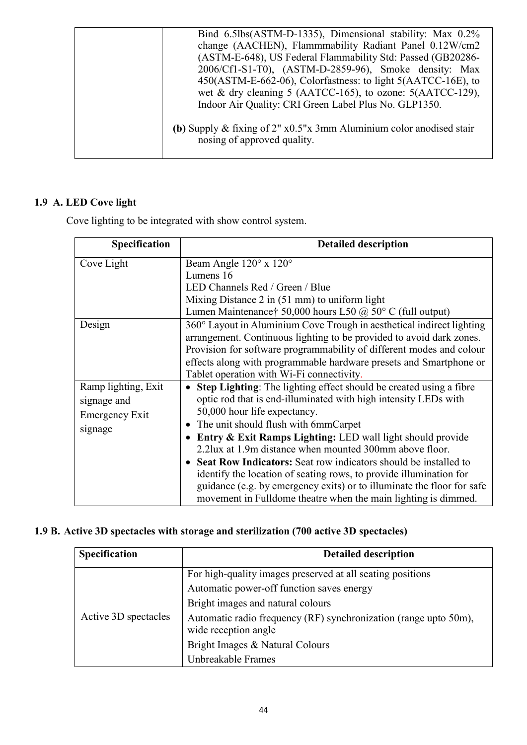| Bind 6.5lbs(ASTM-D-1335), Dimensional stability: Max 0.2%               |
|-------------------------------------------------------------------------|
| change (AACHEN), Flammmability Radiant Panel 0.12W/cm2                  |
| (ASTM-E-648), US Federal Flammability Std: Passed (GB20286-             |
| 2006/Cf1-S1-T0), (ASTM-D-2859-96), Smoke density: Max                   |
| 450(ASTM-E-662-06), Colorfastness: to light 5(AATCC-16E), to            |
| wet & dry cleaning 5 (AATCC-165), to ozone: $5(AATCC-129)$ ,            |
| Indoor Air Quality: CRI Green Label Plus No. GLP1350.                   |
|                                                                         |
| (b) Supply & fixing of $2" x 0.5" x 3mm$ Aluminium color anodised stair |
| nosing of approved quality.                                             |
|                                                                         |

## 1.9 A. LED Cove light

Cove lighting to be integrated with show control system.

| Specification       | <b>Detailed description</b>                                                        |
|---------------------|------------------------------------------------------------------------------------|
| Cove Light          | Beam Angle 120° x 120°                                                             |
|                     | Lumens 16                                                                          |
|                     | LED Channels Red / Green / Blue                                                    |
|                     | Mixing Distance $2$ in $(51 \text{ mm})$ to uniform light                          |
|                     | Lumen Maintenance† 50,000 hours L50 @ 50 $\textdegree$ C (full output)             |
| Design              | 360° Layout in Aluminium Cove Trough in aesthetical indirect lighting              |
|                     | arrangement. Continuous lighting to be provided to avoid dark zones.               |
|                     | Provision for software programmability of different modes and colour               |
|                     | effects along with programmable hardware presets and Smartphone or                 |
|                     | Tablet operation with Wi-Fi connectivity.                                          |
| Ramp lighting, Exit | Step Lighting: The lighting effect should be created using a fibre<br>$\bullet$    |
| signage and         | optic rod that is end-illuminated with high intensity LEDs with                    |
| Emergency Exit      | 50,000 hour life expectancy.                                                       |
| signage             | • The unit should flush with 6mmCarpet                                             |
|                     | <b>Entry &amp; Exit Ramps Lighting:</b> LED wall light should provide<br>$\bullet$ |
|                     | 2.2lux at 1.9m distance when mounted 300mm above floor.                            |
|                     | • Seat Row Indicators: Seat row indicators should be installed to                  |
|                     | identify the location of seating rows, to provide illumination for                 |
|                     | guidance (e.g. by emergency exits) or to illuminate the floor for safe             |
|                     | movement in Fulldome theatre when the main lighting is dimmed.                     |

## 1.9 B. Active 3D spectacles with storage and sterilization (700 active 3D spectacles)

| Specification        | <b>Detailed description</b>                                                              |  |
|----------------------|------------------------------------------------------------------------------------------|--|
|                      | For high-quality images preserved at all seating positions                               |  |
| Active 3D spectacles | Automatic power-off function saves energy                                                |  |
|                      | Bright images and natural colours                                                        |  |
|                      | Automatic radio frequency (RF) synchronization (range upto 50m),<br>wide reception angle |  |
|                      | Bright Images & Natural Colours                                                          |  |
|                      | Unbreakable Frames                                                                       |  |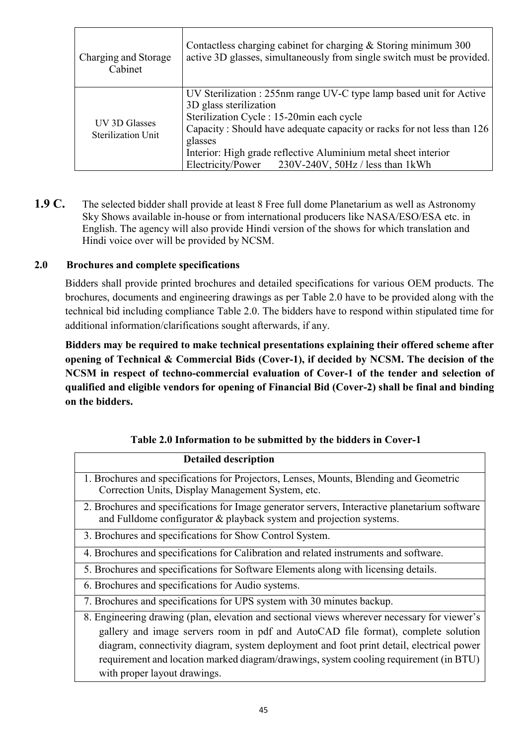| Charging and Storage                       | Contactless charging cabinet for charging & Storing minimum 300                                                                                                                                                                                                                                                                                         |  |  |
|--------------------------------------------|---------------------------------------------------------------------------------------------------------------------------------------------------------------------------------------------------------------------------------------------------------------------------------------------------------------------------------------------------------|--|--|
| Cabinet                                    | active 3D glasses, simultaneously from single switch must be provided.                                                                                                                                                                                                                                                                                  |  |  |
| UV 3D Glasses<br><b>Sterilization Unit</b> | UV Sterilization : 255nm range UV-C type lamp based unit for Active<br>3D glass sterilization<br>Sterilization Cycle : 15-20min each cycle<br>Capacity: Should have adequate capacity or racks for not less than 126<br>glasses<br>Interior: High grade reflective Aluminium metal sheet interior<br>Electricity/Power 230V-240V, 50Hz / less than 1kWh |  |  |

1.9 C. The selected bidder shall provide at least 8 Free full dome Planetarium as well as Astronomy Sky Shows available in-house or from international producers like NASA/ESO/ESA etc. in English. The agency will also provide Hindi version of the shows for which translation and Hindi voice over will be provided by NCSM.

#### 2.0 Brochures and complete specifications

Bidders shall provide printed brochures and detailed specifications for various OEM products. The brochures, documents and engineering drawings as per Table 2.0 have to be provided along with the technical bid including compliance Table 2.0. The bidders have to respond within stipulated time for additional information/clarifications sought afterwards, if any.

Bidders may be required to make technical presentations explaining their offered scheme after opening of Technical & Commercial Bids (Cover-1), if decided by NCSM. The decision of the NCSM in respect of techno-commercial evaluation of Cover-1 of the tender and selection of qualified and eligible vendors for opening of Financial Bid (Cover-2) shall be final and binding on the bidders.

#### Table 2.0 Information to be submitted by the bidders in Cover-1

| <b>Detailed description</b>                                                                                                                                                                                                                                                                                                                                                                           |
|-------------------------------------------------------------------------------------------------------------------------------------------------------------------------------------------------------------------------------------------------------------------------------------------------------------------------------------------------------------------------------------------------------|
| 1. Brochures and specifications for Projectors, Lenses, Mounts, Blending and Geometric<br>Correction Units, Display Management System, etc.                                                                                                                                                                                                                                                           |
| 2. Brochures and specifications for Image generator servers, Interactive planetarium software<br>and Fulldome configurator & playback system and projection systems.                                                                                                                                                                                                                                  |
| 3. Brochures and specifications for Show Control System.                                                                                                                                                                                                                                                                                                                                              |
| 4. Brochures and specifications for Calibration and related instruments and software.                                                                                                                                                                                                                                                                                                                 |
| 5. Brochures and specifications for Software Elements along with licensing details.                                                                                                                                                                                                                                                                                                                   |
| 6. Brochures and specifications for Audio systems.                                                                                                                                                                                                                                                                                                                                                    |
| 7. Brochures and specifications for UPS system with 30 minutes backup.                                                                                                                                                                                                                                                                                                                                |
| 8. Engineering drawing (plan, elevation and sectional views wherever necessary for viewer's<br>gallery and image servers room in pdf and AutoCAD file format), complete solution<br>diagram, connectivity diagram, system deployment and foot print detail, electrical power<br>requirement and location marked diagram/drawings, system cooling requirement (in BTU)<br>with proper layout drawings. |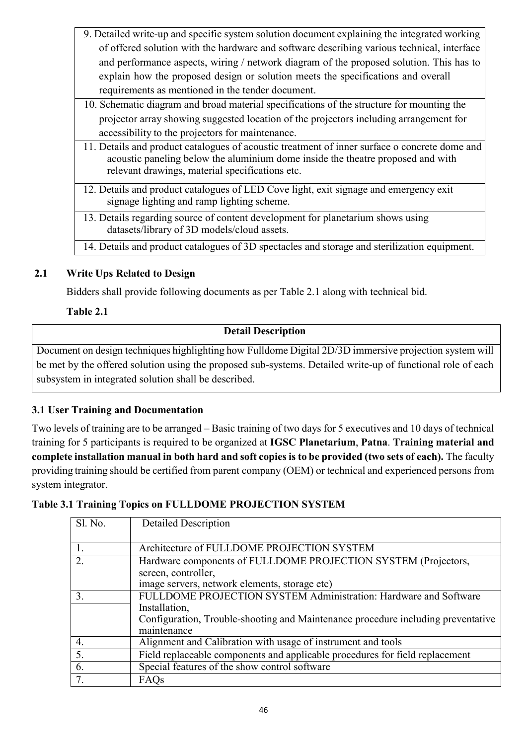- 9. Detailed write-up and specific system solution document explaining the integrated working of offered solution with the hardware and software describing various technical, interface and performance aspects, wiring / network diagram of the proposed solution. This has to explain how the proposed design or solution meets the specifications and overall requirements as mentioned in the tender document.
- 10. Schematic diagram and broad material specifications of the structure for mounting the projector array showing suggested location of the projectors including arrangement for accessibility to the projectors for maintenance.
- 11. Details and product catalogues of acoustic treatment of inner surface o concrete dome and acoustic paneling below the aluminium dome inside the theatre proposed and with relevant drawings, material specifications etc.
- 12. Details and product catalogues of LED Cove light, exit signage and emergency exit signage lighting and ramp lighting scheme.
- 13. Details regarding source of content development for planetarium shows using datasets/library of 3D models/cloud assets.

14. Details and product catalogues of 3D spectacles and storage and sterilization equipment.

## 2.1 Write Ups Related to Design

Bidders shall provide following documents as per Table 2.1 along with technical bid.

### Table 2.1

## Detail Description

Document on design techniques highlighting how Fulldome Digital 2D/3D immersive projection system will be met by the offered solution using the proposed sub-systems. Detailed write-up of functional role of each subsystem in integrated solution shall be described.

### 3.1 User Training and Documentation

Two levels of training are to be arranged – Basic training of two days for 5 executives and 10 days of technical training for 5 participants is required to be organized at IGSC Planetarium, Patna. Training material and complete installation manual in both hard and soft copies is to be provided (two sets of each). The faculty providing training should be certified from parent company (OEM) or technical and experienced persons from system integrator.

### Table 3.1 Training Topics on FULLDOME PROJECTION SYSTEM

| Sl. No. | <b>Detailed Description</b>                                                      |
|---------|----------------------------------------------------------------------------------|
|         |                                                                                  |
| 1.      | Architecture of FULLDOME PROJECTION SYSTEM                                       |
| 2.      | Hardware components of FULLDOME PROJECTION SYSTEM (Projectors,                   |
|         | screen, controller,                                                              |
|         | image servers, network elements, storage etc)                                    |
| 3.      | FULLDOME PROJECTION SYSTEM Administration: Hardware and Software                 |
|         | Installation,                                                                    |
|         | Configuration, Trouble-shooting and Maintenance procedure including preventative |
|         | maintenance                                                                      |
| 4.      | Alignment and Calibration with usage of instrument and tools                     |
| 5.      | Field replaceable components and applicable procedures for field replacement     |
| 6.      | Special features of the show control software                                    |
| 7.      | FAQs                                                                             |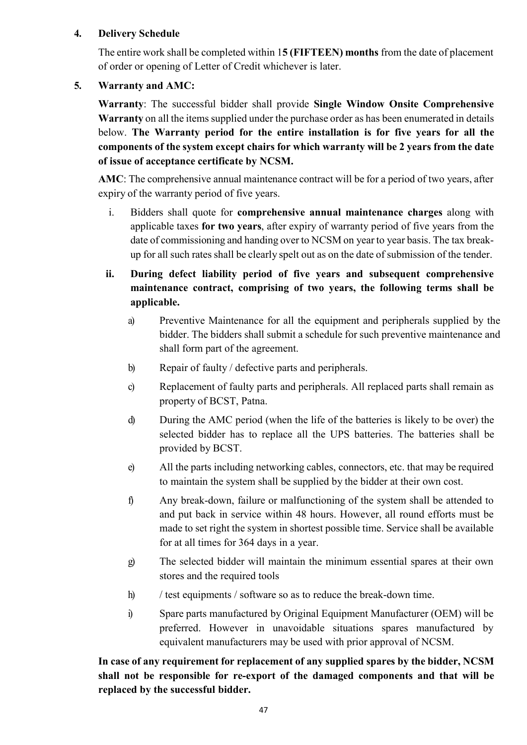#### 4. Delivery Schedule

The entire work shall be completed within 15 (FIFTEEN) months from the date of placement of order or opening of Letter of Credit whichever is later.

### 5. Warranty and AMC:

Warranty: The successful bidder shall provide Single Window Onsite Comprehensive Warranty on all the items supplied under the purchase order as has been enumerated in details below. The Warranty period for the entire installation is for five years for all the components of the system except chairs for which warranty will be 2 years from the date of issue of acceptance certificate by NCSM.

AMC: The comprehensive annual maintenance contract will be for a period of two years, after expiry of the warranty period of five years.

- i. Bidders shall quote for comprehensive annual maintenance charges along with applicable taxes for two years, after expiry of warranty period of five years from the date of commissioning and handing over to NCSM on year to year basis. The tax breakup for all such rates shall be clearly spelt out as on the date of submission of the tender.
- ii. During defect liability period of five years and subsequent comprehensive maintenance contract, comprising of two years, the following terms shall be applicable.
	- a) Preventive Maintenance for all the equipment and peripherals supplied by the bidder. The bidders shall submit a schedule for such preventive maintenance and shall form part of the agreement.
	- b) Repair of faulty / defective parts and peripherals.
	- c) Replacement of faulty parts and peripherals. All replaced parts shall remain as property of BCST, Patna.
	- d) During the AMC period (when the life of the batteries is likely to be over) the selected bidder has to replace all the UPS batteries. The batteries shall be provided by BCST.
	- e) All the parts including networking cables, connectors, etc. that may be required to maintain the system shall be supplied by the bidder at their own cost.
	- f) Any break-down, failure or malfunctioning of the system shall be attended to and put back in service within 48 hours. However, all round efforts must be made to set right the system in shortest possible time. Service shall be available for at all times for 364 days in a year.
	- g) The selected bidder will maintain the minimum essential spares at their own stores and the required tools
	- h) / test equipments / software so as to reduce the break-down time.
	- i) Spare parts manufactured by Original Equipment Manufacturer (OEM) will be preferred. However in unavoidable situations spares manufactured by equivalent manufacturers may be used with prior approval of NCSM.

In case of any requirement for replacement of any supplied spares by the bidder, NCSM shall not be responsible for re-export of the damaged components and that will be replaced by the successful bidder.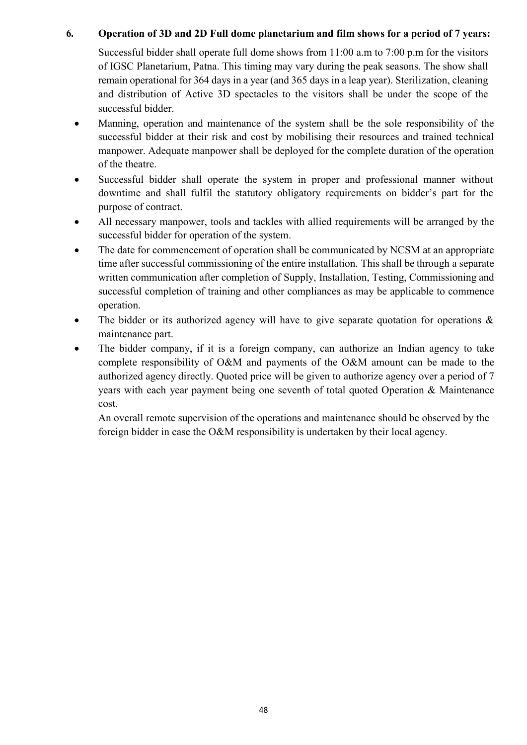#### 6. Operation of 3D and 2D Full dome planetarium and film shows for a period of 7 years:

Successful bidder shall operate full dome shows from 11:00 a.m to 7:00 p.m for the visitors of IGSC Planetarium, Patna. This timing may vary during the peak seasons. The show shall remain operational for 364 days in a year (and 365 days in a leap year). Sterilization, cleaning and distribution of Active 3D spectacles to the visitors shall be under the scope of the successful bidder.

- Manning, operation and maintenance of the system shall be the sole responsibility of the successful bidder at their risk and cost by mobilising their resources and trained technical manpower. Adequate manpower shall be deployed for the complete duration of the operation of the theatre.
- Successful bidder shall operate the system in proper and professional manner without downtime and shall fulfil the statutory obligatory requirements on bidder's part for the purpose of contract.
- All necessary manpower, tools and tackles with allied requirements will be arranged by the successful bidder for operation of the system.
- The date for commencement of operation shall be communicated by NCSM at an appropriate time after successful commissioning of the entire installation. This shall be through a separate written communication after completion of Supply, Installation, Testing, Commissioning and successful completion of training and other compliances as may be applicable to commence operation.
- The bidder or its authorized agency will have to give separate quotation for operations  $\&$ maintenance part.
- The bidder company, if it is a foreign company, can authorize an Indian agency to take complete responsibility of O&M and payments of the O&M amount can be made to the authorized agency directly. Quoted price will be given to authorize agency over a period of 7 years with each year payment being one seventh of total quoted Operation & Maintenance cost.

An overall remote supervision of the operations and maintenance should be observed by the foreign bidder in case the O&M responsibility is undertaken by their local agency.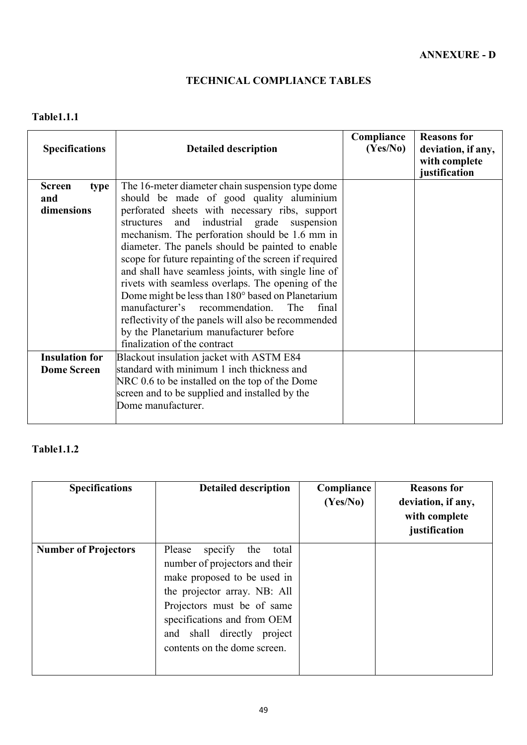## TECHNICAL COMPLIANCE TABLES

## Table1.1.1

| <b>Specifications</b> | <b>Detailed description</b>                           | Compliance<br>(Yes/No) | <b>Reasons for</b><br>deviation, if any,<br>with complete<br>justification |
|-----------------------|-------------------------------------------------------|------------------------|----------------------------------------------------------------------------|
| <b>Screen</b><br>type | The 16-meter diameter chain suspension type dome      |                        |                                                                            |
| and                   | should be made of good quality aluminium              |                        |                                                                            |
| dimensions            | perforated sheets with necessary ribs, support        |                        |                                                                            |
|                       | industrial grade suspension<br>structures and         |                        |                                                                            |
|                       | mechanism. The perforation should be 1.6 mm in        |                        |                                                                            |
|                       | diameter. The panels should be painted to enable      |                        |                                                                            |
|                       | scope for future repainting of the screen if required |                        |                                                                            |
|                       | and shall have seamless joints, with single line of   |                        |                                                                            |
|                       | rivets with seamless overlaps. The opening of the     |                        |                                                                            |
|                       | Dome might be less than 180° based on Planetarium     |                        |                                                                            |
|                       | manufacturer's recommendation.<br>The<br>final        |                        |                                                                            |
|                       | reflectivity of the panels will also be recommended   |                        |                                                                            |
|                       | by the Planetarium manufacturer before                |                        |                                                                            |
|                       | finalization of the contract                          |                        |                                                                            |
|                       |                                                       |                        |                                                                            |
| <b>Insulation for</b> | Blackout insulation jacket with ASTM E84              |                        |                                                                            |
| <b>Dome Screen</b>    | standard with minimum 1 inch thickness and            |                        |                                                                            |
|                       | NRC 0.6 to be installed on the top of the Dome        |                        |                                                                            |
|                       | screen and to be supplied and installed by the        |                        |                                                                            |
|                       | Dome manufacturer.                                    |                        |                                                                            |
|                       |                                                       |                        |                                                                            |

#### Table1.1.2

| <b>Specifications</b>       | <b>Detailed description</b>                                                                                                                                                                                                                                   | Compliance<br>(Yes/No) | <b>Reasons for</b><br>deviation, if any,<br>with complete<br>justification |
|-----------------------------|---------------------------------------------------------------------------------------------------------------------------------------------------------------------------------------------------------------------------------------------------------------|------------------------|----------------------------------------------------------------------------|
| <b>Number of Projectors</b> | Please<br>specify<br>the<br>total<br>number of projectors and their<br>make proposed to be used in<br>the projector array. NB: All<br>Projectors must be of same<br>specifications and from OEM<br>and shall directly project<br>contents on the dome screen. |                        |                                                                            |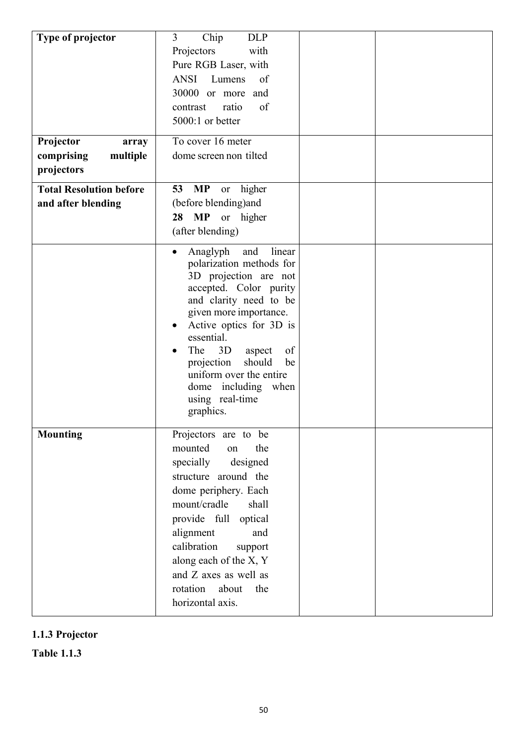| Type of projector<br>Projector<br>array<br>comprising<br>multiple<br>projectors | Chip<br>$\overline{3}$<br><b>DLP</b><br>Projectors<br>with<br>Pure RGB Laser, with<br>ANSI<br>Lumens<br>of<br>30000 or more<br>and<br>ratio<br>of<br>contrast<br>5000:1 or better<br>To cover 16 meter<br>dome screen non tilted                                                                                                                                                          |  |
|---------------------------------------------------------------------------------|-------------------------------------------------------------------------------------------------------------------------------------------------------------------------------------------------------------------------------------------------------------------------------------------------------------------------------------------------------------------------------------------|--|
| <b>Total Resolution before</b><br>and after blending                            | 53 MP<br>higher<br>or<br>(before blending) and<br>28 MP<br>or higher<br>(after blending)                                                                                                                                                                                                                                                                                                  |  |
|                                                                                 | linear<br>Anaglyph<br>and<br>$\bullet$<br>polarization methods for<br>3D projection are not<br>accepted. Color purity<br>and clarity need to be<br>given more importance.<br>Active optics for 3D is<br>$\bullet$<br>essential.<br>3D<br>The<br>aspect<br>of<br>$\bullet$<br>should<br>projection<br>be<br>uniform over the entire<br>dome including when<br>using real-time<br>graphics. |  |
| <b>Mounting</b>                                                                 | Projectors are to be<br>mounted<br>the<br>on<br>specially designed<br>structure around the<br>dome periphery. Each<br>mount/cradle<br>shall<br>provide full optical<br>alignment<br>and<br>calibration<br>support<br>along each of the X, Y<br>and Z axes as well as<br>rotation<br>about<br>the<br>horizontal axis.                                                                      |  |

1.1.3 Projector Table 1.1.3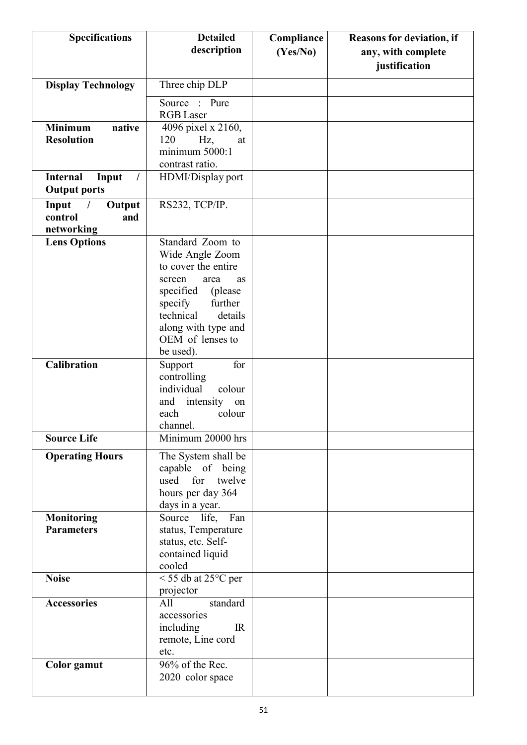| <b>Specifications</b>       | <b>Detailed</b>                            | Compliance | Reasons for deviation, if |
|-----------------------------|--------------------------------------------|------------|---------------------------|
|                             | description                                | (Yes/No)   | any, with complete        |
|                             |                                            |            | justification             |
| <b>Display Technology</b>   | Three chip DLP                             |            |                           |
|                             | Source : Pure                              |            |                           |
|                             | <b>RGB</b> Laser                           |            |                           |
| <b>Minimum</b><br>native    | 4096 pixel x 2160,                         |            |                           |
| <b>Resolution</b>           | 120<br>Hz,<br>at<br>minimum 5000:1         |            |                           |
|                             | contrast ratio.                            |            |                           |
| <b>Internal</b><br>Input    | HDMI/Display port                          |            |                           |
| <b>Output ports</b>         |                                            |            |                           |
| Output<br>Input<br>$\prime$ | RS232, TCP/IP.                             |            |                           |
| control<br>and              |                                            |            |                           |
| networking                  |                                            |            |                           |
| <b>Lens Options</b>         | Standard Zoom to<br>Wide Angle Zoom        |            |                           |
|                             | to cover the entire                        |            |                           |
|                             | screen<br>area<br><b>as</b>                |            |                           |
|                             | specified<br>(please)                      |            |                           |
|                             | further<br>specify<br>technical<br>details |            |                           |
|                             | along with type and                        |            |                           |
|                             | OEM of lenses to                           |            |                           |
|                             | be used).                                  |            |                           |
| <b>Calibration</b>          | for<br>Support                             |            |                           |
|                             | controlling<br>individual<br>colour        |            |                           |
|                             | intensity<br>and<br>on                     |            |                           |
|                             | each<br>colour                             |            |                           |
|                             | channel.                                   |            |                           |
| <b>Source Life</b>          | Minimum 20000 hrs                          |            |                           |
| <b>Operating Hours</b>      | The System shall be                        |            |                           |
|                             | capable of being                           |            |                           |
|                             | for<br>used<br>twelve<br>hours per day 364 |            |                           |
|                             | days in a year.                            |            |                           |
| <b>Monitoring</b>           | Fan<br>Source life,                        |            |                           |
| <b>Parameters</b>           | status, Temperature                        |            |                           |
|                             | status, etc. Self-                         |            |                           |
|                             | contained liquid<br>cooled                 |            |                           |
| <b>Noise</b>                | $\sqrt{55}$ db at 25 $\degree$ C per       |            |                           |
|                             | projector                                  |            |                           |
| Accessories                 | standard<br>All                            |            |                           |
|                             | accessories<br>including<br>$\mathbb{R}$   |            |                           |
|                             | remote, Line cord                          |            |                           |
|                             | etc.                                       |            |                           |
| Color gamut                 | $\frac{1}{96}$ % of the Rec.               |            |                           |
|                             | 2020 color space                           |            |                           |
|                             |                                            |            |                           |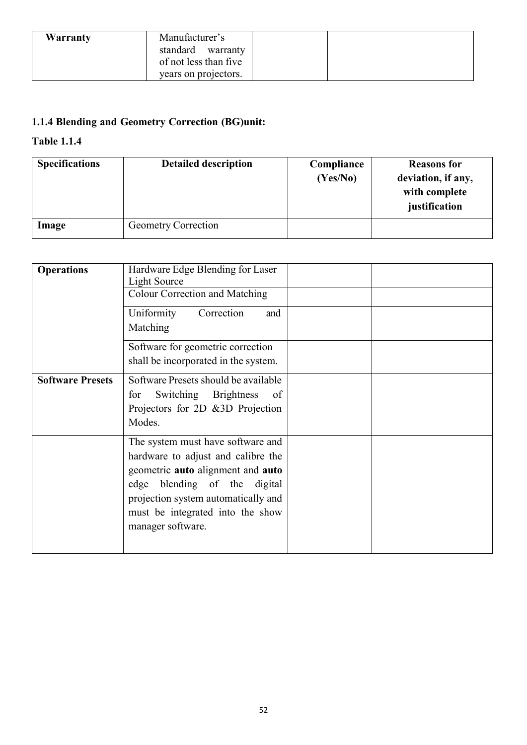| <b>Warranty</b> | Manufacturer's<br>standard warranty |  |
|-----------------|-------------------------------------|--|
|                 | of not less than five               |  |
|                 | years on projectors.                |  |

## 1.1.4 Blending and Geometry Correction (BG)unit:

#### Table 1.1.4

| <b>Specifications</b> | <b>Detailed description</b> | Compliance<br>(Yes/No) | <b>Reasons for</b><br>deviation, if any,<br>with complete<br>justification |
|-----------------------|-----------------------------|------------------------|----------------------------------------------------------------------------|
| Image                 | <b>Geometry Correction</b>  |                        |                                                                            |

| <b>Operations</b>       | Hardware Edge Blending for Laser      |  |
|-------------------------|---------------------------------------|--|
|                         | Light Source                          |  |
|                         | <b>Colour Correction and Matching</b> |  |
|                         | Correction<br>Uniformity<br>and       |  |
|                         | Matching                              |  |
|                         | Software for geometric correction     |  |
|                         | shall be incorporated in the system.  |  |
| <b>Software Presets</b> | Software Presets should be available  |  |
|                         | Switching Brightness of<br>for        |  |
|                         |                                       |  |
|                         | Projectors for 2D &3D Projection      |  |
|                         | Modes.                                |  |
|                         | The system must have software and     |  |
|                         | hardware to adjust and calibre the    |  |
|                         |                                       |  |
|                         | geometric auto alignment and auto     |  |
|                         | edge blending of the digital          |  |
|                         | projection system automatically and   |  |
|                         | must be integrated into the show      |  |
|                         |                                       |  |
|                         | manager software.                     |  |
|                         |                                       |  |
|                         |                                       |  |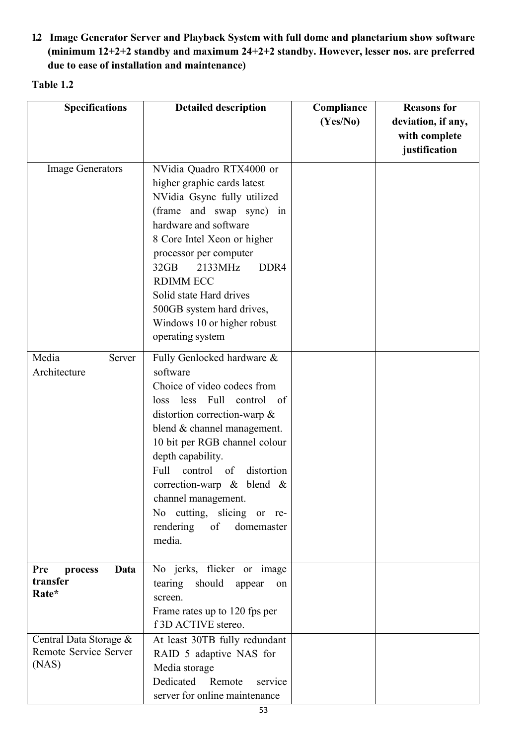1.2 Image Generator Server and Playback System with full dome and planetarium show software (minimum 12+2+2 standby and maximum 24+2+2 standby. However, lesser nos. are preferred due to ease of installation and maintenance)

| <b>Table 1.2</b> |  |
|------------------|--|
|------------------|--|

| <b>Specifications</b>         | <b>Detailed description</b>         | Compliance | <b>Reasons for</b> |
|-------------------------------|-------------------------------------|------------|--------------------|
|                               |                                     | (Yes/No)   | deviation, if any, |
|                               |                                     |            | with complete      |
|                               |                                     |            | justification      |
| <b>Image Generators</b>       | NVidia Quadro RTX4000 or            |            |                    |
|                               | higher graphic cards latest         |            |                    |
|                               | NVidia Gsync fully utilized         |            |                    |
|                               | (frame and swap sync) in            |            |                    |
|                               | hardware and software               |            |                    |
|                               | 8 Core Intel Xeon or higher         |            |                    |
|                               | processor per computer              |            |                    |
|                               | 2133MHz<br>32GB<br>DDR <sub>4</sub> |            |                    |
|                               | <b>RDIMM ECC</b>                    |            |                    |
|                               | Solid state Hard drives             |            |                    |
|                               | 500GB system hard drives,           |            |                    |
|                               | Windows 10 or higher robust         |            |                    |
|                               | operating system                    |            |                    |
| Media<br>Server               | Fully Genlocked hardware &          |            |                    |
| Architecture                  | software                            |            |                    |
|                               | Choice of video codecs from         |            |                    |
|                               | loss less Full control<br>of        |            |                    |
|                               | distortion correction-warp $\&$     |            |                    |
|                               | blend & channel management.         |            |                    |
|                               | 10 bit per RGB channel colour       |            |                    |
|                               | depth capability.                   |            |                    |
|                               | Full<br>distortion<br>control of    |            |                    |
|                               | correction-warp & blend $\&$        |            |                    |
|                               | channel management.                 |            |                    |
|                               | No cutting, slicing or re-          |            |                    |
|                               | rendering of<br>domemaster          |            |                    |
|                               | media.                              |            |                    |
|                               |                                     |            |                    |
| <b>Pre</b><br>Data<br>process | No jerks, flicker or image          |            |                    |
| transfer                      | should<br>tearing<br>appear<br>on   |            |                    |
| Rate*                         | screen.                             |            |                    |
|                               | Frame rates up to 120 fps per       |            |                    |
|                               | f 3D ACTIVE stereo.                 |            |                    |
| Central Data Storage &        | At least 30TB fully redundant       |            |                    |
| Remote Service Server         | RAID 5 adaptive NAS for             |            |                    |
| (NAS)                         | Media storage                       |            |                    |
|                               | Dedicated Remote<br>service         |            |                    |
|                               | server for online maintenance       |            |                    |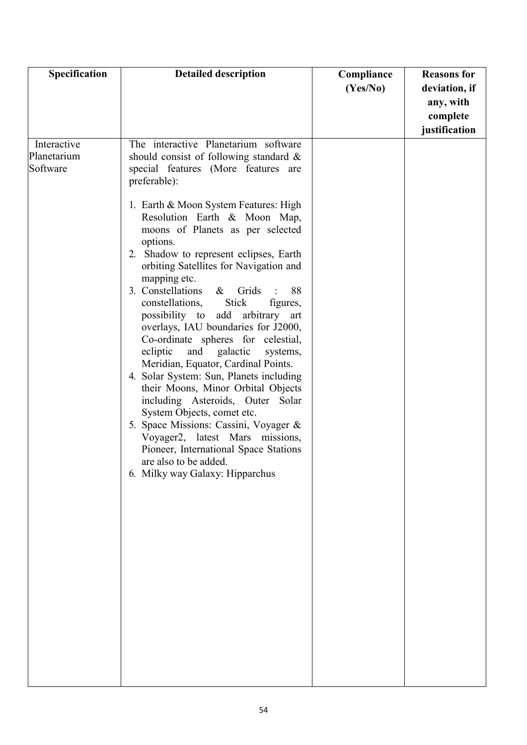| Specification | <b>Detailed description</b>                                         | Compliance | <b>Reasons for</b> |
|---------------|---------------------------------------------------------------------|------------|--------------------|
|               |                                                                     | (Yes/No)   | deviation, if      |
|               |                                                                     |            | any, with          |
|               |                                                                     |            | complete           |
|               |                                                                     |            | justification      |
| Interactive   | The interactive Planetarium software                                |            |                    |
| Planetarium   | should consist of following standard $\&$                           |            |                    |
| Software      | special features (More features are                                 |            |                    |
|               | preferable):                                                        |            |                    |
|               | 1. Earth & Moon System Features: High                               |            |                    |
|               | Resolution Earth & Moon Map,                                        |            |                    |
|               | moons of Planets as per selected                                    |            |                    |
|               | options.                                                            |            |                    |
|               | 2. Shadow to represent eclipses, Earth                              |            |                    |
|               | orbiting Satellites for Navigation and                              |            |                    |
|               | mapping etc.<br>3. Constellations<br>88<br>$\&$<br>Grids            |            |                    |
|               | constellations,<br><b>Stick</b><br>figures,                         |            |                    |
|               | possibility to add arbitrary art                                    |            |                    |
|               | overlays, IAU boundaries for J2000,                                 |            |                    |
|               | Co-ordinate spheres for celestial,                                  |            |                    |
|               | ecliptic<br>and<br>galactic<br>systems,                             |            |                    |
|               | Meridian, Equator, Cardinal Points.                                 |            |                    |
|               | 4. Solar System: Sun, Planets including                             |            |                    |
|               | their Moons, Minor Orbital Objects                                  |            |                    |
|               | including Asteroids, Outer Solar                                    |            |                    |
|               | System Objects, comet etc.<br>5. Space Missions: Cassini, Voyager & |            |                    |
|               | Voyager2, latest Mars missions,                                     |            |                    |
|               | Pioneer, International Space Stations                               |            |                    |
|               | are also to be added.                                               |            |                    |
|               | 6. Milky way Galaxy: Hipparchus                                     |            |                    |
|               |                                                                     |            |                    |
|               |                                                                     |            |                    |
|               |                                                                     |            |                    |
|               |                                                                     |            |                    |
|               |                                                                     |            |                    |
|               |                                                                     |            |                    |
|               |                                                                     |            |                    |
|               |                                                                     |            |                    |
|               |                                                                     |            |                    |
|               |                                                                     |            |                    |
|               |                                                                     |            |                    |
|               |                                                                     |            |                    |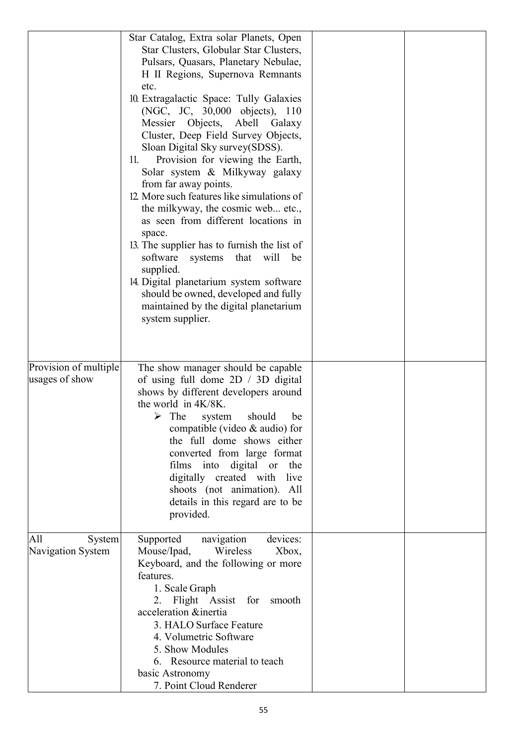|                       | Star Catalog, Extra solar Planets, Open        |  |
|-----------------------|------------------------------------------------|--|
|                       | Star Clusters, Globular Star Clusters,         |  |
|                       |                                                |  |
|                       | Pulsars, Quasars, Planetary Nebulae,           |  |
|                       | H II Regions, Supernova Remnants               |  |
|                       | etc.                                           |  |
|                       | 10. Extragalactic Space: Tully Galaxies        |  |
|                       | (NGC, JC, 30,000 objects), 110                 |  |
|                       | Messier Objects, Abell Galaxy                  |  |
|                       |                                                |  |
|                       | Cluster, Deep Field Survey Objects,            |  |
|                       | Sloan Digital Sky survey (SDSS).               |  |
|                       | Provision for viewing the Earth,<br>11.        |  |
|                       | Solar system & Milkyway galaxy                 |  |
|                       | from far away points.                          |  |
|                       | 12. More such features like simulations of     |  |
|                       | the milkyway, the cosmic web etc.,             |  |
|                       | as seen from different locations in            |  |
|                       |                                                |  |
|                       | space.                                         |  |
|                       | 13. The supplier has to furnish the list of    |  |
|                       | software<br>systems that will be               |  |
|                       | supplied.                                      |  |
|                       | 14. Digital planetarium system software        |  |
|                       | should be owned, developed and fully           |  |
|                       |                                                |  |
|                       | maintained by the digital planetarium          |  |
|                       | system supplier.                               |  |
|                       |                                                |  |
|                       |                                                |  |
|                       |                                                |  |
| Provision of multiple | The show manager should be capable             |  |
| usages of show        | of using full dome 2D / 3D digital             |  |
|                       | shows by different developers around           |  |
|                       |                                                |  |
|                       | the world in 4K/8K.                            |  |
|                       | $\triangleright$ The<br>should<br>system<br>be |  |
|                       | compatible (video & audio) for                 |  |
|                       | the full dome shows either                     |  |
|                       | converted from large format                    |  |
|                       | films into<br>digital or<br>the                |  |
|                       | digitally created with<br>live                 |  |
|                       |                                                |  |
|                       | shoots (not animation). All                    |  |
|                       | details in this regard are to be               |  |
|                       | provided.                                      |  |
|                       |                                                |  |
| All<br>System         | devices:<br>Supported<br>navigation            |  |
| Navigation System     | Mouse/Ipad,<br>Wireless<br>Xbox,               |  |
|                       | Keyboard, and the following or more            |  |
|                       | features.                                      |  |
|                       | 1. Scale Graph                                 |  |
|                       |                                                |  |
|                       | 2. Flight Assist for<br>smooth                 |  |
|                       | acceleration &inertia                          |  |
|                       | 3. HALO Surface Feature                        |  |
|                       | 4. Volumetric Software                         |  |
|                       | 5. Show Modules                                |  |
|                       | 6. Resource material to teach                  |  |
|                       |                                                |  |
|                       | basic Astronomy                                |  |
|                       | 7. Point Cloud Renderer                        |  |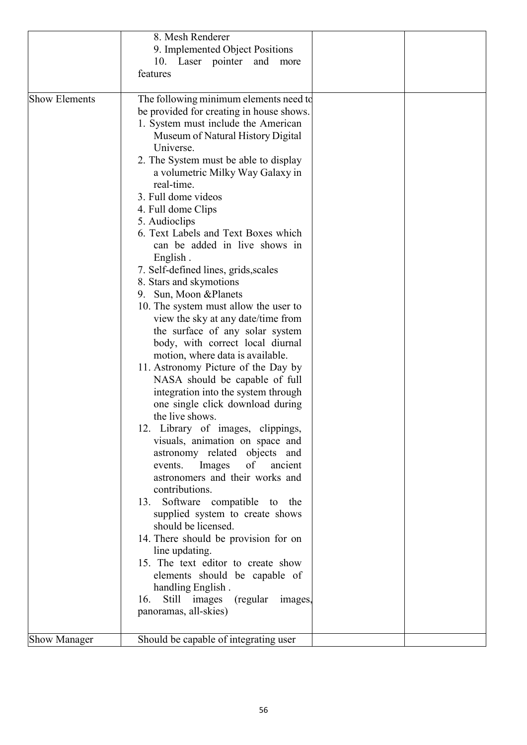|                      | 8. Mesh Renderer                           |  |
|----------------------|--------------------------------------------|--|
|                      | 9. Implemented Object Positions            |  |
|                      | 10. Laser pointer and more                 |  |
|                      | features                                   |  |
|                      |                                            |  |
| <b>Show Elements</b> | The following minimum elements need to     |  |
|                      | be provided for creating in house shows.   |  |
|                      | 1. System must include the American        |  |
|                      | Museum of Natural History Digital          |  |
|                      | Universe.                                  |  |
|                      | 2. The System must be able to display      |  |
|                      | a volumetric Milky Way Galaxy in           |  |
|                      | real-time.                                 |  |
|                      | 3. Full dome videos                        |  |
|                      | 4. Full dome Clips                         |  |
|                      | 5. Audioclips                              |  |
|                      | 6. Text Labels and Text Boxes which        |  |
|                      | can be added in live shows in              |  |
|                      | English.                                   |  |
|                      | 7. Self-defined lines, grids, scales       |  |
|                      | 8. Stars and skymotions                    |  |
|                      | 9. Sun, Moon & Planets                     |  |
|                      | 10. The system must allow the user to      |  |
|                      | view the sky at any date/time from         |  |
|                      | the surface of any solar system            |  |
|                      | body, with correct local diurnal           |  |
|                      | motion, where data is available.           |  |
|                      | 11. Astronomy Picture of the Day by        |  |
|                      | NASA should be capable of full             |  |
|                      | integration into the system through        |  |
|                      | one single click download during           |  |
|                      | the live shows.                            |  |
|                      | 12. Library of images, clippings,          |  |
|                      | visuals, animation on space and            |  |
|                      | astronomy related objects and              |  |
|                      | of<br>Images<br>events.<br>ancient         |  |
|                      | astronomers and their works and            |  |
|                      | contributions.                             |  |
|                      | Software compatible to the<br>13.          |  |
|                      | supplied system to create shows            |  |
|                      | should be licensed.                        |  |
|                      | 14. There should be provision for on       |  |
|                      | line updating.                             |  |
|                      | 15. The text editor to create show         |  |
|                      | elements should be capable of              |  |
|                      | handling English.                          |  |
|                      | Still images<br>(regular<br>16.<br>images, |  |
|                      | panoramas, all-skies)                      |  |
|                      |                                            |  |
| <b>Show Manager</b>  | Should be capable of integrating user      |  |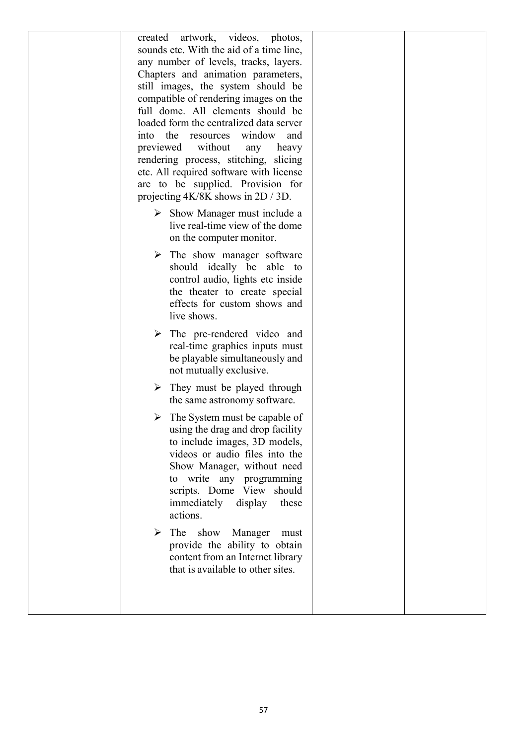| created artwork, videos, photos,<br>sounds etc. With the aid of a time line,<br>any number of levels, tracks, layers.<br>Chapters and animation parameters,<br>still images, the system should be<br>compatible of rendering images on the<br>full dome. All elements should be<br>loaded form the centralized data server<br>the<br>resources window<br>into<br>and<br>without<br>previewed<br>any<br>heavy<br>rendering process, stitching, slicing<br>etc. All required software with license<br>are to be supplied. Provision for<br>projecting $4K/8K$ shows in $2D / 3D$ . |  |
|----------------------------------------------------------------------------------------------------------------------------------------------------------------------------------------------------------------------------------------------------------------------------------------------------------------------------------------------------------------------------------------------------------------------------------------------------------------------------------------------------------------------------------------------------------------------------------|--|
| $\triangleright$ Show Manager must include a<br>live real-time view of the dome<br>on the computer monitor.                                                                                                                                                                                                                                                                                                                                                                                                                                                                      |  |
| $\triangleright$ The show manager software<br>should ideally be able to<br>control audio, lights etc inside<br>the theater to create special<br>effects for custom shows and<br>live shows.                                                                                                                                                                                                                                                                                                                                                                                      |  |
| The pre-rendered video and<br>➤<br>real-time graphics inputs must<br>be playable simultaneously and<br>not mutually exclusive.                                                                                                                                                                                                                                                                                                                                                                                                                                                   |  |
| They must be played through<br>➤<br>the same astronomy software.                                                                                                                                                                                                                                                                                                                                                                                                                                                                                                                 |  |
| The System must be capable of<br>➤<br>using the drag and drop facility<br>to include images, 3D models,<br>videos or audio files into the<br>Show Manager, without need<br>to write any programming<br>scripts. Dome View should<br>immediately<br>display<br>these<br>actions.                                                                                                                                                                                                                                                                                                  |  |
| The show<br>Manager<br>➤<br>must<br>provide the ability to obtain<br>content from an Internet library<br>that is available to other sites.                                                                                                                                                                                                                                                                                                                                                                                                                                       |  |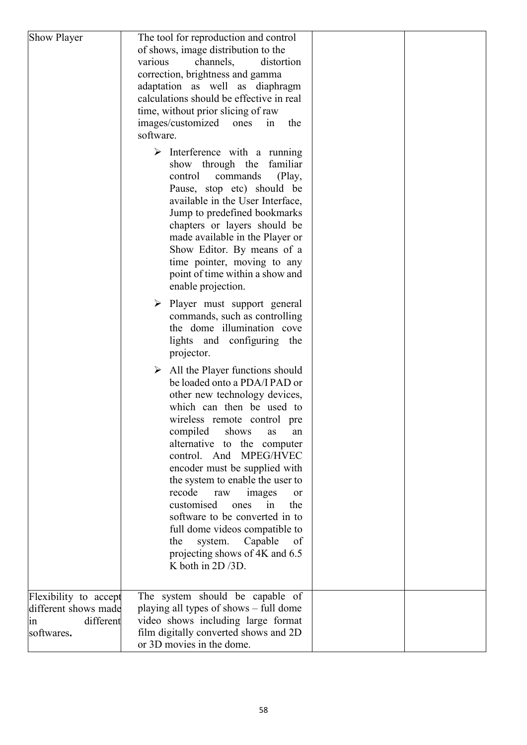| <b>Show Player</b>                | The tool for reproduction and control                                       |  |
|-----------------------------------|-----------------------------------------------------------------------------|--|
|                                   | of shows, image distribution to the                                         |  |
|                                   | various<br>channels,<br>distortion                                          |  |
|                                   | correction, brightness and gamma                                            |  |
|                                   | adaptation as well as diaphragm                                             |  |
|                                   | calculations should be effective in real                                    |  |
|                                   |                                                                             |  |
|                                   | time, without prior slicing of raw                                          |  |
|                                   | images/customized<br>in<br>ones<br>the                                      |  |
|                                   | software.                                                                   |  |
|                                   | Interference with a running<br>➤                                            |  |
|                                   | show through the<br>familiar                                                |  |
|                                   | control<br>commands<br>(Play,                                               |  |
|                                   | Pause, stop etc) should be                                                  |  |
|                                   | available in the User Interface,                                            |  |
|                                   | Jump to predefined bookmarks                                                |  |
|                                   | chapters or layers should be                                                |  |
|                                   | made available in the Player or                                             |  |
|                                   | Show Editor. By means of a                                                  |  |
|                                   | time pointer, moving to any                                                 |  |
|                                   | point of time within a show and                                             |  |
|                                   | enable projection.                                                          |  |
|                                   |                                                                             |  |
|                                   | > Player must support general                                               |  |
|                                   | commands, such as controlling<br>the dome illumination cove                 |  |
|                                   |                                                                             |  |
|                                   | lights and configuring the                                                  |  |
|                                   | projector.                                                                  |  |
|                                   | $\triangleright$ All the Player functions should                            |  |
|                                   | be loaded onto a PDA/I PAD or                                               |  |
|                                   | other new technology devices,                                               |  |
|                                   | which can then be used to                                                   |  |
|                                   | wireless remote control pre                                                 |  |
|                                   | compiled<br>shows<br>as<br>an                                               |  |
|                                   | alternative to the computer                                                 |  |
|                                   | control. And<br>MPEG/HVEC                                                   |  |
|                                   | encoder must be supplied with                                               |  |
|                                   | the system to enable the user to                                            |  |
|                                   | recode<br>raw<br>images<br>or                                               |  |
|                                   | customised<br>the<br>ones<br>in                                             |  |
|                                   | software to be converted in to                                              |  |
|                                   | full dome videos compatible to                                              |  |
|                                   | Capable<br>system.<br>the<br>of                                             |  |
|                                   | projecting shows of 4K and 6.5                                              |  |
|                                   | K both in 2D/3D.                                                            |  |
|                                   |                                                                             |  |
|                                   |                                                                             |  |
| Flexibility to accept             | The system should be capable of                                             |  |
| different shows made<br>different | playing all types of shows - full dome                                      |  |
| 1n<br>softwares.                  | video shows including large format<br>film digitally converted shows and 2D |  |
|                                   | or 3D movies in the dome.                                                   |  |
|                                   |                                                                             |  |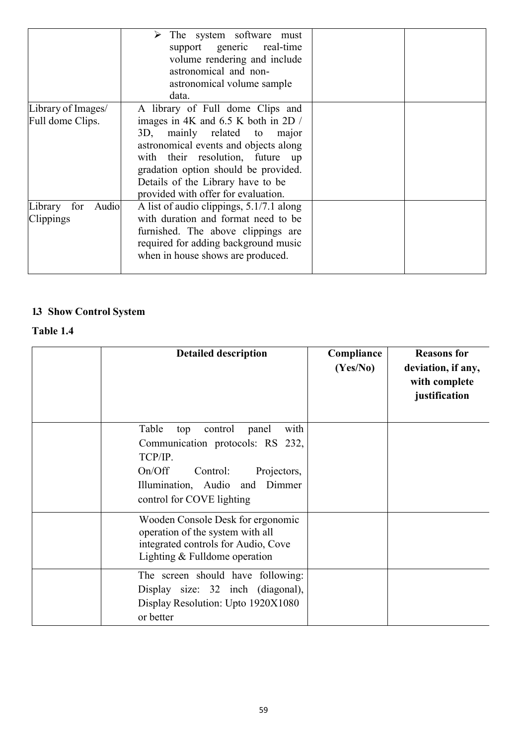|                      | $\triangleright$ The system software must<br>support generic real-time<br>volume rendering and include<br>astronomical and non-<br>astronomical volume sample<br>data. |  |
|----------------------|------------------------------------------------------------------------------------------------------------------------------------------------------------------------|--|
| Library of Images/   | A library of Full dome Clips and                                                                                                                                       |  |
| Full dome Clips.     | images in 4K and 6.5 K both in 2D /                                                                                                                                    |  |
|                      | 3D, mainly related to major                                                                                                                                            |  |
|                      | astronomical events and objects along                                                                                                                                  |  |
|                      | with their resolution, future up                                                                                                                                       |  |
|                      | gradation option should be provided.                                                                                                                                   |  |
|                      | Details of the Library have to be                                                                                                                                      |  |
|                      | provided with offer for evaluation.                                                                                                                                    |  |
| Audio<br>Library for | A list of audio clippings, 5.1/7.1 along                                                                                                                               |  |
| Clippings            | with duration and format need to be                                                                                                                                    |  |
|                      | furnished. The above clippings are                                                                                                                                     |  |
|                      | required for adding background music                                                                                                                                   |  |
|                      | when in house shows are produced.                                                                                                                                      |  |
|                      |                                                                                                                                                                        |  |

## 1.3 Show Control System

| <b>Detailed description</b>                                                                                                                                                                 | Compliance<br>(Yes/No) | <b>Reasons for</b><br>deviation, if any,<br>with complete<br>justification |
|---------------------------------------------------------------------------------------------------------------------------------------------------------------------------------------------|------------------------|----------------------------------------------------------------------------|
| Table<br>control<br>with<br>panel<br>top<br>Communication protocols: RS 232,<br>TCP/IP.<br>On/Off<br>Control:<br>Projectors,<br>Illumination, Audio and Dimmer<br>control for COVE lighting |                        |                                                                            |
| Wooden Console Desk for ergonomic<br>operation of the system with all<br>integrated controls for Audio, Cove<br>Lighting & Fulldome operation                                               |                        |                                                                            |
| The screen should have following:<br>Display size: 32 inch (diagonal),<br>Display Resolution: Upto 1920X1080<br>or better                                                                   |                        |                                                                            |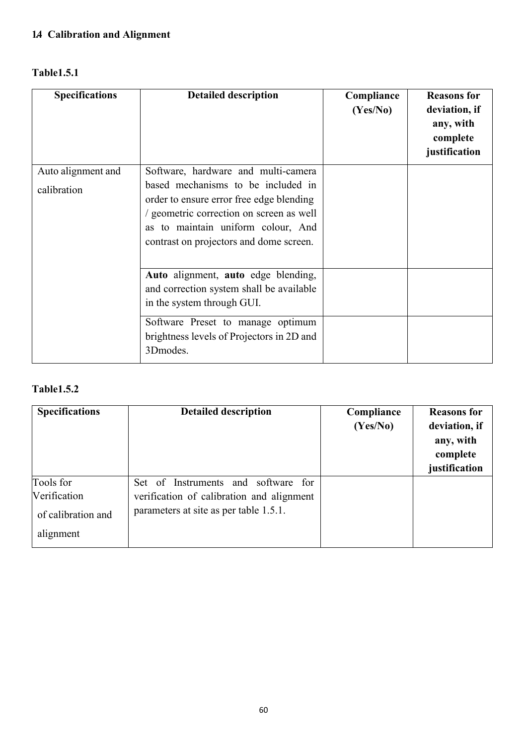## 1.4 Calibration and Alignment

## Table1.5.1

| <b>Specifications</b>             | <b>Detailed description</b>                                                                                                                                                                                                                        | Compliance<br>(Yes/No) | <b>Reasons for</b><br>deviation, if<br>any, with<br>complete<br>justification |
|-----------------------------------|----------------------------------------------------------------------------------------------------------------------------------------------------------------------------------------------------------------------------------------------------|------------------------|-------------------------------------------------------------------------------|
| Auto alignment and<br>calibration | Software, hardware and multi-camera<br>based mechanisms to be included in<br>order to ensure error free edge blending<br>/ geometric correction on screen as well<br>as to maintain uniform colour, And<br>contrast on projectors and dome screen. |                        |                                                                               |
|                                   | Auto alignment, auto edge blending,<br>and correction system shall be available<br>in the system through GUI.<br>Software Preset to manage optimum<br>brightness levels of Projectors in 2D and<br>3D modes.                                       |                        |                                                                               |

## Table1.5.2

| <b>Specifications</b>                                        | <b>Detailed description</b>                                                                                                | Compliance<br>(Yes/No) | <b>Reasons for</b><br>deviation, if<br>any, with<br>complete<br>justification |
|--------------------------------------------------------------|----------------------------------------------------------------------------------------------------------------------------|------------------------|-------------------------------------------------------------------------------|
| Tools for<br>Verification<br>of calibration and<br>alignment | Set of Instruments and software for<br>verification of calibration and alignment<br>parameters at site as per table 1.5.1. |                        |                                                                               |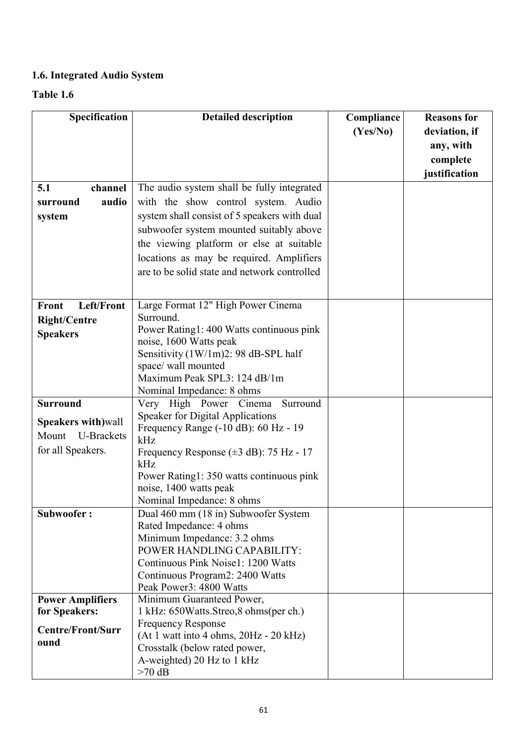## 1.6. Integrated Audio System

| <b>Detailed description</b>                  | Compliance                                                                                                                                                                                                                                                                                                                                                                                                                                                                                                                                                                                                                                                                                                                                                                                                       | <b>Reasons for</b> |
|----------------------------------------------|------------------------------------------------------------------------------------------------------------------------------------------------------------------------------------------------------------------------------------------------------------------------------------------------------------------------------------------------------------------------------------------------------------------------------------------------------------------------------------------------------------------------------------------------------------------------------------------------------------------------------------------------------------------------------------------------------------------------------------------------------------------------------------------------------------------|--------------------|
|                                              | (Yes/No)                                                                                                                                                                                                                                                                                                                                                                                                                                                                                                                                                                                                                                                                                                                                                                                                         | deviation, if      |
|                                              |                                                                                                                                                                                                                                                                                                                                                                                                                                                                                                                                                                                                                                                                                                                                                                                                                  | any, with          |
|                                              |                                                                                                                                                                                                                                                                                                                                                                                                                                                                                                                                                                                                                                                                                                                                                                                                                  | complete           |
|                                              |                                                                                                                                                                                                                                                                                                                                                                                                                                                                                                                                                                                                                                                                                                                                                                                                                  | justification      |
| The audio system shall be fully integrated   |                                                                                                                                                                                                                                                                                                                                                                                                                                                                                                                                                                                                                                                                                                                                                                                                                  |                    |
| with the show control system. Audio          |                                                                                                                                                                                                                                                                                                                                                                                                                                                                                                                                                                                                                                                                                                                                                                                                                  |                    |
| system shall consist of 5 speakers with dual |                                                                                                                                                                                                                                                                                                                                                                                                                                                                                                                                                                                                                                                                                                                                                                                                                  |                    |
| subwoofer system mounted suitably above      |                                                                                                                                                                                                                                                                                                                                                                                                                                                                                                                                                                                                                                                                                                                                                                                                                  |                    |
|                                              |                                                                                                                                                                                                                                                                                                                                                                                                                                                                                                                                                                                                                                                                                                                                                                                                                  |                    |
|                                              |                                                                                                                                                                                                                                                                                                                                                                                                                                                                                                                                                                                                                                                                                                                                                                                                                  |                    |
| are to be solid state and network controlled |                                                                                                                                                                                                                                                                                                                                                                                                                                                                                                                                                                                                                                                                                                                                                                                                                  |                    |
|                                              |                                                                                                                                                                                                                                                                                                                                                                                                                                                                                                                                                                                                                                                                                                                                                                                                                  |                    |
|                                              |                                                                                                                                                                                                                                                                                                                                                                                                                                                                                                                                                                                                                                                                                                                                                                                                                  |                    |
|                                              |                                                                                                                                                                                                                                                                                                                                                                                                                                                                                                                                                                                                                                                                                                                                                                                                                  |                    |
|                                              |                                                                                                                                                                                                                                                                                                                                                                                                                                                                                                                                                                                                                                                                                                                                                                                                                  |                    |
| noise, 1600 Watts peak                       |                                                                                                                                                                                                                                                                                                                                                                                                                                                                                                                                                                                                                                                                                                                                                                                                                  |                    |
| Sensitivity (1W/1m)2: 98 dB-SPL half         |                                                                                                                                                                                                                                                                                                                                                                                                                                                                                                                                                                                                                                                                                                                                                                                                                  |                    |
| space/ wall mounted                          |                                                                                                                                                                                                                                                                                                                                                                                                                                                                                                                                                                                                                                                                                                                                                                                                                  |                    |
|                                              |                                                                                                                                                                                                                                                                                                                                                                                                                                                                                                                                                                                                                                                                                                                                                                                                                  |                    |
|                                              |                                                                                                                                                                                                                                                                                                                                                                                                                                                                                                                                                                                                                                                                                                                                                                                                                  |                    |
|                                              |                                                                                                                                                                                                                                                                                                                                                                                                                                                                                                                                                                                                                                                                                                                                                                                                                  |                    |
|                                              |                                                                                                                                                                                                                                                                                                                                                                                                                                                                                                                                                                                                                                                                                                                                                                                                                  |                    |
|                                              |                                                                                                                                                                                                                                                                                                                                                                                                                                                                                                                                                                                                                                                                                                                                                                                                                  |                    |
|                                              |                                                                                                                                                                                                                                                                                                                                                                                                                                                                                                                                                                                                                                                                                                                                                                                                                  |                    |
| kHz                                          |                                                                                                                                                                                                                                                                                                                                                                                                                                                                                                                                                                                                                                                                                                                                                                                                                  |                    |
| Power Rating1: 350 watts continuous pink     |                                                                                                                                                                                                                                                                                                                                                                                                                                                                                                                                                                                                                                                                                                                                                                                                                  |                    |
| noise, 1400 watts peak                       |                                                                                                                                                                                                                                                                                                                                                                                                                                                                                                                                                                                                                                                                                                                                                                                                                  |                    |
|                                              |                                                                                                                                                                                                                                                                                                                                                                                                                                                                                                                                                                                                                                                                                                                                                                                                                  |                    |
|                                              |                                                                                                                                                                                                                                                                                                                                                                                                                                                                                                                                                                                                                                                                                                                                                                                                                  |                    |
|                                              |                                                                                                                                                                                                                                                                                                                                                                                                                                                                                                                                                                                                                                                                                                                                                                                                                  |                    |
|                                              |                                                                                                                                                                                                                                                                                                                                                                                                                                                                                                                                                                                                                                                                                                                                                                                                                  |                    |
|                                              |                                                                                                                                                                                                                                                                                                                                                                                                                                                                                                                                                                                                                                                                                                                                                                                                                  |                    |
|                                              |                                                                                                                                                                                                                                                                                                                                                                                                                                                                                                                                                                                                                                                                                                                                                                                                                  |                    |
| Peak Power3: 4800 Watts                      |                                                                                                                                                                                                                                                                                                                                                                                                                                                                                                                                                                                                                                                                                                                                                                                                                  |                    |
| Minimum Guaranteed Power,                    |                                                                                                                                                                                                                                                                                                                                                                                                                                                                                                                                                                                                                                                                                                                                                                                                                  |                    |
| 1 kHz: 650Watts.Streo,8 ohms(per ch.)        |                                                                                                                                                                                                                                                                                                                                                                                                                                                                                                                                                                                                                                                                                                                                                                                                                  |                    |
|                                              |                                                                                                                                                                                                                                                                                                                                                                                                                                                                                                                                                                                                                                                                                                                                                                                                                  |                    |
|                                              |                                                                                                                                                                                                                                                                                                                                                                                                                                                                                                                                                                                                                                                                                                                                                                                                                  |                    |
|                                              |                                                                                                                                                                                                                                                                                                                                                                                                                                                                                                                                                                                                                                                                                                                                                                                                                  |                    |
|                                              |                                                                                                                                                                                                                                                                                                                                                                                                                                                                                                                                                                                                                                                                                                                                                                                                                  |                    |
|                                              | the viewing platform or else at suitable<br>locations as may be required. Amplifiers<br>Large Format 12" High Power Cinema<br>Surround.<br>Power Rating1: 400 Watts continuous pink<br>Maximum Peak SPL3: 124 dB/1m<br>Nominal Impedance: 8 ohms<br>Very High Power Cinema<br>Surround<br>Speaker for Digital Applications<br>Frequency Range (-10 dB): 60 Hz - 19<br>kHz<br>Frequency Response $(\pm 3$ dB): 75 Hz - 17<br>Nominal Impedance: 8 ohms<br>Dual 460 mm (18 in) Subwoofer System<br>Rated Impedance: 4 ohms<br>Minimum Impedance: 3.2 ohms<br>POWER HANDLING CAPABILITY:<br>Continuous Pink Noise1: 1200 Watts<br>Continuous Program2: 2400 Watts<br><b>Frequency Response</b><br>(At 1 watt into 4 ohms, 20Hz - 20 kHz)<br>Crosstalk (below rated power,<br>A-weighted) 20 Hz to 1 kHz<br>$>70$ dB |                    |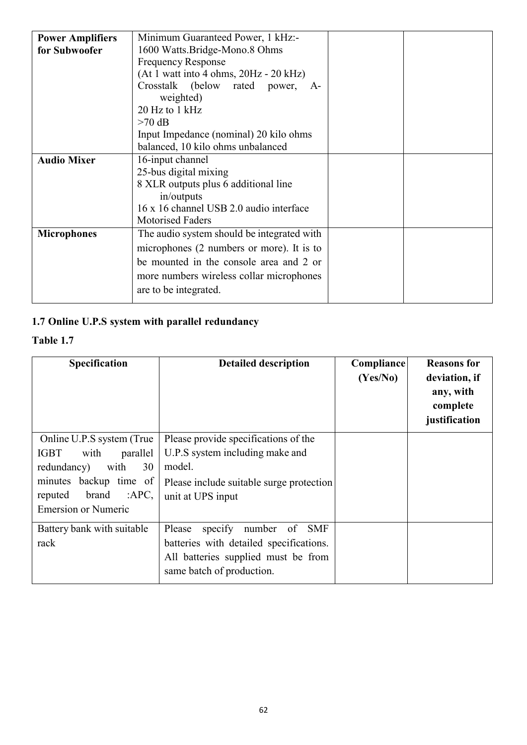| <b>Power Amplifiers</b> | Minimum Guaranteed Power, 1 kHz:-          |  |
|-------------------------|--------------------------------------------|--|
|                         |                                            |  |
| for Subwoofer           | 1600 Watts.Bridge-Mono.8 Ohms              |  |
|                         | <b>Frequency Response</b>                  |  |
|                         | (At 1 watt into 4 ohms, 20Hz - 20 kHz)     |  |
|                         | Crosstalk (below rated power, A-           |  |
|                         | weighted)                                  |  |
|                         | $20$ Hz to 1 kHz                           |  |
|                         | $>70$ dB                                   |  |
|                         | Input Impedance (nominal) 20 kilo ohms     |  |
|                         | balanced, 10 kilo ohms unbalanced          |  |
| <b>Audio Mixer</b>      | 16-input channel                           |  |
|                         | 25-bus digital mixing                      |  |
|                         | 8 XLR outputs plus 6 additional line       |  |
|                         | in/outputs                                 |  |
|                         | 16 x 16 channel USB 2.0 audio interface    |  |
|                         | <b>Motorised Faders</b>                    |  |
| <b>Microphones</b>      | The audio system should be integrated with |  |
|                         | microphones (2 numbers or more). It is to  |  |
|                         | be mounted in the console area and 2 or    |  |
|                         | more numbers wireless collar microphones   |  |
|                         | are to be integrated.                      |  |
|                         |                                            |  |

## 1.7 Online U.P.S system with parallel redundancy

| Specification                                                                                                                                                                  | <b>Detailed description</b>                                                                                                                        | <b>Compliance</b><br>(Yes/No) | <b>Reasons for</b><br>deviation, if<br>any, with<br>complete<br>justification |
|--------------------------------------------------------------------------------------------------------------------------------------------------------------------------------|----------------------------------------------------------------------------------------------------------------------------------------------------|-------------------------------|-------------------------------------------------------------------------------|
| Online U.P.S system (True)<br><b>IGBT</b><br>with<br>parallel<br>30<br>redundancy)<br>with<br>minutes backup time of<br>$brand$ :APC,<br>reputed<br><b>Emersion or Numeric</b> | Please provide specifications of the<br>U.P.S system including make and<br>model.<br>Please include suitable surge protection<br>unit at UPS input |                               |                                                                               |
| Battery bank with suitable<br>rack                                                                                                                                             | specify number of SMF<br>Please<br>batteries with detailed specifications.<br>All batteries supplied must be from<br>same batch of production.     |                               |                                                                               |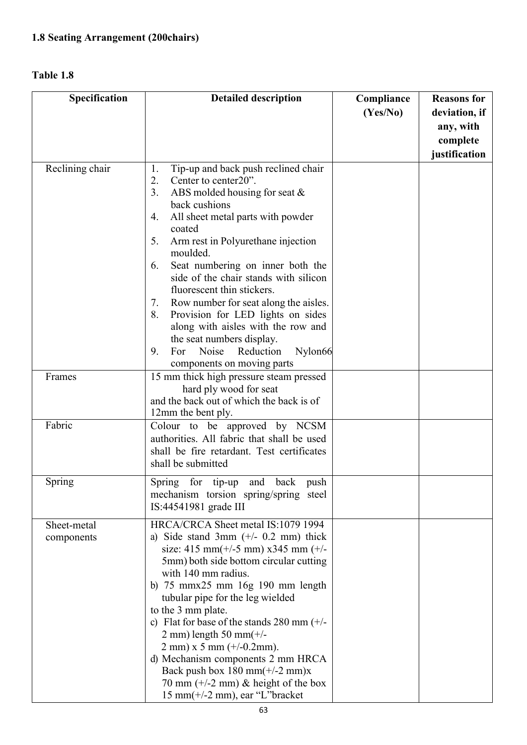| Specification             | <b>Detailed description</b>                                                                                                                                                                                                                                                                                                                                                                                                                                                                                                                                                                              | Compliance<br>(Yes/No) | <b>Reasons for</b><br>deviation, if<br>any, with<br>complete<br>justification |
|---------------------------|----------------------------------------------------------------------------------------------------------------------------------------------------------------------------------------------------------------------------------------------------------------------------------------------------------------------------------------------------------------------------------------------------------------------------------------------------------------------------------------------------------------------------------------------------------------------------------------------------------|------------------------|-------------------------------------------------------------------------------|
| Reclining chair           | Tip-up and back push reclined chair<br>1.<br>Center to center20".<br>2.<br>3.<br>ABS molded housing for seat $&$<br>back cushions<br>All sheet metal parts with powder<br>4.<br>coated<br>Arm rest in Polyurethane injection<br>5.<br>moulded.<br>Seat numbering on inner both the<br>6.<br>side of the chair stands with silicon<br>fluorescent thin stickers.<br>Row number for seat along the aisles.<br>7.<br>8.<br>Provision for LED lights on sides<br>along with aisles with the row and<br>the seat numbers display.<br>Noise<br>Reduction<br>9.<br>For<br>Nylon66<br>components on moving parts |                        |                                                                               |
| Frames                    | 15 mm thick high pressure steam pressed<br>hard ply wood for seat<br>and the back out of which the back is of<br>12mm the bent ply.                                                                                                                                                                                                                                                                                                                                                                                                                                                                      |                        |                                                                               |
| Fabric                    | Colour to be approved by NCSM<br>authorities. All fabric that shall be used<br>shall be fire retardant. Test certificates<br>shall be submitted                                                                                                                                                                                                                                                                                                                                                                                                                                                          |                        |                                                                               |
| Spring                    | Spring<br>for tip-up<br>and<br>back push<br>mechanism torsion spring/spring steel<br>IS:44541981 grade III                                                                                                                                                                                                                                                                                                                                                                                                                                                                                               |                        |                                                                               |
| Sheet-metal<br>components | HRCA/CRCA Sheet metal IS:1079 1994<br>a) Side stand 3mm $(+/- 0.2$ mm) thick<br>size: 415 mm( $+/-5$ mm) x345 mm ( $+/-$<br>5mm) both side bottom circular cutting<br>with 140 mm radius.<br>b) 75 mmx25 mm 16g 190 mm length<br>tubular pipe for the leg wielded<br>to the 3 mm plate.<br>c) Flat for base of the stands 280 mm $(+/-)$<br>$2$ mm) length 50 mm(+/-<br>$2 \text{ mm}$ ) x 5 mm ( $+/-0.2 \text{ mm}$ ).<br>d) Mechanism components 2 mm HRCA<br>Back push box 180 mm( $\pm$ /-2 mm)x<br>70 mm $(+/-2$ mm) & height of the box<br>$15 \text{ mm}(+/2 \text{ mm})$ , ear "L"bracket       |                        |                                                                               |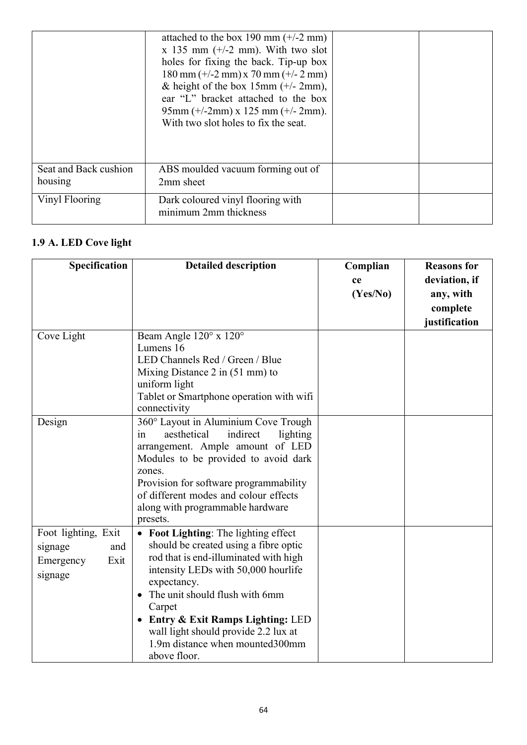|                                  | attached to the box 190 mm $(+/-2$ mm)<br>x 135 mm $(+/-2$ mm). With two slot<br>holes for fixing the back. Tip-up box<br>$180 \text{ mm } (+/-2 \text{ mm}) \times 70 \text{ mm } (+/-2 \text{ mm})$<br>& height of the box $15 \text{mm}$ (+/- 2mm),<br>ear "L" bracket attached to the box<br>$95 \text{mm}$ (+/-2mm) x 125 mm (+/-2mm).<br>With two slot holes to fix the seat. |  |
|----------------------------------|-------------------------------------------------------------------------------------------------------------------------------------------------------------------------------------------------------------------------------------------------------------------------------------------------------------------------------------------------------------------------------------|--|
| Seat and Back cushion<br>housing | ABS moulded vacuum forming out of<br>2mm sheet                                                                                                                                                                                                                                                                                                                                      |  |
| Vinyl Flooring                   | Dark coloured vinyl flooring with<br>minimum 2mm thickness                                                                                                                                                                                                                                                                                                                          |  |

## 1.9 A. LED Cove light

| Specification                                                         | <b>Detailed description</b>                                                                                                                                                                                                                                                                                                                                      | Complian       | <b>Reasons for</b>                                      |
|-----------------------------------------------------------------------|------------------------------------------------------------------------------------------------------------------------------------------------------------------------------------------------------------------------------------------------------------------------------------------------------------------------------------------------------------------|----------------|---------------------------------------------------------|
|                                                                       |                                                                                                                                                                                                                                                                                                                                                                  | ce<br>(Yes/No) | deviation, if<br>any, with<br>complete<br>justification |
| Cove Light                                                            | Beam Angle 120° x 120°<br>Lumens 16<br>LED Channels Red / Green / Blue<br>Mixing Distance $2$ in $(51$ mm) to<br>uniform light<br>Tablet or Smartphone operation with wifi<br>connectivity                                                                                                                                                                       |                |                                                         |
| Design                                                                | 360° Layout in Aluminium Cove Trough<br>aesthetical<br>indirect<br>lighting<br>in<br>arrangement. Ample amount of LED<br>Modules to be provided to avoid dark<br>zones.<br>Provision for software programmability<br>of different modes and colour effects<br>along with programmable hardware<br>presets.                                                       |                |                                                         |
| Foot lighting, Exit<br>signage<br>and<br>Exit<br>Emergency<br>signage | Foot Lighting: The lighting effect<br>should be created using a fibre optic<br>rod that is end-illuminated with high<br>intensity LEDs with 50,000 hourlife<br>expectancy.<br>The unit should flush with 6mm<br>Carpet<br><b>Entry &amp; Exit Ramps Lighting: LED</b><br>wall light should provide 2.2 lux at<br>1.9m distance when mounted300mm<br>above floor. |                |                                                         |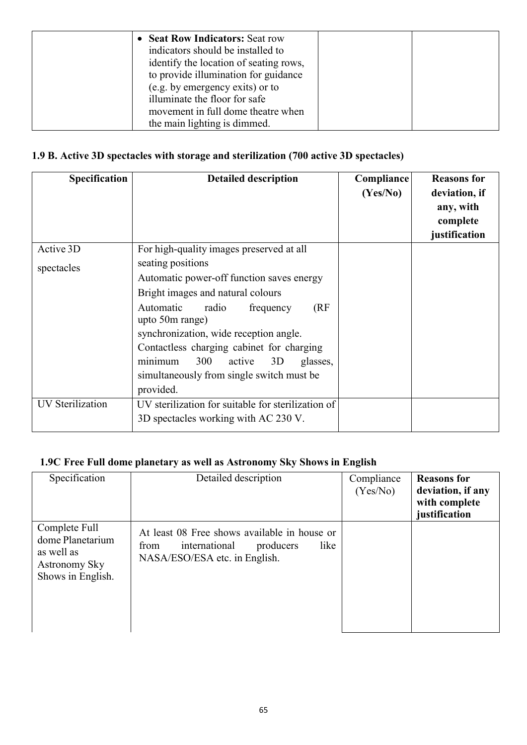| <b>Seat Row Indicators: Seat row</b><br>indicators should be installed to<br>identify the location of seating rows,<br>to provide illumination for guidance |  |
|-------------------------------------------------------------------------------------------------------------------------------------------------------------|--|
| (e.g. by emergency exits) or to<br>illuminate the floor for safe<br>movement in full dome theatre when<br>the main lighting is dimmed.                      |  |

## 1.9 B. Active 3D spectacles with storage and sterilization (700 active 3D spectacles)

| Specification           | <b>Detailed description</b>                                | Compliance<br>(Yes/No) | <b>Reasons for</b><br>deviation, if<br>any, with<br>complete<br>justification |
|-------------------------|------------------------------------------------------------|------------------------|-------------------------------------------------------------------------------|
| Active 3D               | For high-quality images preserved at all                   |                        |                                                                               |
| spectacles              | seating positions                                          |                        |                                                                               |
|                         | Automatic power-off function saves energy                  |                        |                                                                               |
|                         | Bright images and natural colours                          |                        |                                                                               |
|                         | (RF)<br>Automatic<br>radio<br>frequency<br>upto 50m range) |                        |                                                                               |
|                         | synchronization, wide reception angle.                     |                        |                                                                               |
|                         | Contactless charging cabinet for charging                  |                        |                                                                               |
|                         | 300<br>minimum<br>3D<br>active<br>glasses,                 |                        |                                                                               |
|                         | simultaneously from single switch must be                  |                        |                                                                               |
|                         | provided.                                                  |                        |                                                                               |
| <b>UV</b> Sterilization | UV sterilization for suitable for sterilization of         |                        |                                                                               |
|                         | 3D spectacles working with AC 230 V.                       |                        |                                                                               |

## 1.9C Free Full dome planetary as well as Astronomy Sky Shows in English

| Specification                                                                         | Detailed description                                                                                                        | Compliance<br>(Yes/No) | <b>Reasons for</b><br>deviation, if any<br>with complete<br>justification |
|---------------------------------------------------------------------------------------|-----------------------------------------------------------------------------------------------------------------------------|------------------------|---------------------------------------------------------------------------|
| Complete Full<br>dome Planetarium<br>as well as<br>Astronomy Sky<br>Shows in English. | At least 08 Free shows available in house or<br>international<br>producers<br>like<br>from<br>NASA/ESO/ESA etc. in English. |                        |                                                                           |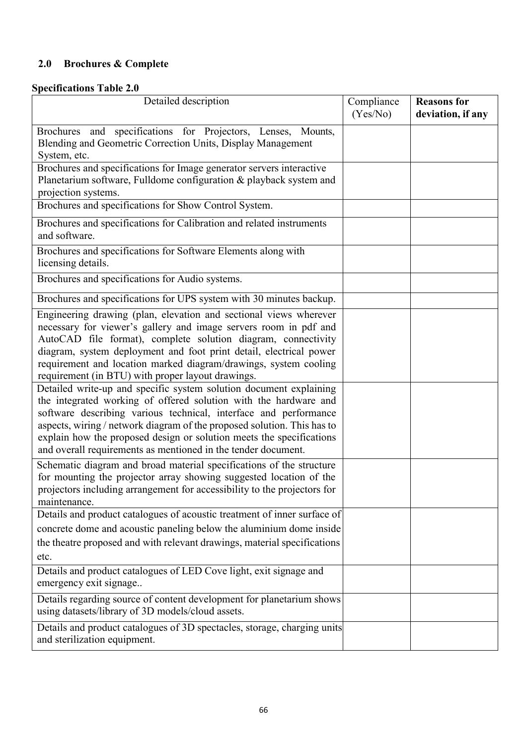## 2.0 Brochures & Complete

## Specifications Table 2.0

| Detailed description                                                                                                                                                                                                                                                                                                                                                                                                           | Compliance<br>(Yes/No) | <b>Reasons for</b><br>deviation, if any |
|--------------------------------------------------------------------------------------------------------------------------------------------------------------------------------------------------------------------------------------------------------------------------------------------------------------------------------------------------------------------------------------------------------------------------------|------------------------|-----------------------------------------|
| Brochures and specifications for Projectors, Lenses, Mounts,<br>Blending and Geometric Correction Units, Display Management<br>System, etc.                                                                                                                                                                                                                                                                                    |                        |                                         |
| Brochures and specifications for Image generator servers interactive<br>Planetarium software, Fulldome configuration & playback system and<br>projection systems.                                                                                                                                                                                                                                                              |                        |                                         |
| Brochures and specifications for Show Control System.                                                                                                                                                                                                                                                                                                                                                                          |                        |                                         |
| Brochures and specifications for Calibration and related instruments<br>and software.                                                                                                                                                                                                                                                                                                                                          |                        |                                         |
| Brochures and specifications for Software Elements along with<br>licensing details.                                                                                                                                                                                                                                                                                                                                            |                        |                                         |
| Brochures and specifications for Audio systems.                                                                                                                                                                                                                                                                                                                                                                                |                        |                                         |
| Brochures and specifications for UPS system with 30 minutes backup.                                                                                                                                                                                                                                                                                                                                                            |                        |                                         |
| Engineering drawing (plan, elevation and sectional views wherever<br>necessary for viewer's gallery and image servers room in pdf and<br>AutoCAD file format), complete solution diagram, connectivity<br>diagram, system deployment and foot print detail, electrical power<br>requirement and location marked diagram/drawings, system cooling<br>requirement (in BTU) with proper layout drawings.                          |                        |                                         |
| Detailed write-up and specific system solution document explaining<br>the integrated working of offered solution with the hardware and<br>software describing various technical, interface and performance<br>aspects, wiring / network diagram of the proposed solution. This has to<br>explain how the proposed design or solution meets the specifications<br>and overall requirements as mentioned in the tender document. |                        |                                         |
| Schematic diagram and broad material specifications of the structure<br>for mounting the projector array showing suggested location of the<br>projectors including arrangement for accessibility to the projectors for<br>maintenance.                                                                                                                                                                                         |                        |                                         |
| Details and product catalogues of acoustic treatment of inner surface of<br>concrete dome and acoustic paneling below the aluminium dome inside<br>the theatre proposed and with relevant drawings, material specifications<br>etc.                                                                                                                                                                                            |                        |                                         |
| Details and product catalogues of LED Cove light, exit signage and<br>emergency exit signage                                                                                                                                                                                                                                                                                                                                   |                        |                                         |
| Details regarding source of content development for planetarium shows<br>using datasets/library of 3D models/cloud assets.                                                                                                                                                                                                                                                                                                     |                        |                                         |
| Details and product catalogues of 3D spectacles, storage, charging units<br>and sterilization equipment.                                                                                                                                                                                                                                                                                                                       |                        |                                         |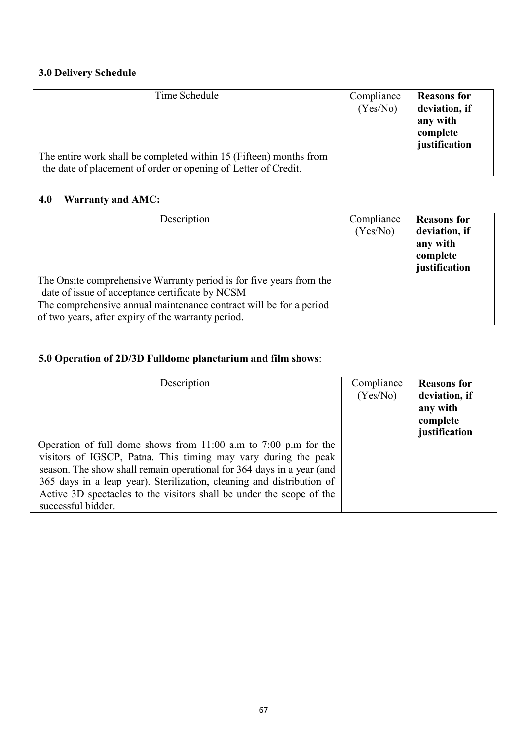## 3.0 Delivery Schedule

| Time Schedule                                                                                                                        | Compliance<br>(Yes/No) | <b>Reasons</b> for<br>deviation, if<br>any with<br>complete<br>justification |
|--------------------------------------------------------------------------------------------------------------------------------------|------------------------|------------------------------------------------------------------------------|
| The entire work shall be completed within 15 (Fifteen) months from<br>the date of placement of order or opening of Letter of Credit. |                        |                                                                              |

## 4.0 Warranty and AMC:

| Description                                                                                                              | Compliance<br>(Yes/No) | <b>Reasons for</b><br>deviation, if<br>any with<br>complete<br>justification |
|--------------------------------------------------------------------------------------------------------------------------|------------------------|------------------------------------------------------------------------------|
| The Onsite comprehensive Warranty period is for five years from the<br>date of issue of acceptance certificate by NCSM   |                        |                                                                              |
| The comprehensive annual maintenance contract will be for a period<br>of two years, after expiry of the warranty period. |                        |                                                                              |

## 5.0 Operation of 2D/3D Fulldome planetarium and film shows:

| Description                                                                                                                                                                                                                                                                                                                                                                         | Compliance<br>(Yes/No) | <b>Reasons for</b><br>deviation, if<br>any with<br>complete<br>justification |
|-------------------------------------------------------------------------------------------------------------------------------------------------------------------------------------------------------------------------------------------------------------------------------------------------------------------------------------------------------------------------------------|------------------------|------------------------------------------------------------------------------|
| Operation of full dome shows from $11:00$ a.m to 7:00 p.m for the<br>visitors of IGSCP, Patna. This timing may vary during the peak<br>season. The show shall remain operational for 364 days in a year (and<br>365 days in a leap year). Sterilization, cleaning and distribution of<br>Active 3D spectacles to the visitors shall be under the scope of the<br>successful bidder. |                        |                                                                              |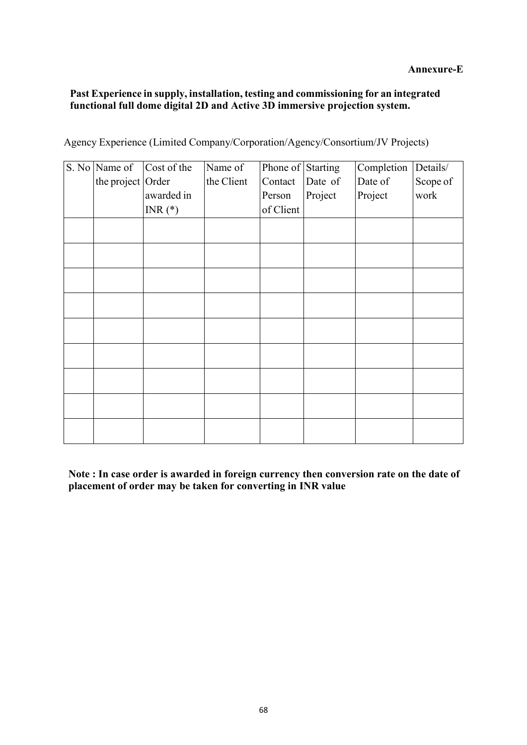#### Past Experience in supply, installation, testing and commissioning for an integrated functional full dome digital 2D and Active 3D immersive projection system.

| S. No Name of     | Cost of the | Name of    | Phone of Starting |         | Completion | Details/ |
|-------------------|-------------|------------|-------------------|---------|------------|----------|
| the project Order |             | the Client | Contact           | Date of | Date of    | Scope of |
|                   | awarded in  |            | Person            | Project | Project    | work     |
|                   | $INR(*)$    |            | of Client         |         |            |          |
|                   |             |            |                   |         |            |          |
|                   |             |            |                   |         |            |          |
|                   |             |            |                   |         |            |          |
|                   |             |            |                   |         |            |          |
|                   |             |            |                   |         |            |          |
|                   |             |            |                   |         |            |          |
|                   |             |            |                   |         |            |          |
|                   |             |            |                   |         |            |          |
|                   |             |            |                   |         |            |          |
|                   |             |            |                   |         |            |          |
|                   |             |            |                   |         |            |          |

Agency Experience (Limited Company/Corporation/Agency/Consortium/JV Projects)

Note : In case order is awarded in foreign currency then conversion rate on the date of placement of order may be taken for converting in INR value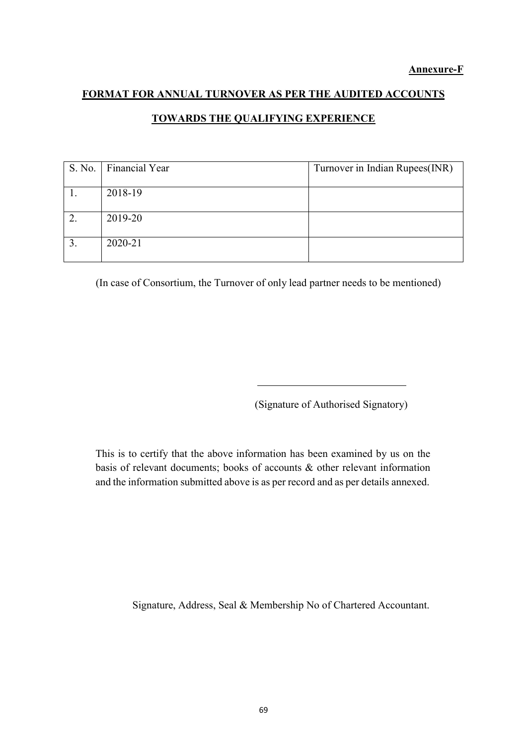# FORMAT FOR ANNUAL TURNOVER AS PER THE AUDITED ACCOUNTS TOWARDS THE QUALIFYING EXPERIENCE

| S. No. | Financial Year | Turnover in Indian Rupees(INR) |
|--------|----------------|--------------------------------|
|        | 2018-19        |                                |
| 2.     | 2019-20        |                                |
|        | 2020-21        |                                |

(In case of Consortium, the Turnover of only lead partner needs to be mentioned)

(Signature of Authorised Signatory)

This is to certify that the above information has been examined by us on the basis of relevant documents; books of accounts & other relevant information and the information submitted above is as per record and as per details annexed.

Signature, Address, Seal & Membership No of Chartered Accountant.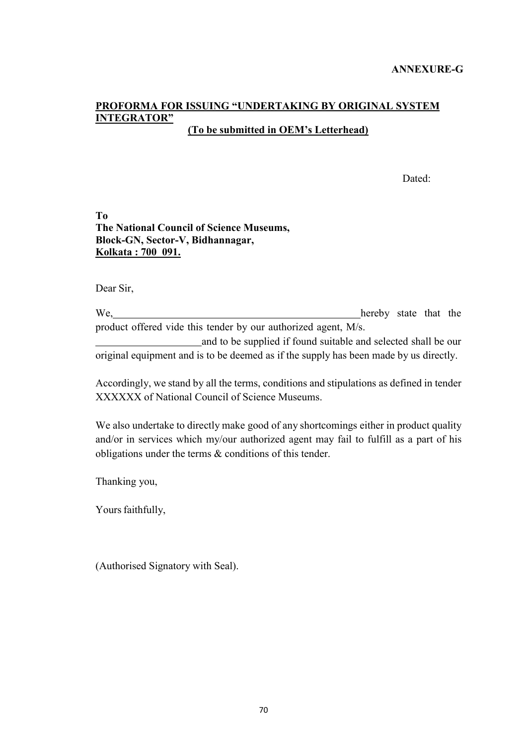#### PROFORMA FOR ISSUING "UNDERTAKING BY ORIGINAL SYSTEM INTEGRATOR" (To be submitted in OEM's Letterhead)

Dated:

To The National Council of Science Museums, Block-GN, Sector-V, Bidhannagar, Kolkata : 700 091.

Dear Sir,

We, hereby state that the product offered vide this tender by our authorized agent, M/s. and to be supplied if found suitable and selected shall be our

original equipment and is to be deemed as if the supply has been made by us directly.

Accordingly, we stand by all the terms, conditions and stipulations as defined in tender XXXXXX of National Council of Science Museums.

We also undertake to directly make good of any shortcomings either in product quality and/or in services which my/our authorized agent may fail to fulfill as a part of his obligations under the terms & conditions of this tender.

Thanking you,

Yours faithfully,

(Authorised Signatory with Seal).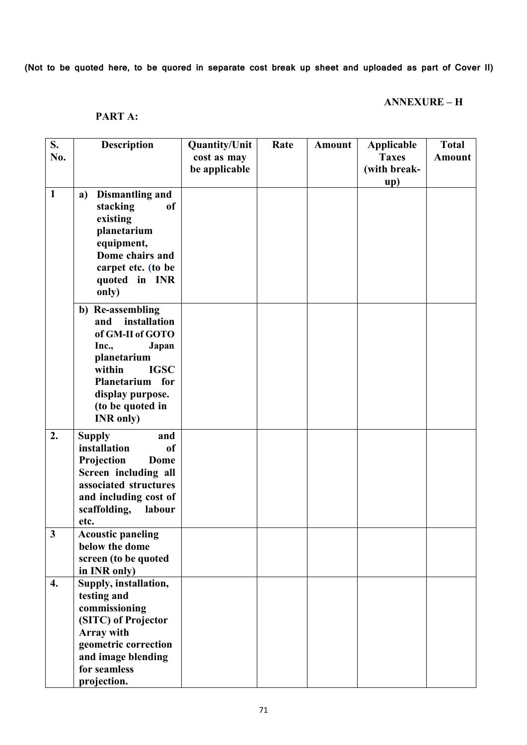(Not to be quoted here, to be quored in separate cost break up sheet and uploaded as part of Cover II)

#### ANNEXURE – H

### PART A:

| S.           | <b>Description</b>                  | <b>Quantity/Unit</b> | Rate | <b>Amount</b> | Applicable   | <b>Total</b>  |
|--------------|-------------------------------------|----------------------|------|---------------|--------------|---------------|
| No.          |                                     | cost as may          |      |               | <b>Taxes</b> | <b>Amount</b> |
|              |                                     | be applicable        |      |               | (with break- |               |
|              |                                     |                      |      |               | up)          |               |
| $\mathbf{1}$ | <b>Dismantling and</b><br>a)        |                      |      |               |              |               |
|              | stacking<br>of                      |                      |      |               |              |               |
|              | existing                            |                      |      |               |              |               |
|              | planetarium                         |                      |      |               |              |               |
|              | equipment,                          |                      |      |               |              |               |
|              | Dome chairs and                     |                      |      |               |              |               |
|              | carpet etc. (to be<br>quoted in INR |                      |      |               |              |               |
|              | only)                               |                      |      |               |              |               |
|              |                                     |                      |      |               |              |               |
|              | b) Re-assembling                    |                      |      |               |              |               |
|              | installation<br>and                 |                      |      |               |              |               |
|              | of GM-II of GOTO<br>Japan           |                      |      |               |              |               |
|              | Inc.,<br>planetarium                |                      |      |               |              |               |
|              | within<br><b>IGSC</b>               |                      |      |               |              |               |
|              | Planetarium for                     |                      |      |               |              |               |
|              | display purpose.                    |                      |      |               |              |               |
|              | (to be quoted in                    |                      |      |               |              |               |
|              | <b>INR</b> only)                    |                      |      |               |              |               |
| 2.           | <b>Supply</b><br>and                |                      |      |               |              |               |
|              | installation<br>of                  |                      |      |               |              |               |
|              | Projection<br>Dome                  |                      |      |               |              |               |
|              | Screen including all                |                      |      |               |              |               |
|              | associated structures               |                      |      |               |              |               |
|              | and including cost of               |                      |      |               |              |               |
|              | scaffolding,<br>labour              |                      |      |               |              |               |
| $\mathbf{3}$ | etc.<br><b>Acoustic paneling</b>    |                      |      |               |              |               |
|              | below the dome                      |                      |      |               |              |               |
|              | screen (to be quoted                |                      |      |               |              |               |
|              | in INR only)                        |                      |      |               |              |               |
| 4.           | Supply, installation,               |                      |      |               |              |               |
|              | testing and                         |                      |      |               |              |               |
|              | commissioning                       |                      |      |               |              |               |
|              | (SITC) of Projector                 |                      |      |               |              |               |
|              | Array with                          |                      |      |               |              |               |
|              | geometric correction                |                      |      |               |              |               |
|              | and image blending                  |                      |      |               |              |               |
|              | for seamless                        |                      |      |               |              |               |
|              | projection.                         |                      |      |               |              |               |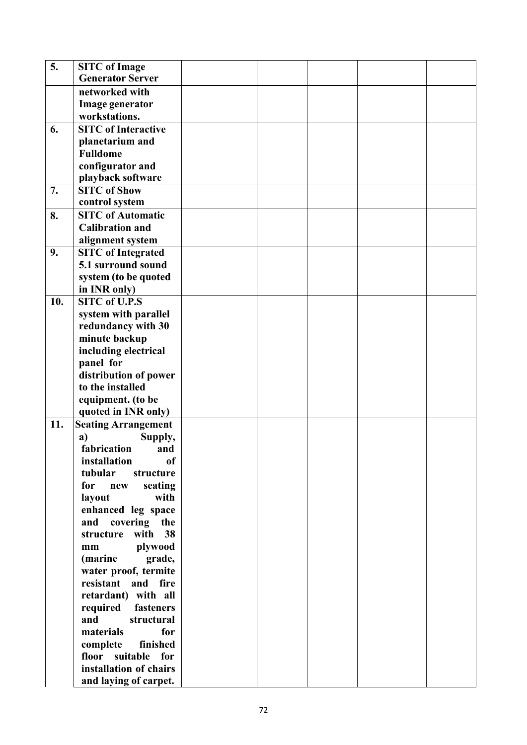| 5.  | <b>SITC</b> of Image          |  |  |  |
|-----|-------------------------------|--|--|--|
|     | <b>Generator Server</b>       |  |  |  |
|     | networked with                |  |  |  |
|     | Image generator               |  |  |  |
|     | workstations.                 |  |  |  |
| 6.  | <b>SITC</b> of Interactive    |  |  |  |
|     | planetarium and               |  |  |  |
|     | <b>Fulldome</b>               |  |  |  |
|     | configurator and              |  |  |  |
|     | playback software             |  |  |  |
| 7.  | <b>SITC of Show</b>           |  |  |  |
|     | control system                |  |  |  |
| 8.  | <b>SITC</b> of Automatic      |  |  |  |
|     | <b>Calibration and</b>        |  |  |  |
|     | alignment system              |  |  |  |
| 9.  | <b>SITC</b> of Integrated     |  |  |  |
|     | 5.1 surround sound            |  |  |  |
|     | system (to be quoted          |  |  |  |
|     | in INR only)                  |  |  |  |
| 10. | <b>SITC of U.P.S</b>          |  |  |  |
|     | system with parallel          |  |  |  |
|     | redundancy with 30            |  |  |  |
|     | minute backup                 |  |  |  |
|     | including electrical          |  |  |  |
|     | panel for                     |  |  |  |
|     | distribution of power         |  |  |  |
|     | to the installed              |  |  |  |
|     | equipment. (to be             |  |  |  |
|     | quoted in INR only)           |  |  |  |
| 11. | <b>Seating Arrangement</b>    |  |  |  |
|     | Supply,<br>a)                 |  |  |  |
|     | fabrication<br>and            |  |  |  |
|     | installation<br><sub>of</sub> |  |  |  |
|     | tubular<br>structure          |  |  |  |
|     | seating<br>for<br>new         |  |  |  |
|     | layout<br>with                |  |  |  |
|     | enhanced leg space            |  |  |  |
|     | covering the<br>and           |  |  |  |
|     | with<br>38<br>structure       |  |  |  |
|     | plywood<br>mm                 |  |  |  |
|     | (marine<br>grade,             |  |  |  |
|     | water proof, termite          |  |  |  |
|     | resistant and fire            |  |  |  |
|     | retardant) with all           |  |  |  |
|     | required<br>fasteners         |  |  |  |
|     | and<br>structural             |  |  |  |
|     | for<br>materials              |  |  |  |
|     | finished<br>complete          |  |  |  |
|     | floor suitable for            |  |  |  |
|     | installation of chairs        |  |  |  |
|     | and laying of carpet.         |  |  |  |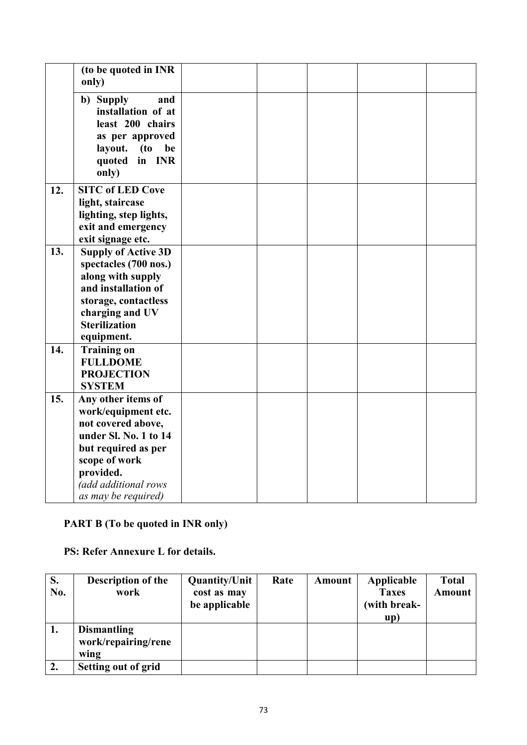|     | (to be quoted in INR<br>only)                                                                                                                                                                |  |  |  |
|-----|----------------------------------------------------------------------------------------------------------------------------------------------------------------------------------------------|--|--|--|
|     | b) Supply<br>and<br>installation of at<br>least 200 chairs<br>as per approved<br>layout.<br>(t <sub>0</sub> )<br>be<br>quoted in INR<br>only)                                                |  |  |  |
| 12. | <b>SITC of LED Cove</b><br>light, staircase<br>lighting, step lights,<br>exit and emergency<br>exit signage etc.                                                                             |  |  |  |
| 13. | <b>Supply of Active 3D</b><br>spectacles (700 nos.)<br>along with supply<br>and installation of<br>storage, contactless<br>charging and UV<br><b>Sterilization</b><br>equipment.             |  |  |  |
| 14. | <b>Training on</b><br><b>FULLDOME</b><br><b>PROJECTION</b><br><b>SYSTEM</b>                                                                                                                  |  |  |  |
| 15. | Any other items of<br>work/equipment etc.<br>not covered above,<br>under Sl. No. 1 to 14<br>but required as per<br>scope of work<br>provided.<br>(add additional rows<br>as may be required) |  |  |  |

## PART B (To be quoted in INR only)

PS: Refer Annexure L for details.

| S.<br>No. | <b>Description of the</b><br>work                 | <b>Quantity/Unit</b><br>cost as may<br>be applicable | Rate | Amount | Applicable<br><b>Taxes</b><br>(with break-<br>up) | <b>Total</b><br><b>Amount</b> |
|-----------|---------------------------------------------------|------------------------------------------------------|------|--------|---------------------------------------------------|-------------------------------|
| 1.        | <b>Dismantling</b><br>work/repairing/rene<br>wing |                                                      |      |        |                                                   |                               |
|           | <b>Setting out of grid</b>                        |                                                      |      |        |                                                   |                               |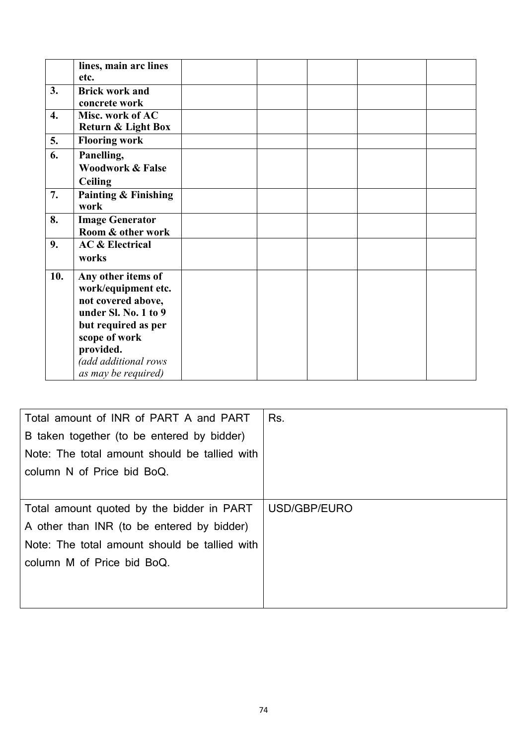|     | lines, main arc lines<br>etc.                                                                                                                                                               |  |  |  |
|-----|---------------------------------------------------------------------------------------------------------------------------------------------------------------------------------------------|--|--|--|
| 3.  | <b>Brick work and</b><br>concrete work                                                                                                                                                      |  |  |  |
| 4.  | Misc. work of AC<br>Return & Light Box                                                                                                                                                      |  |  |  |
| 5.  | <b>Flooring work</b>                                                                                                                                                                        |  |  |  |
| 6.  | Panelling,<br><b>Woodwork &amp; False</b><br>Ceiling                                                                                                                                        |  |  |  |
| 7.  | <b>Painting &amp; Finishing</b><br>work                                                                                                                                                     |  |  |  |
| 8.  | <b>Image Generator</b><br>Room & other work                                                                                                                                                 |  |  |  |
| 9.  | <b>AC &amp; Electrical</b><br>works                                                                                                                                                         |  |  |  |
| 10. | Any other items of<br>work/equipment etc.<br>not covered above,<br>under Sl. No. 1 to 9<br>but required as per<br>scope of work<br>provided.<br>(add additional rows<br>as may be required) |  |  |  |

| Total amount of INR of PART A and PART        | Rs.          |
|-----------------------------------------------|--------------|
| B taken together (to be entered by bidder)    |              |
| Note: The total amount should be tallied with |              |
| column N of Price bid BoQ.                    |              |
|                                               |              |
| Total amount quoted by the bidder in PART     | USD/GBP/EURO |
| A other than INR (to be entered by bidder)    |              |
| Note: The total amount should be tallied with |              |
| column M of Price bid BoQ.                    |              |
|                                               |              |
|                                               |              |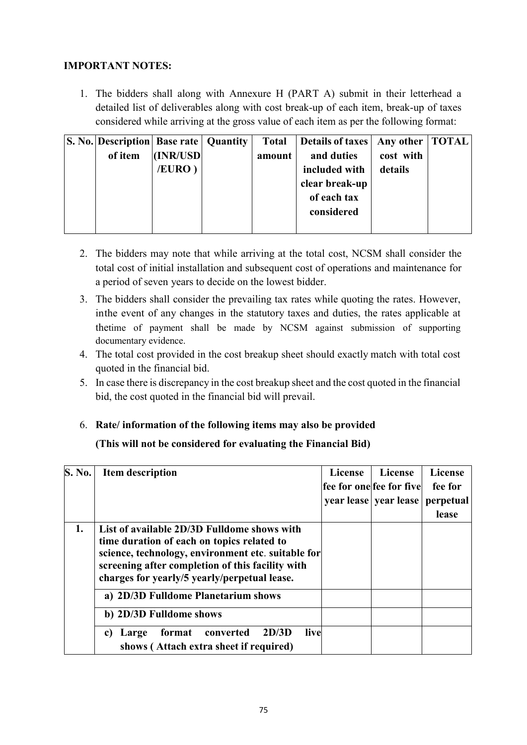#### IMPORTANT NOTES:

1. The bidders shall along with Annexure H (PART A) submit in their letterhead a detailed list of deliverables along with cost break-up of each item, break-up of taxes considered while arriving at the gross value of each item as per the following format:

|  | S. No. Description Base rate   Quantity |               | <b>Total</b> | Details of taxes   Any other   TOTAL |           |  |
|--|-----------------------------------------|---------------|--------------|--------------------------------------|-----------|--|
|  | of item                                 | (INR/USD      | amount       | and duties                           | cost with |  |
|  |                                         | <b>EURO</b> ) |              | included with                        | details   |  |
|  |                                         |               |              | clear break-up                       |           |  |
|  |                                         |               |              | of each tax                          |           |  |
|  |                                         |               |              | considered                           |           |  |
|  |                                         |               |              |                                      |           |  |

- 2. The bidders may note that while arriving at the total cost, NCSM shall consider the total cost of initial installation and subsequent cost of operations and maintenance for a period of seven years to decide on the lowest bidder.
- 3. The bidders shall consider the prevailing tax rates while quoting the rates. However, inthe event of any changes in the statutory taxes and duties, the rates applicable at thetime of payment shall be made by NCSM against submission of supporting documentary evidence.
- 4. The total cost provided in the cost breakup sheet should exactly match with total cost quoted in the financial bid.
- 5. In case there is discrepancy in the cost breakup sheet and the cost quoted in the financial bid, the cost quoted in the financial bid will prevail.

#### 6. Rate/ information of the following items may also be provided

#### (This will not be considered for evaluating the Financial Bid)

| <b>S. No.</b> | <b>Item description</b>                                                                                                                                                                                                                             | License | License<br>fee for one fee for five<br>year lease year lease perpetual | License<br>fee for<br>lease |
|---------------|-----------------------------------------------------------------------------------------------------------------------------------------------------------------------------------------------------------------------------------------------------|---------|------------------------------------------------------------------------|-----------------------------|
| 1.            | List of available 2D/3D Fulldome shows with<br>time duration of each on topics related to<br>science, technology, environment etc. suitable for<br>screening after completion of this facility with<br>charges for yearly/5 yearly/perpetual lease. |         |                                                                        |                             |
|               | a) 2D/3D Fulldome Planetarium shows                                                                                                                                                                                                                 |         |                                                                        |                             |
|               | b) 2D/3D Fulldome shows                                                                                                                                                                                                                             |         |                                                                        |                             |
|               | 2D/3D<br>live<br>format<br>converted<br>Large<br>C)<br>shows (Attach extra sheet if required)                                                                                                                                                       |         |                                                                        |                             |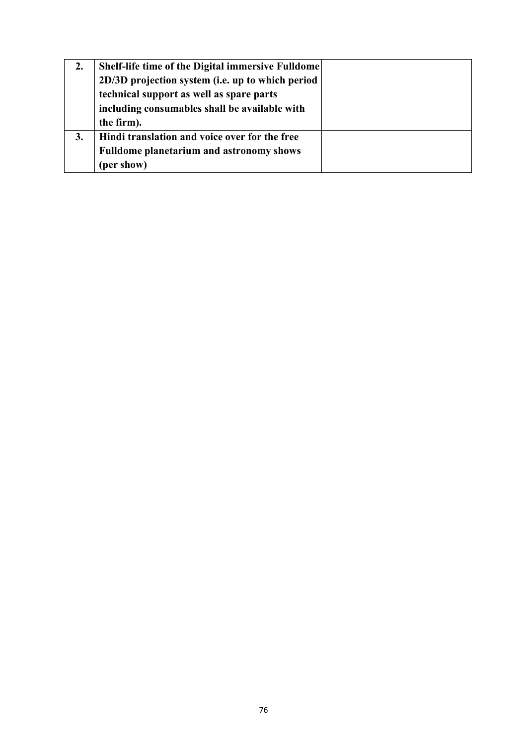| 2. | <b>Shelf-life time of the Digital immersive Fulldome</b> |  |
|----|----------------------------------------------------------|--|
|    | 2D/3D projection system (i.e. up to which period         |  |
|    | technical support as well as spare parts                 |  |
|    | including consumables shall be available with            |  |
|    | the firm).                                               |  |
| 3. | Hindi translation and voice over for the free            |  |
|    | <b>Fulldome planetarium and astronomy shows</b>          |  |
|    | (per show)                                               |  |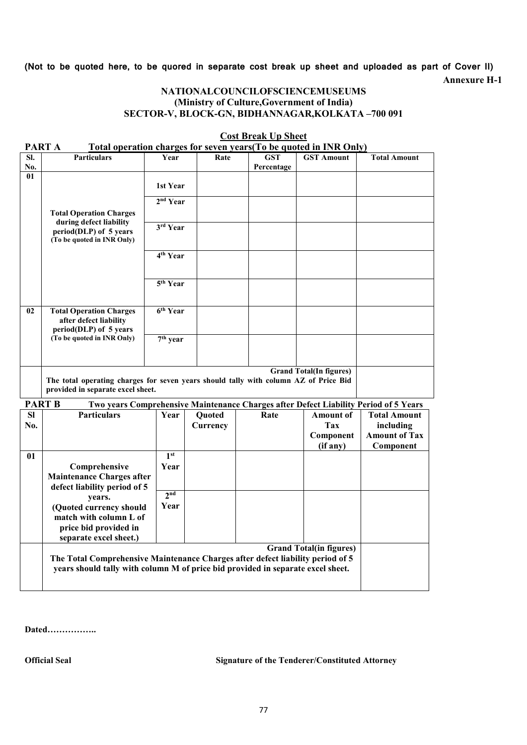#### (Not to be quoted here, to be quored in separate cost break up sheet and uploaded as part of Cover II) Annexure H-1

#### NATIONALCOUNCILOFSCIENCEMUSEUMS (Ministry of Culture,Government of India) SECTOR-V, BLOCK-GN, BIDHANNAGAR,KOLKATA –700 091

|                        | PART A<br>Total operation charges for seven years (To be quoted in INR Only)                                              |                         |          |            |                                |                                                                                      |
|------------------------|---------------------------------------------------------------------------------------------------------------------------|-------------------------|----------|------------|--------------------------------|--------------------------------------------------------------------------------------|
| SI.                    | <b>Particulars</b>                                                                                                        | Year                    | Rate     | <b>GST</b> | <b>GST Amount</b>              | <b>Total Amount</b>                                                                  |
| No.<br>$\overline{01}$ |                                                                                                                           |                         |          | Percentage |                                |                                                                                      |
|                        |                                                                                                                           | 1st Year                |          |            |                                |                                                                                      |
|                        |                                                                                                                           | 2 <sup>nd</sup> Year    |          |            |                                |                                                                                      |
|                        | <b>Total Operation Charges</b><br>during defect liability<br>period(DLP) of 5 years<br>(To be quoted in INR Only)         | 3rd Year                |          |            |                                |                                                                                      |
|                        |                                                                                                                           | 4 <sup>th</sup> Year    |          |            |                                |                                                                                      |
|                        |                                                                                                                           |                         |          |            |                                |                                                                                      |
|                        |                                                                                                                           | $\overline{5^{th}$ Year |          |            |                                |                                                                                      |
| 02                     | <b>Total Operation Charges</b>                                                                                            | 6 <sup>th</sup> Year    |          |            |                                |                                                                                      |
|                        | after defect liability<br>period(DLP) of 5 years                                                                          |                         |          |            |                                |                                                                                      |
|                        | (To be quoted in INR Only)                                                                                                | $7th$ year              |          |            |                                |                                                                                      |
|                        |                                                                                                                           |                         |          |            |                                |                                                                                      |
|                        | The total operating charges for seven years should tally with column AZ of Price Bid<br>provided in separate excel sheet. |                         |          |            | <b>Grand Total(In figures)</b> |                                                                                      |
|                        | <b>PART B</b>                                                                                                             |                         |          |            |                                | Two years Comprehensive Maintenance Charges after Defect Liability Period of 5 Years |
| <b>SI</b>              | <b>Particulars</b>                                                                                                        | Year                    | Quoted   | Rate       | <b>Amount of</b>               | <b>Total Amount</b>                                                                  |
| No.                    |                                                                                                                           |                         | Currency |            | Tax                            | including                                                                            |
|                        |                                                                                                                           |                         |          |            | Component                      | <b>Amount of Tax</b>                                                                 |
|                        |                                                                                                                           |                         |          |            | (if any)                       | Component                                                                            |
| 01                     |                                                                                                                           | 1 <sup>st</sup>         |          |            |                                |                                                                                      |
|                        |                                                                                                                           | Year                    |          |            |                                |                                                                                      |
|                        | Comprehensive<br><b>Maintenance Charges after</b>                                                                         |                         |          |            |                                |                                                                                      |
|                        | defect liability period of 5                                                                                              | 2 <sub>nd</sub>         |          |            |                                |                                                                                      |
|                        | years.                                                                                                                    | Year                    |          |            |                                |                                                                                      |
|                        | (Quoted currency should<br>match with column L of                                                                         |                         |          |            |                                |                                                                                      |
|                        | price bid provided in                                                                                                     |                         |          |            |                                |                                                                                      |
|                        | separate excel sheet.)                                                                                                    |                         |          |            |                                |                                                                                      |
|                        |                                                                                                                           |                         |          |            | <b>Grand Total(in figures)</b> |                                                                                      |
|                        | The Total Comprehensive Maintenance Charges after defect liability period of 5                                            |                         |          |            |                                |                                                                                      |
|                        | years should tally with column M of price bid provided in separate excel sheet.                                           |                         |          |            |                                |                                                                                      |
|                        |                                                                                                                           |                         |          |            |                                |                                                                                      |

#### Cost Break Up Sheet

Dated……………..

Official Seal Signature of the Tenderer/Constituted Attorney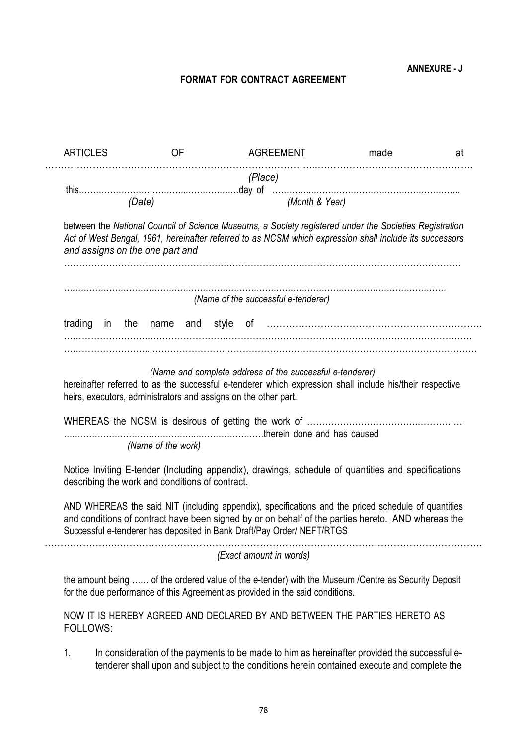ANNEXURE - J

### FORMAT FOR CONTRACT AGREEMENT

| <b>ARTICLES</b>                                                                                                                                                                                                                                                                     | <b>OF</b>                                                |                                     | AGREEMENT made |                                                                                                                                                                                             | at |
|-------------------------------------------------------------------------------------------------------------------------------------------------------------------------------------------------------------------------------------------------------------------------------------|----------------------------------------------------------|-------------------------------------|----------------|---------------------------------------------------------------------------------------------------------------------------------------------------------------------------------------------|----|
| $\frac{1}{100}$                                                                                                                                                                                                                                                                     |                                                          | (Place)                             |                |                                                                                                                                                                                             |    |
| (Date)                                                                                                                                                                                                                                                                              |                                                          |                                     | (Month & Year) |                                                                                                                                                                                             |    |
| between the National Council of Science Museums, a Society registered under the Societies Registration<br>Act of West Bengal, 1961, hereinafter referred to as NCSM which expression shall include its successors<br>and assigns on the one part and                                |                                                          |                                     |                |                                                                                                                                                                                             |    |
|                                                                                                                                                                                                                                                                                     |                                                          | (Name of the successful e-tenderer) |                |                                                                                                                                                                                             |    |
|                                                                                                                                                                                                                                                                                     |                                                          |                                     |                |                                                                                                                                                                                             |    |
|                                                                                                                                                                                                                                                                                     |                                                          |                                     |                |                                                                                                                                                                                             |    |
| hereinafter referred to as the successful e-tenderer which expression shall include his/their respective<br>heirs, executors, administrators and assigns on the other part.                                                                                                         | (Name and complete address of the successful e-tenderer) |                                     |                |                                                                                                                                                                                             |    |
|                                                                                                                                                                                                                                                                                     | (Name of the work)                                       |                                     |                |                                                                                                                                                                                             |    |
| Notice Inviting E-tender (Including appendix), drawings, schedule of quantities and specifications<br>describing the work and conditions of contract.                                                                                                                               |                                                          |                                     |                |                                                                                                                                                                                             |    |
| AND WHEREAS the said NIT (including appendix), specifications and the priced schedule of quantities<br>and conditions of contract have been signed by or on behalf of the parties hereto. AND whereas the<br>Successful e-tenderer has deposited in Bank Draft/Pay Order/ NEFT/RTGS |                                                          |                                     |                |                                                                                                                                                                                             |    |
|                                                                                                                                                                                                                                                                                     |                                                          | (Exact amount in words)             |                |                                                                                                                                                                                             |    |
| the amount being  of the ordered value of the e-tender) with the Museum / Centre as Security Deposit<br>for the due performance of this Agreement as provided in the said conditions.                                                                                               |                                                          |                                     |                |                                                                                                                                                                                             |    |
| NOW IT IS HEREBY AGREED AND DECLARED BY AND BETWEEN THE PARTIES HERETO AS<br><b>FOLLOWS:</b>                                                                                                                                                                                        |                                                          |                                     |                |                                                                                                                                                                                             |    |
| 1.                                                                                                                                                                                                                                                                                  |                                                          |                                     |                | In consideration of the payments to be made to him as hereinafter provided the successful e-<br>tenderer shall upon and subject to the conditions herein contained execute and complete the |    |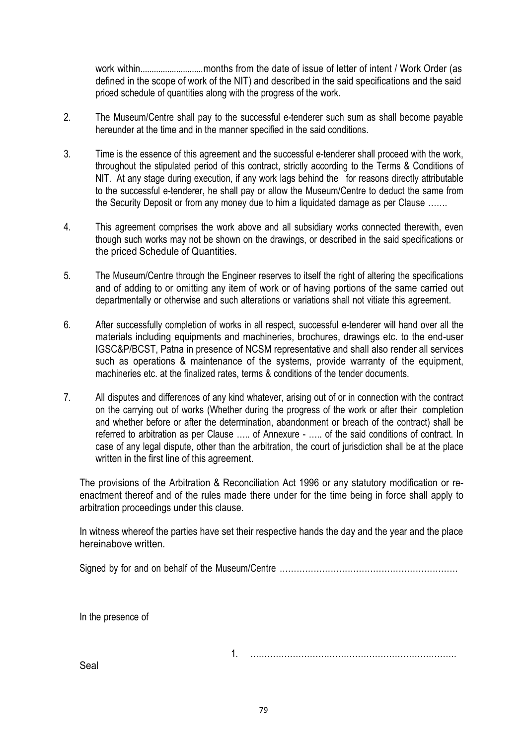work within............................months from the date of issue of letter of intent / Work Order (as defined in the scope of work of the NIT) and described in the said specifications and the said priced schedule of quantities along with the progress of the work.

- 2. The Museum/Centre shall pay to the successful e-tenderer such sum as shall become payable hereunder at the time and in the manner specified in the said conditions.
- 3. Time is the essence of this agreement and the successful e-tenderer shall proceed with the work, throughout the stipulated period of this contract, strictly according to the Terms & Conditions of NIT. At any stage during execution, if any work lags behind the for reasons directly attributable to the successful e-tenderer, he shall pay or allow the Museum/Centre to deduct the same from the Security Deposit or from any money due to him a liquidated damage as per Clause …….
- 4. This agreement comprises the work above and all subsidiary works connected therewith, even though such works may not be shown on the drawings, or described in the said specifications or the priced Schedule of Quantities.
- 5. The Museum/Centre through the Engineer reserves to itself the right of altering the specifications and of adding to or omitting any item of work or of having portions of the same carried out departmentally or otherwise and such alterations or variations shall not vitiate this agreement.
- 6. After successfully completion of works in all respect, successful e-tenderer will hand over all the materials including equipments and machineries, brochures, drawings etc. to the end-user IGSC&P/BCST, Patna in presence of NCSM representative and shall also render all services such as operations & maintenance of the systems, provide warranty of the equipment, machineries etc. at the finalized rates, terms & conditions of the tender documents.
- 7. All disputes and differences of any kind whatever, arising out of or in connection with the contract on the carrying out of works (Whether during the progress of the work or after their completion and whether before or after the determination, abandonment or breach of the contract) shall be referred to arbitration as per Clause ….. of Annexure - ….. of the said conditions of contract. In case of any legal dispute, other than the arbitration, the court of jurisdiction shall be at the place written in the first line of this agreement.

The provisions of the Arbitration & Reconciliation Act 1996 or any statutory modification or reenactment thereof and of the rules made there under for the time being in force shall apply to arbitration proceedings under this clause.

In witness whereof the parties have set their respective hands the day and the year and the place hereinabove written.

Signed by for and on behalf of the Museum/Centre …………………………………………………………………………………

In the presence of

1. ……………………………………………………………….

Seal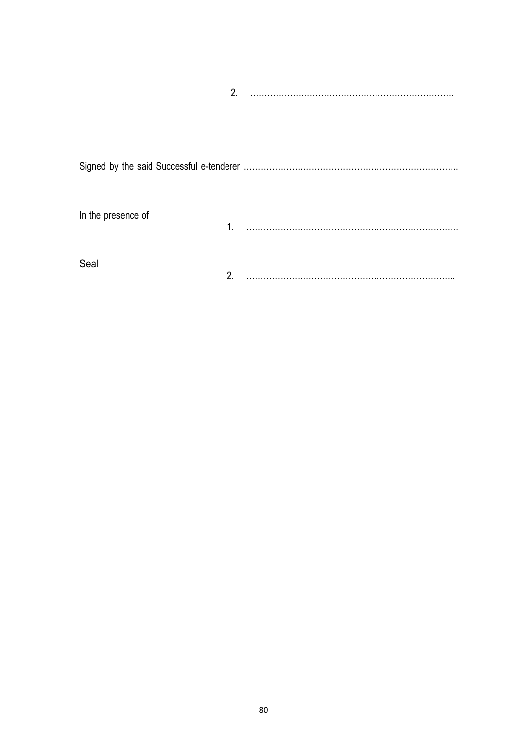|                    | 2. |  |
|--------------------|----|--|
|                    |    |  |
|                    |    |  |
| In the presence of | 1  |  |
| Seal               | C  |  |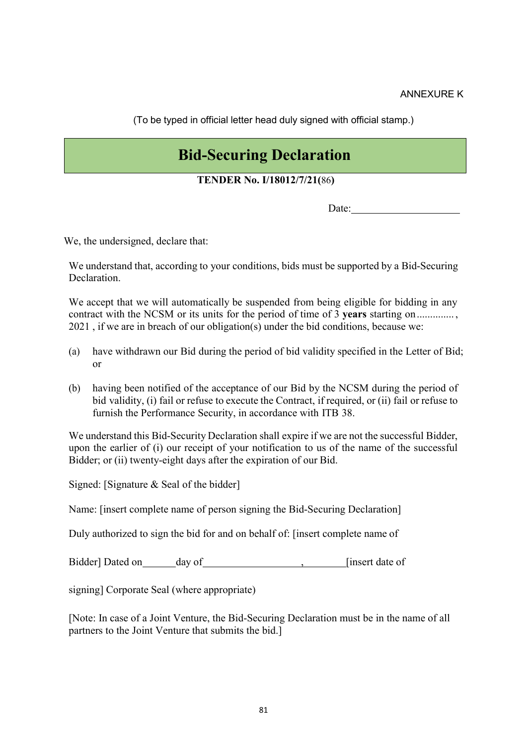(To be typed in official letter head duly signed with official stamp.)

# Bid-Securing Declaration

#### TENDER No. I/18012/7/21(86)

Date:

We, the undersigned, declare that:

We understand that, according to your conditions, bids must be supported by a Bid-Securing Declaration.

We accept that we will automatically be suspended from being eligible for bidding in any contract with the NCSM or its units for the period of time of 3 years starting on.............. 2021 , if we are in breach of our obligation(s) under the bid conditions, because we:

- (a) have withdrawn our Bid during the period of bid validity specified in the Letter of Bid; or
- (b) having been notified of the acceptance of our Bid by the NCSM during the period of bid validity, (i) fail or refuse to execute the Contract, if required, or (ii) fail or refuse to furnish the Performance Security, in accordance with ITB 38.

We understand this Bid-Security Declaration shall expire if we are not the successful Bidder, upon the earlier of (i) our receipt of your notification to us of the name of the successful Bidder; or (ii) twenty-eight days after the expiration of our Bid.

Signed: [Signature & Seal of the bidder]

Name: [insert complete name of person signing the Bid-Securing Declaration]

Duly authorized to sign the bid for and on behalf of: [insert complete name of

Bidder] Dated on day of , [insert date of

signing] Corporate Seal (where appropriate)

[Note: In case of a Joint Venture, the Bid-Securing Declaration must be in the name of all partners to the Joint Venture that submits the bid.]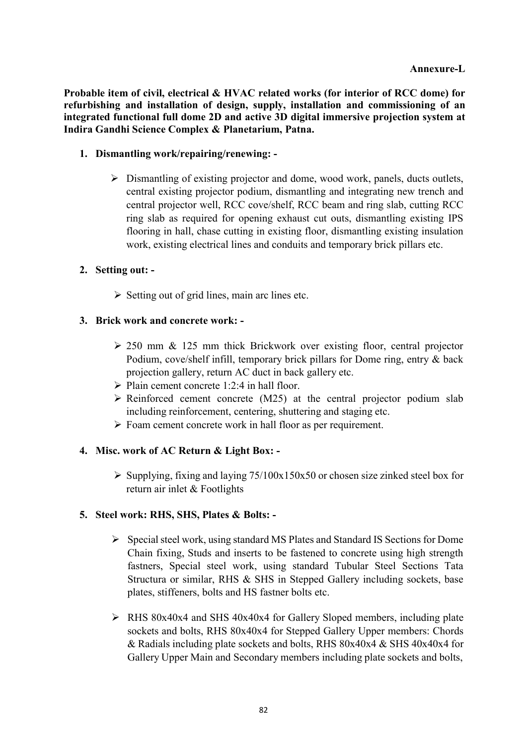Probable item of civil, electrical & HVAC related works (for interior of RCC dome) for refurbishing and installation of design, supply, installation and commissioning of an integrated functional full dome 2D and active 3D digital immersive projection system at Indira Gandhi Science Complex & Planetarium, Patna.

#### 1. Dismantling work/repairing/renewing: -

 $\triangleright$  Dismantling of existing projector and dome, wood work, panels, ducts outlets, central existing projector podium, dismantling and integrating new trench and central projector well, RCC cove/shelf, RCC beam and ring slab, cutting RCC ring slab as required for opening exhaust cut outs, dismantling existing IPS flooring in hall, chase cutting in existing floor, dismantling existing insulation work, existing electrical lines and conduits and temporary brick pillars etc.

#### 2. Setting out: -

 $\triangleright$  Setting out of grid lines, main arc lines etc.

#### 3. Brick work and concrete work: -

- $\geq$  250 mm & 125 mm thick Brickwork over existing floor, central projector Podium, cove/shelf infill, temporary brick pillars for Dome ring, entry & back projection gallery, return AC duct in back gallery etc.
- $\triangleright$  Plain cement concrete 1:2:4 in hall floor.
- $\triangleright$  Reinforced cement concrete (M25) at the central projector podium slab including reinforcement, centering, shuttering and staging etc.
- Foam cement concrete work in hall floor as per requirement.

#### 4. Misc. work of AC Return & Light Box: -

 $\triangleright$  Supplying, fixing and laying 75/100x150x50 or chosen size zinked steel box for return air inlet & Footlights

#### 5. Steel work: RHS, SHS, Plates & Bolts: -

- $\triangleright$  Special steel work, using standard MS Plates and Standard IS Sections for Dome Chain fixing, Studs and inserts to be fastened to concrete using high strength fastners, Special steel work, using standard Tubular Steel Sections Tata Structura or similar, RHS & SHS in Stepped Gallery including sockets, base plates, stiffeners, bolts and HS fastner bolts etc.
- $\triangleright$  RHS 80x40x4 and SHS 40x40x4 for Gallery Sloped members, including plate sockets and bolts, RHS 80x40x4 for Stepped Gallery Upper members: Chords & Radials including plate sockets and bolts, RHS  $80x40x4$  & SHS  $40x40x4$  for Gallery Upper Main and Secondary members including plate sockets and bolts,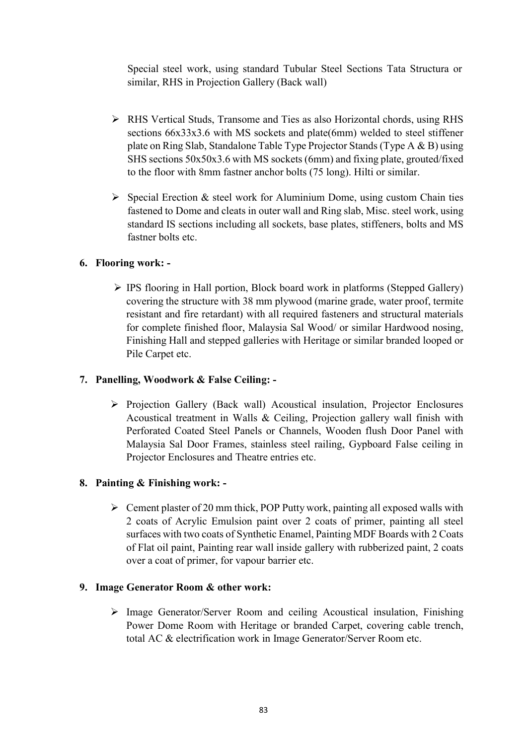Special steel work, using standard Tubular Steel Sections Tata Structura or similar, RHS in Projection Gallery (Back wall)

- RHS Vertical Studs, Transome and Ties as also Horizontal chords, using RHS sections 66x33x3.6 with MS sockets and plate(6mm) welded to steel stiffener plate on Ring Slab, Standalone Table Type Projector Stands (Type A & B) using SHS sections 50x50x3.6 with MS sockets (6mm) and fixing plate, grouted/fixed to the floor with 8mm fastner anchor bolts (75 long). Hilti or similar.
- $\triangleright$  Special Erection & steel work for Aluminium Dome, using custom Chain ties fastened to Dome and cleats in outer wall and Ring slab, Misc. steel work, using standard IS sections including all sockets, base plates, stiffeners, bolts and MS fastner bolts etc.

#### 6. Flooring work: -

 IPS flooring in Hall portion, Block board work in platforms (Stepped Gallery) covering the structure with 38 mm plywood (marine grade, water proof, termite resistant and fire retardant) with all required fasteners and structural materials for complete finished floor, Malaysia Sal Wood/ or similar Hardwood nosing, Finishing Hall and stepped galleries with Heritage or similar branded looped or Pile Carpet etc.

#### 7. Panelling, Woodwork & False Ceiling: -

 Projection Gallery (Back wall) Acoustical insulation, Projector Enclosures Acoustical treatment in Walls & Ceiling, Projection gallery wall finish with Perforated Coated Steel Panels or Channels, Wooden flush Door Panel with Malaysia Sal Door Frames, stainless steel railing, Gypboard False ceiling in Projector Enclosures and Theatre entries etc.

#### 8. Painting & Finishing work: -

 $\triangleright$  Cement plaster of 20 mm thick, POP Putty work, painting all exposed walls with 2 coats of Acrylic Emulsion paint over 2 coats of primer, painting all steel surfaces with two coats of Synthetic Enamel, Painting MDF Boards with 2 Coats of Flat oil paint, Painting rear wall inside gallery with rubberized paint, 2 coats over a coat of primer, for vapour barrier etc.

#### 9. Image Generator Room & other work:

 Image Generator/Server Room and ceiling Acoustical insulation, Finishing Power Dome Room with Heritage or branded Carpet, covering cable trench, total AC & electrification work in Image Generator/Server Room etc.